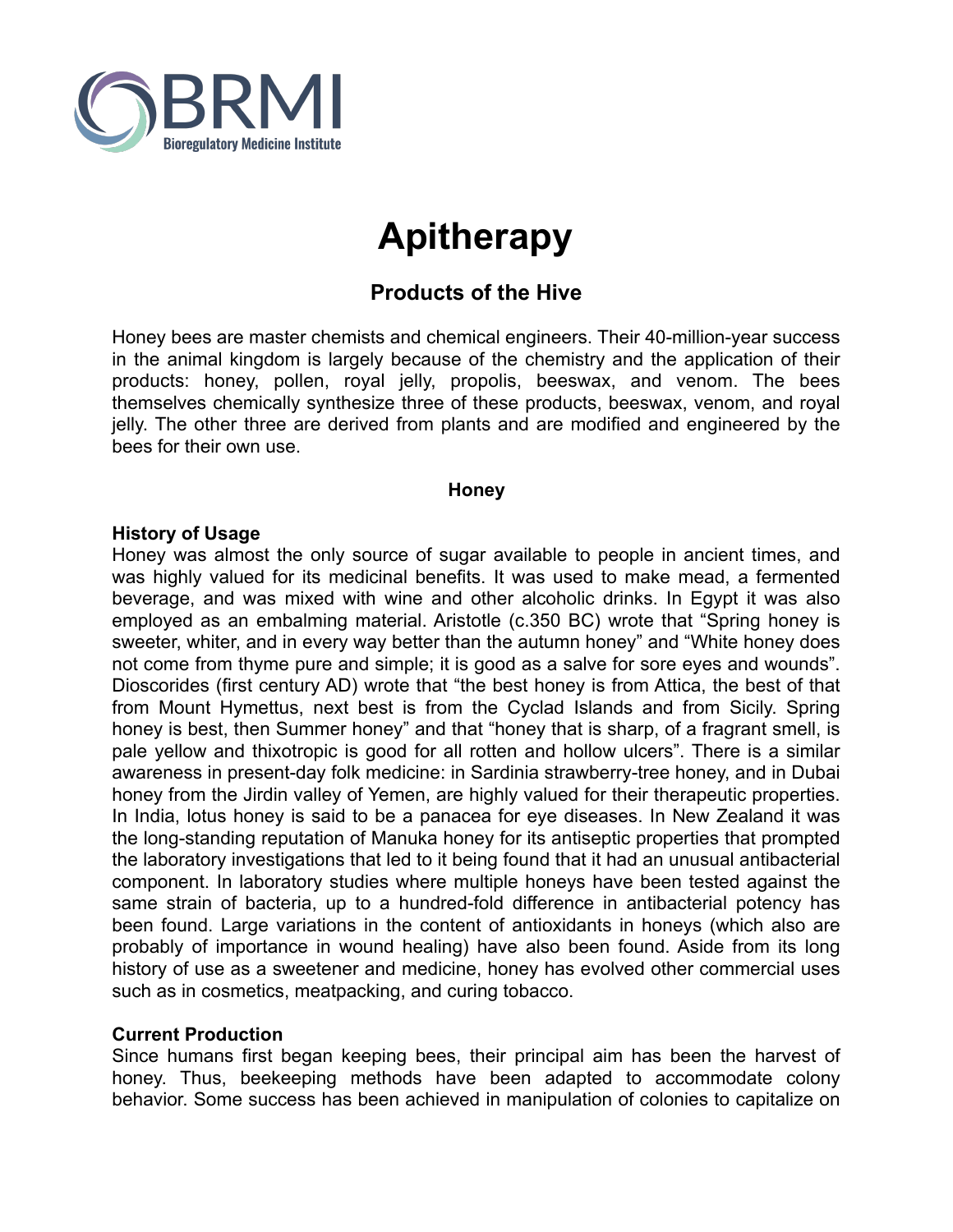

# **Apitherapy**

# **Products of the Hive**

Honey bees are master chemists and chemical engineers. Their 40-million-year success in the animal kingdom is largely because of the chemistry and the application of their products: honey, pollen, royal jelly, propolis, beeswax, and venom. The bees themselves chemically synthesize three of these products, beeswax, venom, and royal jelly. The other three are derived from plants and are modified and engineered by the bees for their own use.

## **Honey**

## **History of Usage**

Honey was almost the only source of sugar available to people in ancient times, and was highly valued for its medicinal benefits. It was used to make mead, a fermented beverage, and was mixed with wine and other alcoholic drinks. In Egypt it was also employed as an embalming material. Aristotle (c.350 BC) wrote that "Spring honey is sweeter, whiter, and in every way better than the autumn honey" and "White honey does not come from thyme pure and simple; it is good as a salve for sore eyes and wounds". Dioscorides (first century AD) wrote that "the best honey is from Attica, the best of that from Mount Hymettus, next best is from the Cyclad Islands and from Sicily. Spring honey is best, then Summer honey" and that "honey that is sharp, of a fragrant smell, is pale yellow and thixotropic is good for all rotten and hollow ulcers". There is a similar awareness in present-day folk medicine: in Sardinia strawberry-tree honey, and in Dubai honey from the Jirdin valley of Yemen, are highly valued for their therapeutic properties. In India, lotus honey is said to be a panacea for eye diseases. In New Zealand it was the long-standing reputation of Manuka honey for its antiseptic properties that prompted the laboratory investigations that led to it being found that it had an unusual antibacterial component. In laboratory studies where multiple honeys have been tested against the same strain of bacteria, up to a hundred-fold difference in antibacterial potency has been found. Large variations in the content of antioxidants in honeys (which also are probably of importance in wound healing) have also been found. Aside from its long history of use as a sweetener and medicine, honey has evolved other commercial uses such as in cosmetics, meatpacking, and curing tobacco.

## **Current Production**

Since humans first began keeping bees, their principal aim has been the harvest of honey. Thus, beekeeping methods have been adapted to accommodate colony behavior. Some success has been achieved in manipulation of colonies to capitalize on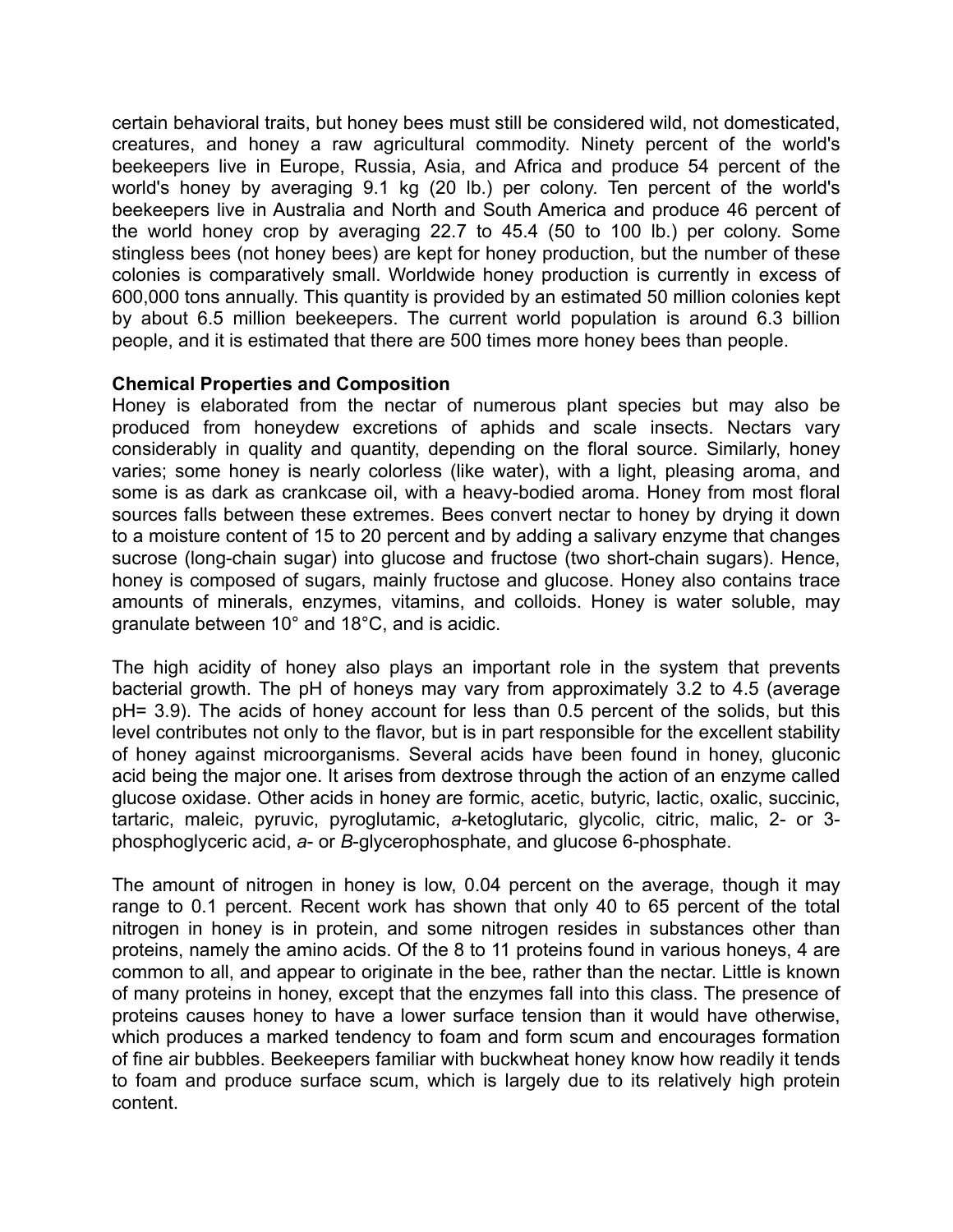certain behavioral traits, but honey bees must still be considered wild, not domesticated, creatures, and honey a raw agricultural commodity. Ninety percent of the world's beekeepers live in Europe, Russia, Asia, and Africa and produce 54 percent of the world's honey by averaging 9.1 kg (20 lb.) per colony. Ten percent of the world's beekeepers live in Australia and North and South America and produce 46 percent of the world honey crop by averaging 22.7 to 45.4 (50 to 100 lb.) per colony. Some stingless bees (not honey bees) are kept for honey production, but the number of these colonies is comparatively small. Worldwide honey production is currently in excess of 600,000 tons annually. This quantity is provided by an estimated 50 million colonies kept by about 6.5 million beekeepers. The current world population is around 6.3 billion people, and it is estimated that there are 500 times more honey bees than people.

## **Chemical Properties and Composition**

Honey is elaborated from the nectar of numerous plant species but may also be produced from honeydew excretions of aphids and scale insects. Nectars vary considerably in quality and quantity, depending on the floral source. Similarly, honey varies; some honey is nearly colorless (like water), with a light, pleasing aroma, and some is as dark as crankcase oil, with a heavy-bodied aroma. Honey from most floral sources falls between these extremes. Bees convert nectar to honey by drying it down to a moisture content of 15 to 20 percent and by adding a salivary enzyme that changes sucrose (long-chain sugar) into glucose and fructose (two short-chain sugars). Hence, honey is composed of sugars, mainly fructose and glucose. Honey also contains trace amounts of minerals, enzymes, vitamins, and colloids. Honey is water soluble, may granulate between 10° and 18°C, and is acidic.

The high acidity of honey also plays an important role in the system that prevents bacterial growth. The pH of honeys may vary from approximately 3.2 to 4.5 (average pH= 3.9). The acids of honey account for less than 0.5 percent of the solids, but this level contributes not only to the flavor, but is in part responsible for the excellent stability of honey against microorganisms. Several acids have been found in honey, gluconic acid being the major one. It arises from dextrose through the action of an enzyme called glucose oxidase. Other acids in honey are formic, acetic, butyric, lactic, oxalic, succinic, tartaric, maleic, pyruvic, pyroglutamic, *a*-ketoglutaric, glycolic, citric, malic, 2- or 3 phosphoglyceric acid, *a*- or *B*-glycerophosphate, and glucose 6-phosphate.

The amount of nitrogen in honey is low, 0.04 percent on the average, though it may range to 0.1 percent. Recent work has shown that only 40 to 65 percent of the total nitrogen in honey is in protein, and some nitrogen resides in substances other than proteins, namely the amino acids. Of the 8 to 11 proteins found in various honeys, 4 are common to all, and appear to originate in the bee, rather than the nectar. Little is known of many proteins in honey, except that the enzymes fall into this class. The presence of proteins causes honey to have a lower surface tension than it would have otherwise, which produces a marked tendency to foam and form scum and encourages formation of fine air bubbles. Beekeepers familiar with buckwheat honey know how readily it tends to foam and produce surface scum, which is largely due to its relatively high protein content.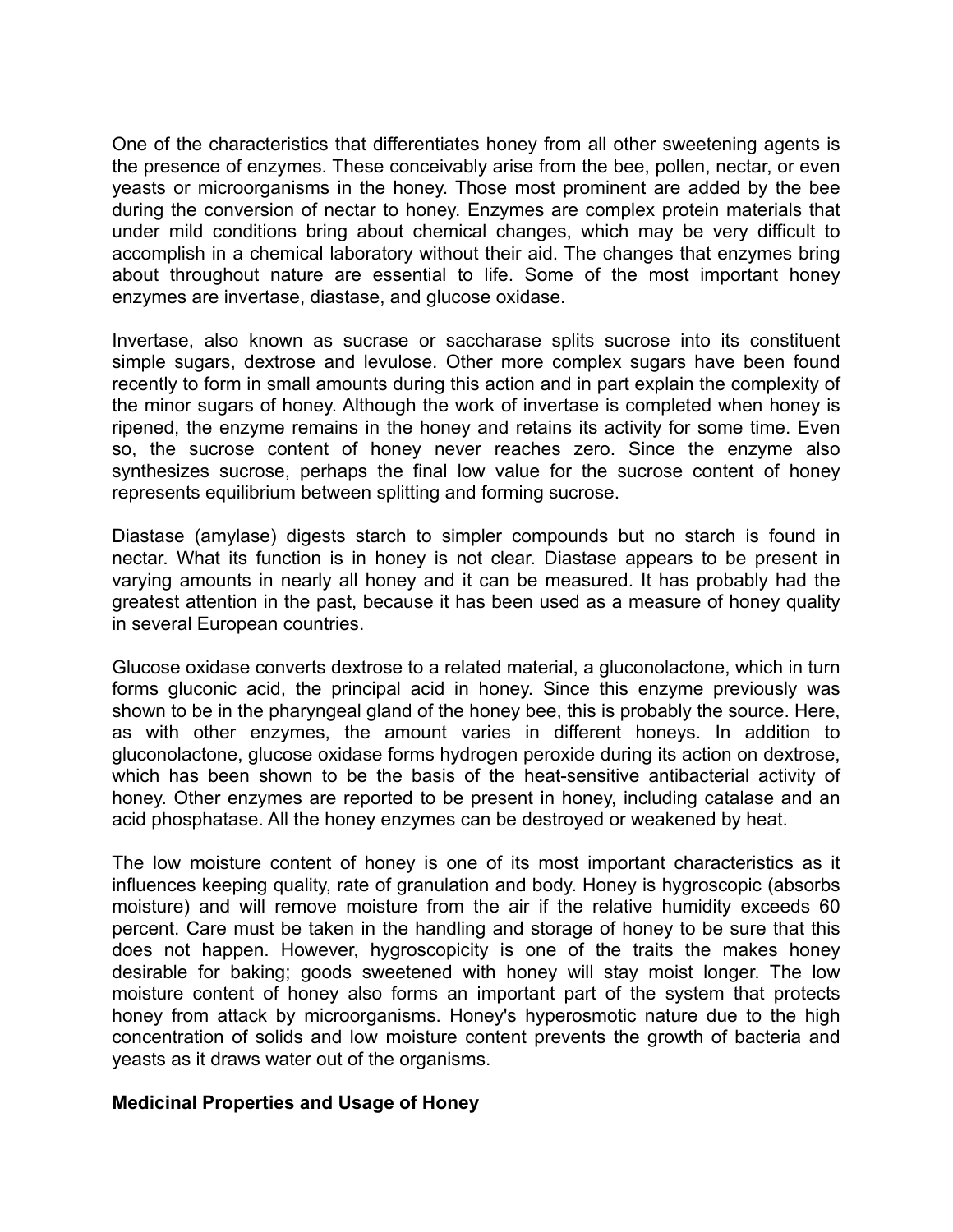One of the characteristics that differentiates honey from all other sweetening agents is the presence of enzymes. These conceivably arise from the bee, pollen, nectar, or even yeasts or microorganisms in the honey. Those most prominent are added by the bee during the conversion of nectar to honey. Enzymes are complex protein materials that under mild conditions bring about chemical changes, which may be very difficult to accomplish in a chemical laboratory without their aid. The changes that enzymes bring about throughout nature are essential to life. Some of the most important honey enzymes are invertase, diastase, and glucose oxidase.

Invertase, also known as sucrase or saccharase splits sucrose into its constituent simple sugars, dextrose and levulose. Other more complex sugars have been found recently to form in small amounts during this action and in part explain the complexity of the minor sugars of honey. Although the work of invertase is completed when honey is ripened, the enzyme remains in the honey and retains its activity for some time. Even so, the sucrose content of honey never reaches zero. Since the enzyme also synthesizes sucrose, perhaps the final low value for the sucrose content of honey represents equilibrium between splitting and forming sucrose.

Diastase (amylase) digests starch to simpler compounds but no starch is found in nectar. What its function is in honey is not clear. Diastase appears to be present in varying amounts in nearly all honey and it can be measured. It has probably had the greatest attention in the past, because it has been used as a measure of honey quality in several European countries.

Glucose oxidase converts dextrose to a related material, a gluconolactone, which in turn forms gluconic acid, the principal acid in honey. Since this enzyme previously was shown to be in the pharyngeal gland of the honey bee, this is probably the source. Here, as with other enzymes, the amount varies in different honeys. In addition to gluconolactone, glucose oxidase forms hydrogen peroxide during its action on dextrose, which has been shown to be the basis of the heat-sensitive antibacterial activity of honey. Other enzymes are reported to be present in honey, including catalase and an acid phosphatase. All the honey enzymes can be destroyed or weakened by heat.

The low moisture content of honey is one of its most important characteristics as it influences keeping quality, rate of granulation and body. Honey is hygroscopic (absorbs moisture) and will remove moisture from the air if the relative humidity exceeds 60 percent. Care must be taken in the handling and storage of honey to be sure that this does not happen. However, hygroscopicity is one of the traits the makes honey desirable for baking; goods sweetened with honey will stay moist longer. The low moisture content of honey also forms an important part of the system that protects honey from attack by microorganisms. Honey's hyperosmotic nature due to the high concentration of solids and low moisture content prevents the growth of bacteria and yeasts as it draws water out of the organisms.

## **Medicinal Properties and Usage of Honey**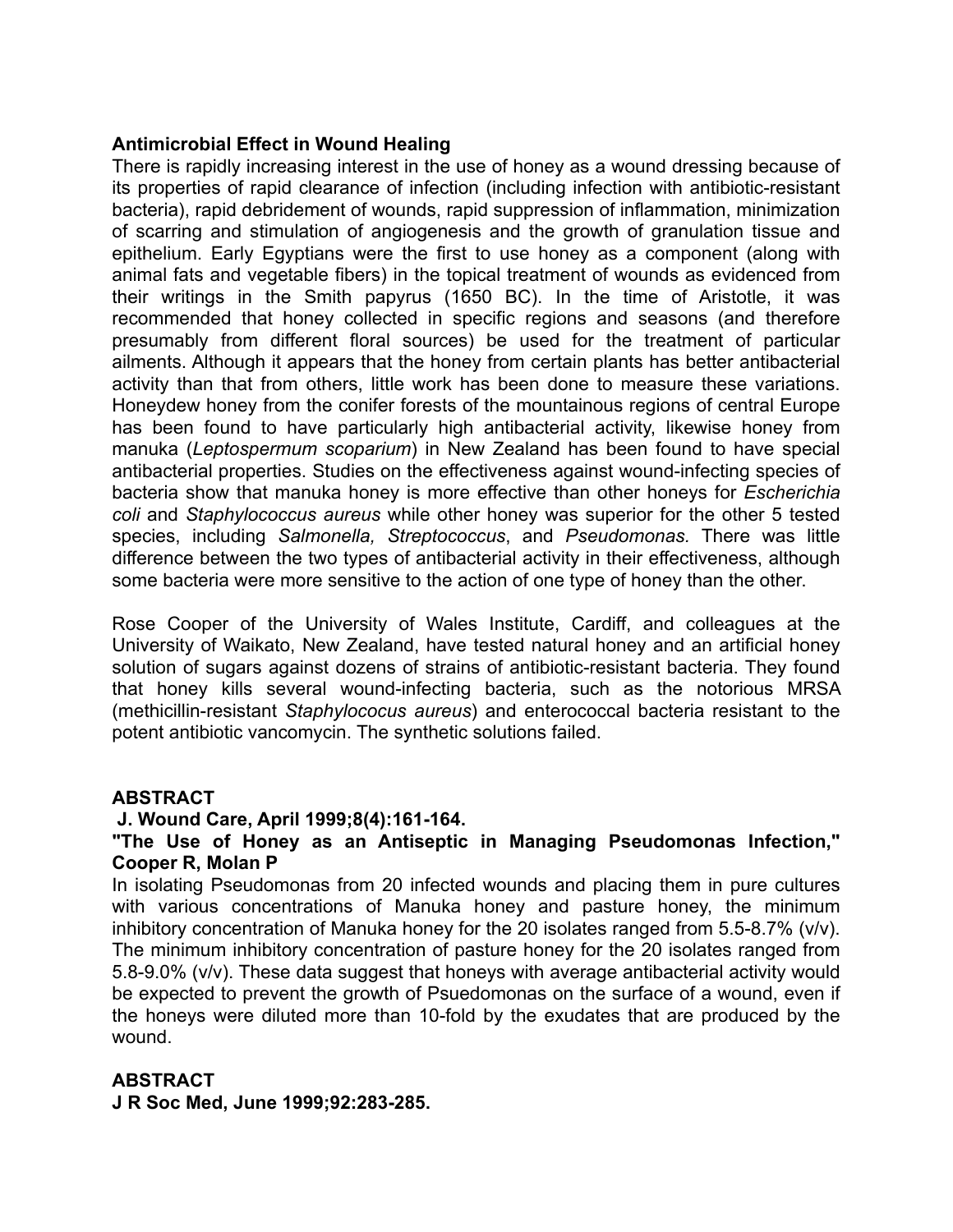## **Antimicrobial Effect in Wound Healing**

There is rapidly increasing interest in the use of honey as a wound dressing because of its properties of rapid clearance of infection (including infection with antibiotic-resistant bacteria), rapid debridement of wounds, rapid suppression of inflammation, minimization of scarring and stimulation of angiogenesis and the growth of granulation tissue and epithelium. Early Egyptians were the first to use honey as a component (along with animal fats and vegetable fibers) in the topical treatment of wounds as evidenced from their writings in the Smith papyrus (1650 BC). In the time of Aristotle, it was recommended that honey collected in specific regions and seasons (and therefore presumably from different floral sources) be used for the treatment of particular ailments. Although it appears that the honey from certain plants has better antibacterial activity than that from others, little work has been done to measure these variations. Honeydew honey from the conifer forests of the mountainous regions of central Europe has been found to have particularly high antibacterial activity, likewise honey from manuka (*Leptospermum scoparium*) in New Zealand has been found to have special antibacterial properties. Studies on the effectiveness against wound-infecting species of bacteria show that manuka honey is more effective than other honeys for *Escherichia coli* and *Staphylococcus aureus* while other honey was superior for the other 5 tested species, including *Salmonella, Streptococcus*, and *Pseudomonas.* There was little difference between the two types of antibacterial activity in their effectiveness, although some bacteria were more sensitive to the action of one type of honey than the other.

Rose Cooper of the University of Wales Institute, Cardiff, and colleagues at the University of Waikato, New Zealand, have tested natural honey and an artificial honey solution of sugars against dozens of strains of antibiotic-resistant bacteria. They found that honey kills several wound-infecting bacteria, such as the notorious MRSA (methicillin-resistant *Staphylococus aureus*) and enterococcal bacteria resistant to the potent antibiotic vancomycin. The synthetic solutions failed.

## **ABSTRACT**

## **J. Wound Care, April 1999;8(4):161-164.**

## **"The Use of Honey as an Antiseptic in Managing Pseudomonas Infection," Cooper R, Molan P**

In isolating Pseudomonas from 20 infected wounds and placing them in pure cultures with various concentrations of Manuka honey and pasture honey, the minimum inhibitory concentration of Manuka honey for the 20 isolates ranged from 5.5-8.7% (v/v). The minimum inhibitory concentration of pasture honey for the 20 isolates ranged from 5.8-9.0% (v/v). These data suggest that honeys with average antibacterial activity would be expected to prevent the growth of Psuedomonas on the surface of a wound, even if the honeys were diluted more than 10-fold by the exudates that are produced by the wound.

## **ABSTRACT**

**J R Soc Med, June 1999;92:283-285.**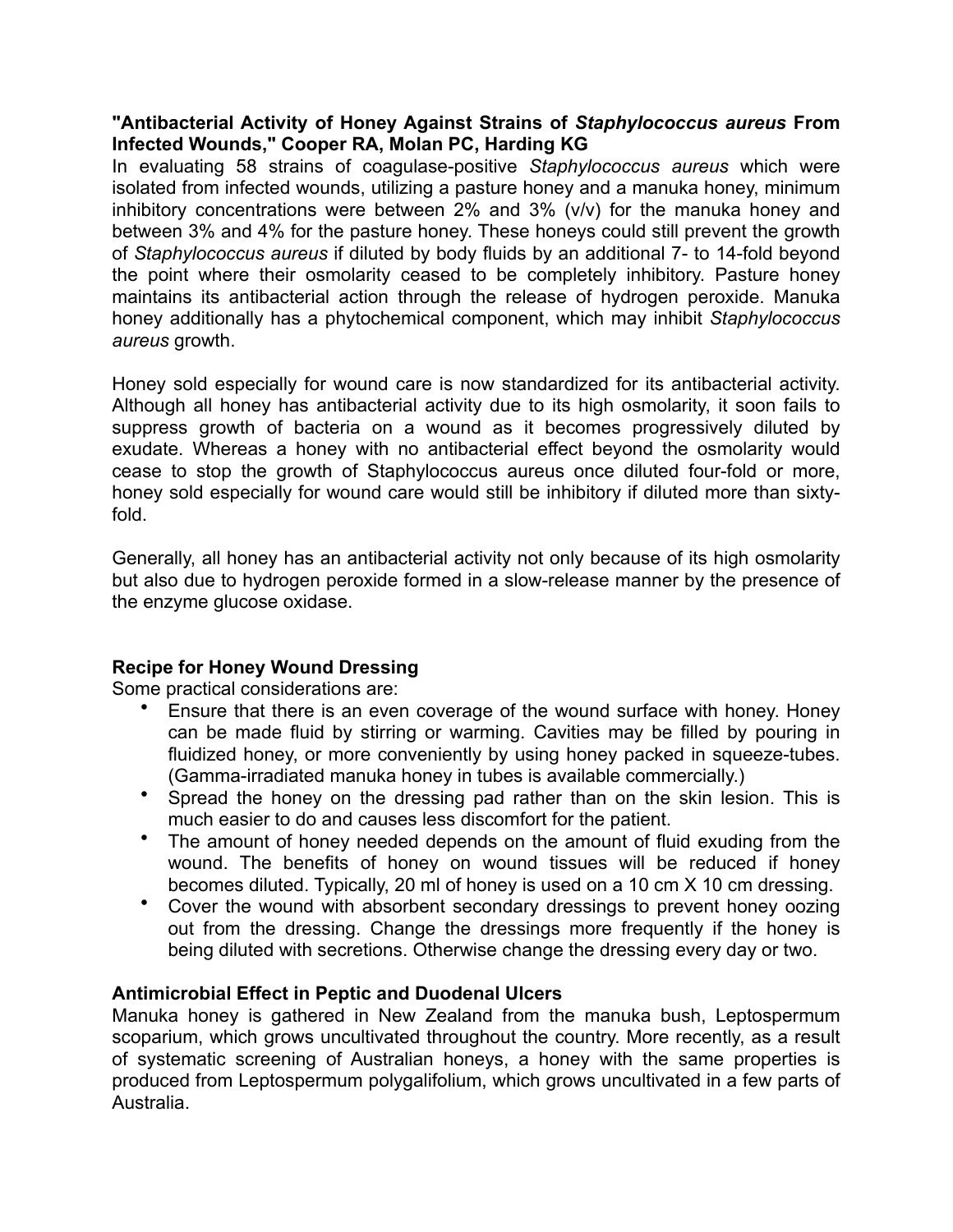## **"Antibacterial Activity of Honey Against Strains of** *Staphylococcus aureus* **From Infected Wounds," Cooper RA, Molan PC, Harding KG**

In evaluating 58 strains of coagulase-positive *Staphylococcus aureus* which were isolated from infected wounds, utilizing a pasture honey and a manuka honey, minimum inhibitory concentrations were between 2% and 3% (v/v) for the manuka honey and between 3% and 4% for the pasture honey. These honeys could still prevent the growth of *Staphylococcus aureus* if diluted by body fluids by an additional 7- to 14-fold beyond the point where their osmolarity ceased to be completely inhibitory. Pasture honey maintains its antibacterial action through the release of hydrogen peroxide. Manuka honey additionally has a phytochemical component, which may inhibit *Staphylococcus aureus* growth.

Honey sold especially for wound care is now standardized for its antibacterial activity. Although all honey has antibacterial activity due to its high osmolarity, it soon fails to suppress growth of bacteria on a wound as it becomes progressively diluted by exudate. Whereas a honey with no antibacterial effect beyond the osmolarity would cease to stop the growth of Staphylococcus aureus once diluted four-fold or more, honey sold especially for wound care would still be inhibitory if diluted more than sixtyfold.

Generally, all honey has an antibacterial activity not only because of its high osmolarity but also due to hydrogen peroxide formed in a slow-release manner by the presence of the enzyme glucose oxidase.

# **Recipe for Honey Wound Dressing**

Some practical considerations are:

- Ensure that there is an even coverage of the wound surface with honey. Honey can be made fluid by stirring or warming. Cavities may be filled by pouring in fluidized honey, or more conveniently by using honey packed in squeeze-tubes. (Gamma-irradiated manuka honey in tubes is available commercially.)
- Spread the honey on the dressing pad rather than on the skin lesion. This is much easier to do and causes less discomfort for the patient.
- The amount of honey needed depends on the amount of fluid exuding from the wound. The benefits of honey on wound tissues will be reduced if honey becomes diluted. Typically, 20 ml of honey is used on a 10 cm X 10 cm dressing.
- Cover the wound with absorbent secondary dressings to prevent honey oozing out from the dressing. Change the dressings more frequently if the honey is being diluted with secretions. Otherwise change the dressing every day or two.

# **Antimicrobial Effect in Peptic and Duodenal Ulcers**

Manuka honey is gathered in New Zealand from the manuka bush, Leptospermum scoparium, which grows uncultivated throughout the country. More recently, as a result of systematic screening of Australian honeys, a honey with the same properties is produced from Leptospermum polygalifolium, which grows uncultivated in a few parts of Australia.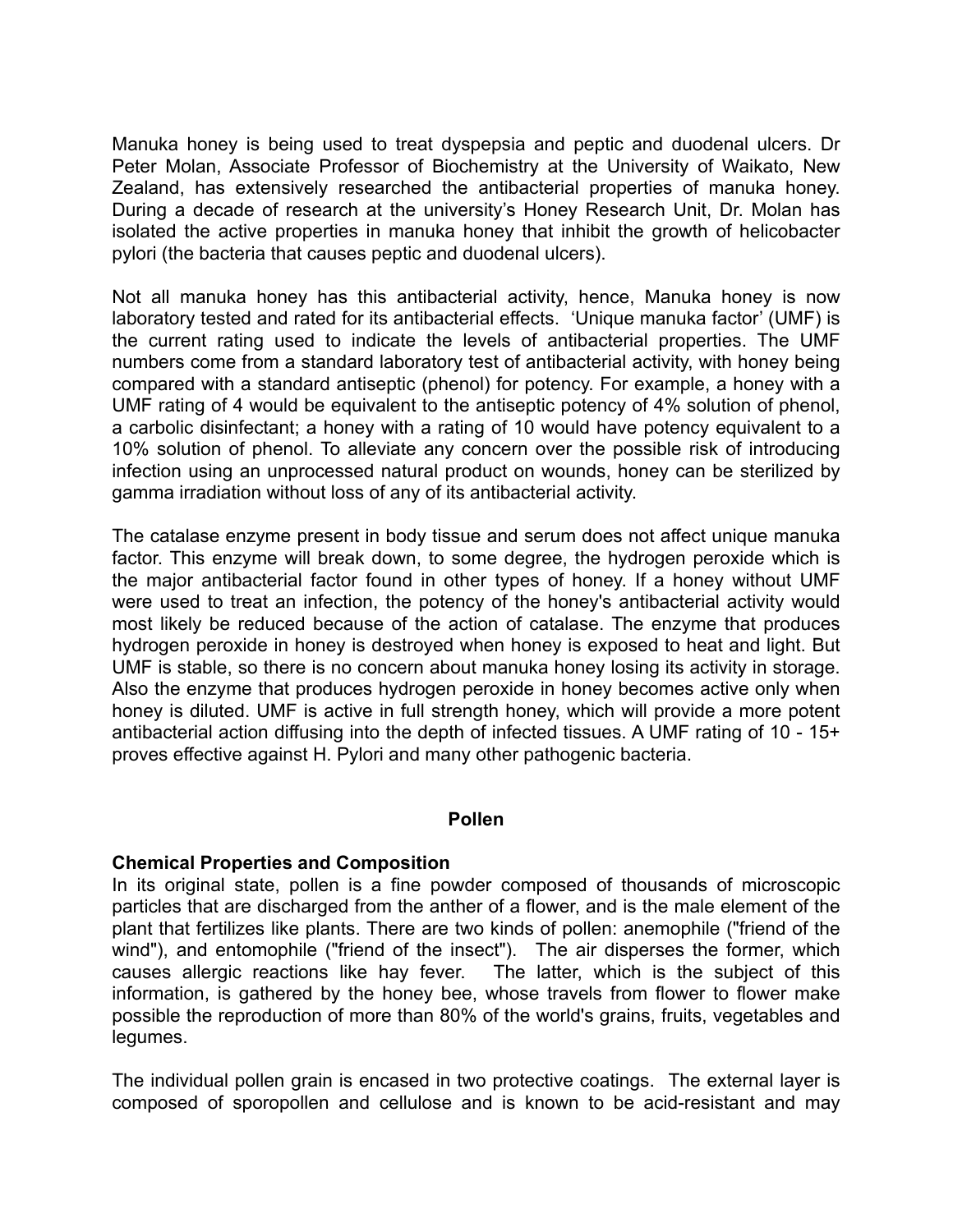Manuka honey is being used to treat dyspepsia and peptic and duodenal ulcers. Dr Peter Molan, Associate Professor of Biochemistry at the University of Waikato, New Zealand, has extensively researched the antibacterial properties of manuka honey. During a decade of research at the university's Honey Research Unit, Dr. Molan has isolated the active properties in manuka honey that inhibit the growth of helicobacter pylori (the bacteria that causes peptic and duodenal ulcers).

Not all manuka honey has this antibacterial activity, hence, Manuka honey is now laboratory tested and rated for its antibacterial effects. 'Unique manuka factor' (UMF) is the current rating used to indicate the levels of antibacterial properties. The UMF numbers come from a standard laboratory test of antibacterial activity, with honey being compared with a standard antiseptic (phenol) for potency. For example, a honey with a UMF rating of 4 would be equivalent to the antiseptic potency of 4% solution of phenol, a carbolic disinfectant; a honey with a rating of 10 would have potency equivalent to a 10% solution of phenol. To alleviate any concern over the possible risk of introducing infection using an unprocessed natural product on wounds, honey can be sterilized by gamma irradiation without loss of any of its antibacterial activity.

The catalase enzyme present in body tissue and serum does not affect unique manuka factor. This enzyme will break down, to some degree, the hydrogen peroxide which is the major antibacterial factor found in other types of honey. If a honey without UMF were used to treat an infection, the potency of the honey's antibacterial activity would most likely be reduced because of the action of catalase. The enzyme that produces hydrogen peroxide in honey is destroyed when honey is exposed to heat and light. But UMF is stable, so there is no concern about manuka honey losing its activity in storage. Also the enzyme that produces hydrogen peroxide in honey becomes active only when honey is diluted. UMF is active in full strength honey, which will provide a more potent antibacterial action diffusing into the depth of infected tissues. A UMF rating of 10 - 15+ proves effective against H. Pylori and many other pathogenic bacteria.

#### **Pollen**

#### **Chemical Properties and Composition**

In its original state, pollen is a fine powder composed of thousands of microscopic particles that are discharged from the anther of a flower, and is the male element of the plant that fertilizes like plants. There are two kinds of pollen: anemophile ("friend of the wind"), and entomophile ("friend of the insect"). The air disperses the former, which causes allergic reactions like hay fever. The latter, which is the subject of this information, is gathered by the honey bee, whose travels from flower to flower make possible the reproduction of more than 80% of the world's grains, fruits, vegetables and legumes.

The individual pollen grain is encased in two protective coatings. The external layer is composed of sporopollen and cellulose and is known to be acid-resistant and may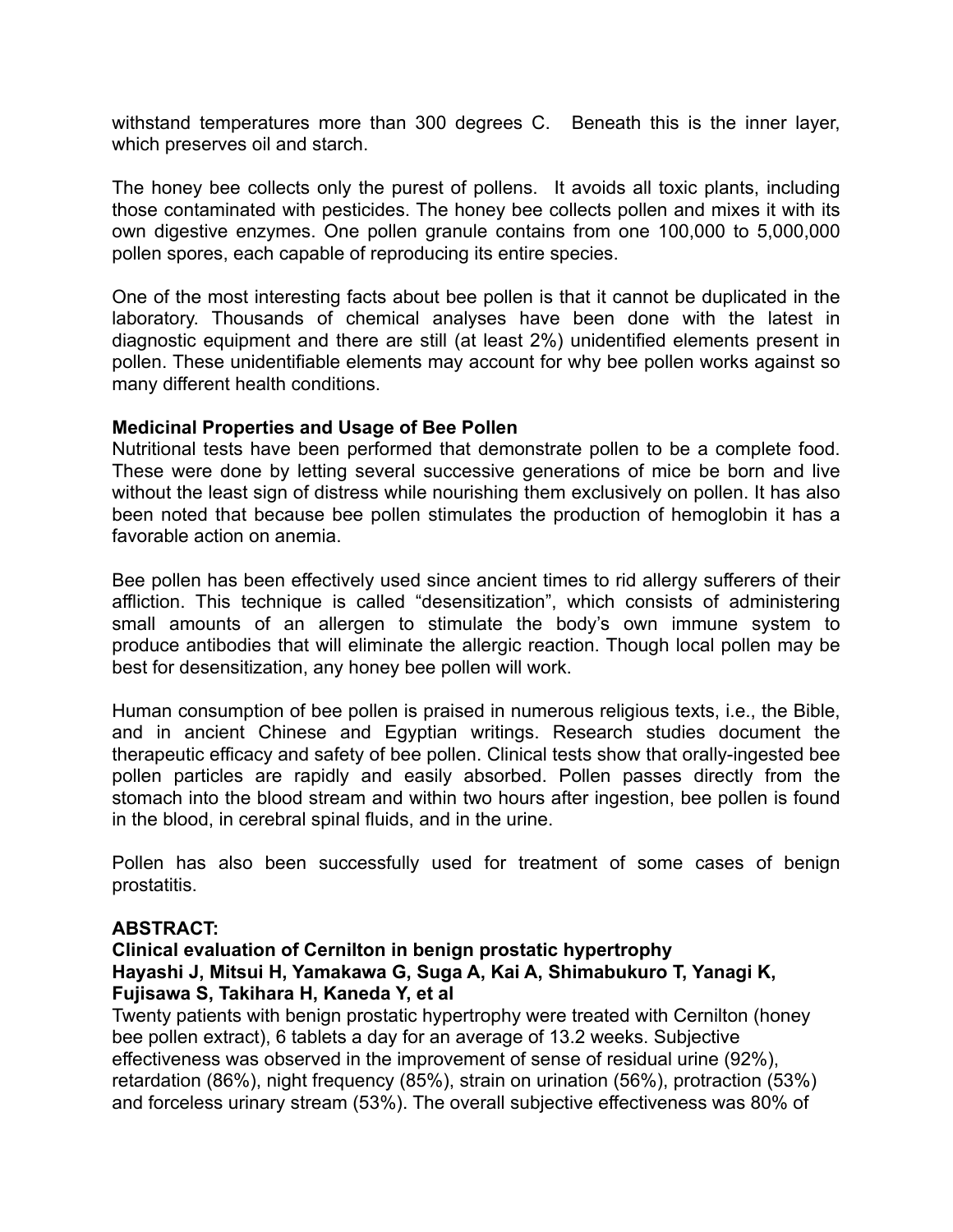withstand temperatures more than 300 degrees C. Beneath this is the inner layer, which preserves oil and starch.

The honey bee collects only the purest of pollens. It avoids all toxic plants, including those contaminated with pesticides. The honey bee collects pollen and mixes it with its own digestive enzymes. One pollen granule contains from one 100,000 to 5,000,000 pollen spores, each capable of reproducing its entire species.

One of the most interesting facts about bee pollen is that it cannot be duplicated in the laboratory. Thousands of chemical analyses have been done with the latest in diagnostic equipment and there are still (at least 2%) unidentified elements present in pollen. These unidentifiable elements may account for why bee pollen works against so many different health conditions.

## **Medicinal Properties and Usage of Bee Pollen**

Nutritional tests have been performed that demonstrate pollen to be a complete food. These were done by letting several successive generations of mice be born and live without the least sign of distress while nourishing them exclusively on pollen. It has also been noted that because bee pollen stimulates the production of hemoglobin it has a favorable action on anemia.

Bee pollen has been effectively used since ancient times to rid allergy sufferers of their affliction. This technique is called "desensitization", which consists of administering small amounts of an allergen to stimulate the body's own immune system to produce antibodies that will eliminate the allergic reaction. Though local pollen may be best for desensitization, any honey bee pollen will work.

Human consumption of bee pollen is praised in numerous religious texts, i.e., the Bible, and in ancient Chinese and Egyptian writings. Research studies document the therapeutic efficacy and safety of bee pollen. Clinical tests show that orally-ingested bee pollen particles are rapidly and easily absorbed. Pollen passes directly from the stomach into the blood stream and within two hours after ingestion, bee pollen is found in the blood, in cerebral spinal fluids, and in the urine.

Pollen has also been successfully used for treatment of some cases of benign prostatitis.

#### **ABSTRACT:**

## **Clinical evaluation of Cernilton in benign prostatic hypertrophy Hayashi J, Mitsui H, Yamakawa G, Suga A, Kai A, Shimabukuro T, Yanagi K, Fujisawa S, Takihara H, Kaneda Y, et al**

Twenty patients with benign prostatic hypertrophy were treated with Cernilton (honey bee pollen extract), 6 tablets a day for an average of 13.2 weeks. Subjective effectiveness was observed in the improvement of sense of residual urine (92%), retardation (86%), night frequency (85%), strain on urination (56%), protraction (53%) and forceless urinary stream (53%). The overall subjective effectiveness was 80% of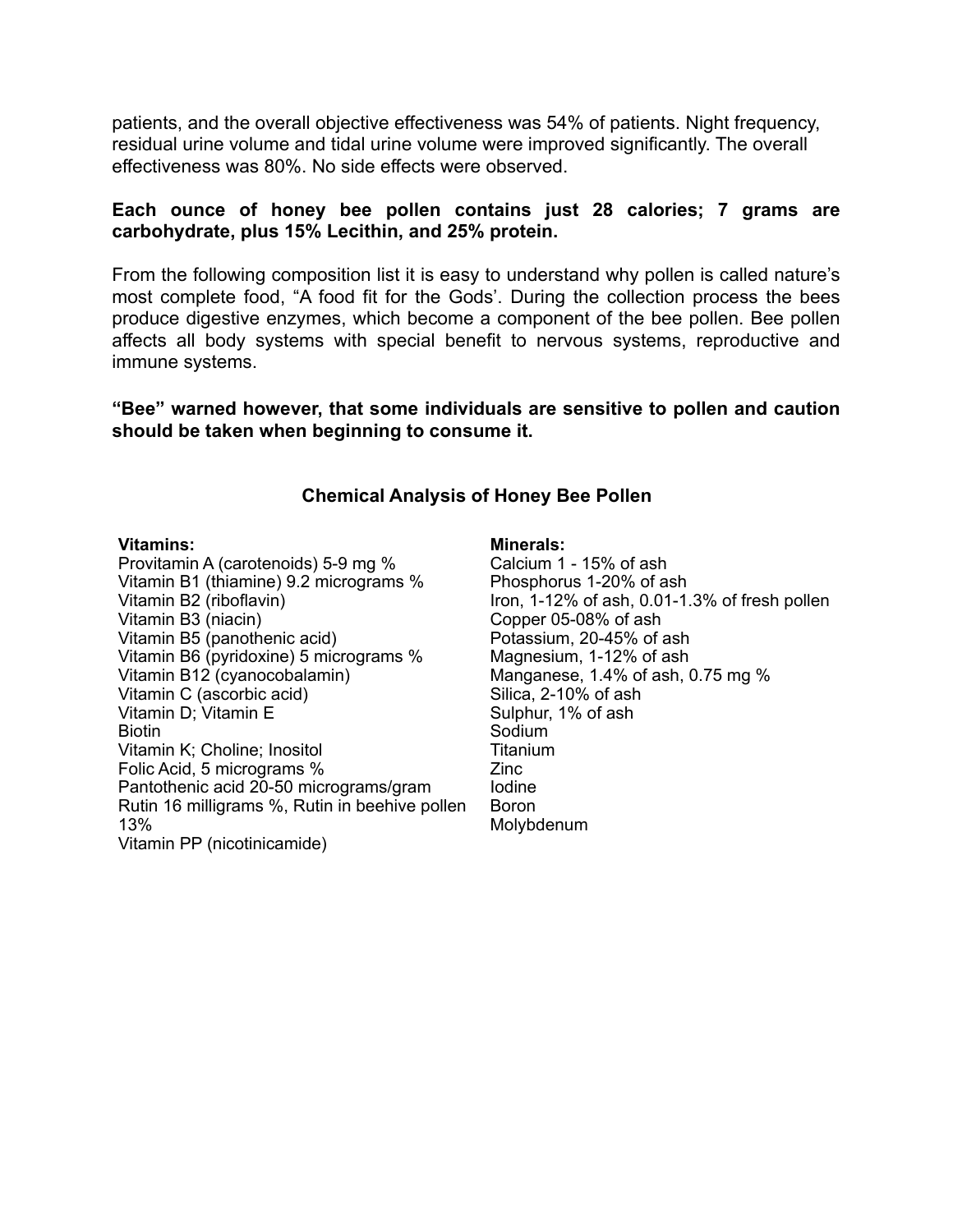patients, and the overall objective effectiveness was 54% of patients. Night frequency, residual urine volume and tidal urine volume were improved significantly. The overall effectiveness was 80%. No side effects were observed.

## **Each ounce of honey bee pollen contains just 28 calories; 7 grams are carbohydrate, plus 15% Lecithin, and 25% protein.**

From the following composition list it is easy to understand why pollen is called nature's most complete food, "A food fit for the Gods'. During the collection process the bees produce digestive enzymes, which become a component of the bee pollen. Bee pollen affects all body systems with special benefit to nervous systems, reproductive and immune systems.

**"Bee" warned however, that some individuals are sensitive to pollen and caution should be taken when beginning to consume it.** 

#### **Chemical Analysis of Honey Bee Pollen**

#### **Vitamins:**

Provitamin A (carotenoids) 5-9 mg % Vitamin B1 (thiamine) 9.2 micrograms % Vitamin B2 (riboflavin) Vitamin B3 (niacin) Vitamin B5 (panothenic acid) Vitamin B6 (pyridoxine) 5 micrograms % Vitamin B12 (cyanocobalamin) Vitamin C (ascorbic acid) Vitamin D; Vitamin E Biotin Vitamin K; Choline; Inositol Folic Acid, 5 micrograms % Pantothenic acid 20-50 micrograms/gram Rutin 16 milligrams %, Rutin in beehive pollen 13% Vitamin PP (nicotinicamide)

#### **Minerals:**

Calcium 1 - 15% of ash Phosphorus 1-20% of ash Iron, 1-12% of ash, 0.01-1.3% of fresh pollen Copper 05-08% of ash Potassium, 20-45% of ash Magnesium, 1-12% of ash Manganese, 1.4% of ash, 0.75 mg % Silica, 2-10% of ash Sulphur, 1% of ash Sodium Titanium Zinc Iodine Boron Molybdenum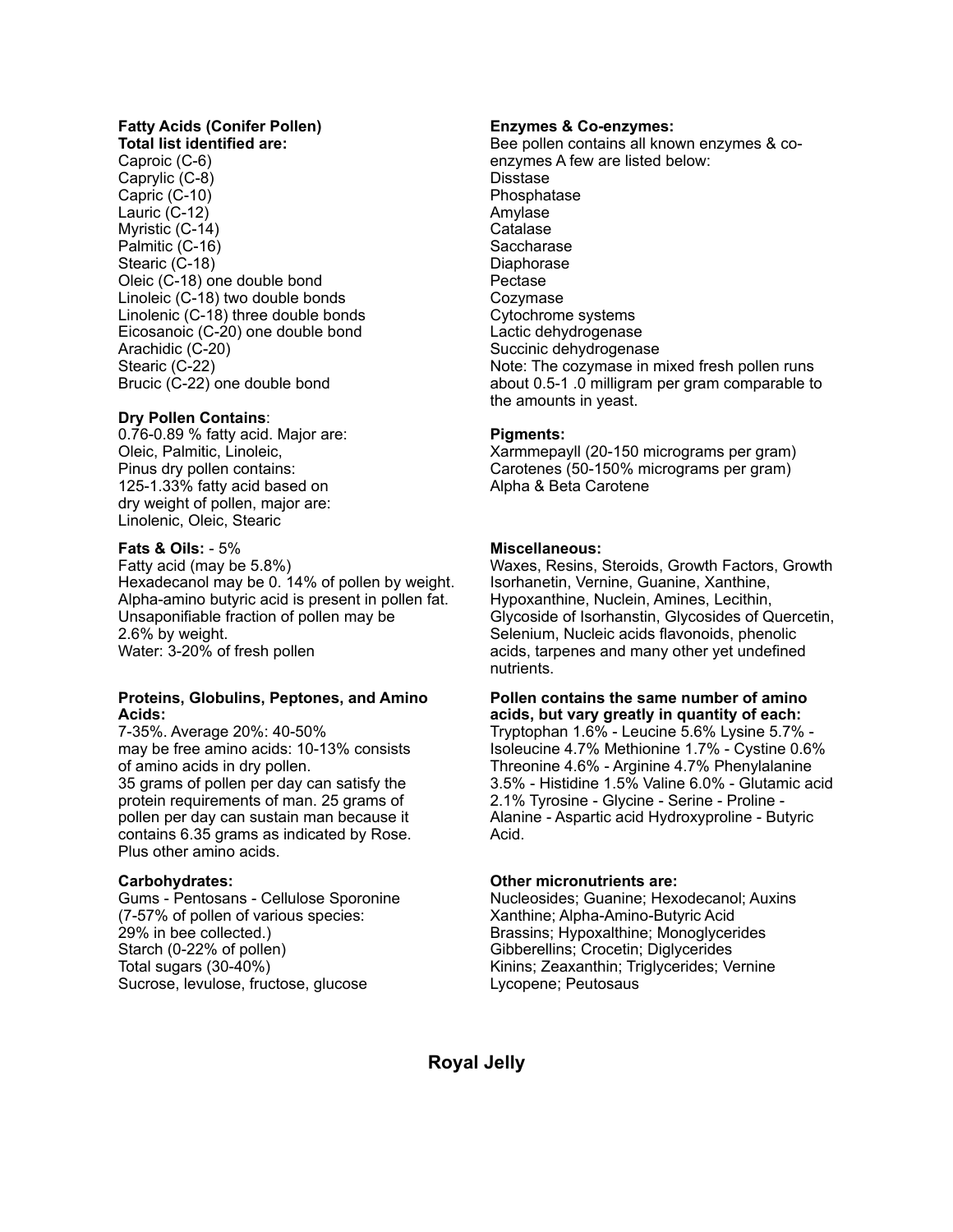# **Fatty Acids (Conifer Pollen)**

**Total list identified are:** Caproic (C-6) Caprylic (C-8) Capric (C-10) Lauric (C-12) Myristic (C-14) Palmitic (C-16) Stearic (C-18) Oleic (C-18) one double bond Linoleic (C-18) two double bonds Linolenic (C-18) three double bonds Eicosanoic (C-20) one double bond Arachidic (C-20) Stearic (C-22) Brucic (C-22) one double bond

#### **Dry Pollen Contains**:

0.76-0.89 % fatty acid. Major are: Oleic, Palmitic, Linoleic, Pinus dry pollen contains: 125-1.33% fatty acid based on dry weight of pollen, major are: Linolenic, Oleic, Stearic

#### **Fats & Oils:** - 5%

Fatty acid (may be 5.8%) Hexadecanol may be 0. 14% of pollen by weight. Alpha-amino butyric acid is present in pollen fat. Unsaponifiable fraction of pollen may be 2.6% by weight. Water: 3-20% of fresh pollen

#### **Proteins, Globulins, Peptones, and Amino Acids:**

7-35%. Average 20%: 40-50% may be free amino acids: 10-13% consists of amino acids in dry pollen. 35 grams of pollen per day can satisfy the protein requirements of man. 25 grams of pollen per day can sustain man because it contains 6.35 grams as indicated by Rose. Plus other amino acids.

#### **Carbohydrates:**

Gums - Pentosans - Cellulose Sporonine (7-57% of pollen of various species: 29% in bee collected.) Starch (0-22% of pollen) Total sugars (30-40%) Sucrose, levulose, fructose, glucose

#### **Enzymes & Co-enzymes:**

Bee pollen contains all known enzymes & coenzymes A few are listed below: **Disstase** Phosphatase Amylase **Catalase Saccharase** Diaphorase Pectase Cozymase Cytochrome systems Lactic dehydrogenase Succinic dehydrogenase Note: The cozymase in mixed fresh pollen runs about 0.5-1 .0 milligram per gram comparable to the amounts in yeast.

#### **Pigments:**

Xarmmepayll (20-150 micrograms per gram) Carotenes (50-150% micrograms per gram) Alpha & Beta Carotene

#### **Miscellaneous:**

Waxes, Resins, Steroids, Growth Factors, Growth Isorhanetin, Vernine, Guanine, Xanthine, Hypoxanthine, Nuclein, Amines, Lecithin, Glycoside of Isorhanstin, Glycosides of Quercetin, Selenium, Nucleic acids flavonoids, phenolic acids, tarpenes and many other yet undefined nutrients.

#### **Pollen contains the same number of amino acids, but vary greatly in quantity of each:**

Tryptophan 1.6% - Leucine 5.6% Lysine 5.7% - Isoleucine 4.7% Methionine 1.7% - Cystine 0.6% Threonine 4.6% - Arginine 4.7% Phenylalanine 3.5% - Histidine 1.5% Valine 6.0% - Glutamic acid 2.1% Tyrosine - Glycine - Serine - Proline - Alanine - Aspartic acid Hydroxyproline - Butyric Acid.

#### **Other micronutrients are:**

Nucleosides; Guanine; Hexodecanol; Auxins Xanthine; Alpha-Amino-Butyric Acid Brassins; Hypoxalthine; Monoglycerides Gibberellins; Crocetin; Diglycerides Kinins; Zeaxanthin; Triglycerides; Vernine Lycopene; Peutosaus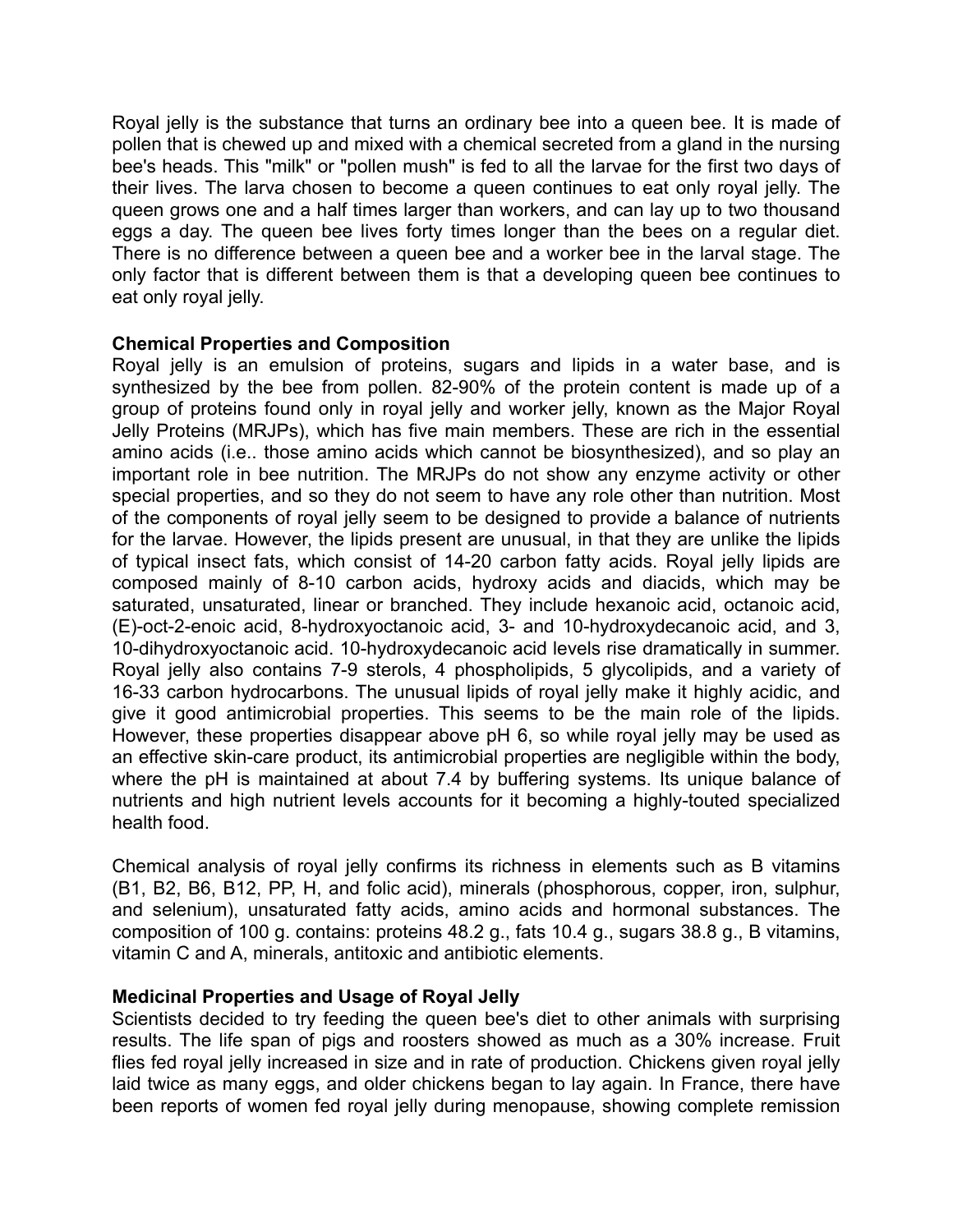Royal jelly is the substance that turns an ordinary bee into a queen bee. It is made of pollen that is chewed up and mixed with a chemical secreted from a gland in the nursing bee's heads. This "milk" or "pollen mush" is fed to all the larvae for the first two days of their lives. The larva chosen to become a queen continues to eat only royal jelly. The queen grows one and a half times larger than workers, and can lay up to two thousand eggs a day. The queen bee lives forty times longer than the bees on a regular diet. There is no difference between a queen bee and a worker bee in the larval stage. The only factor that is different between them is that a developing queen bee continues to eat only royal jelly.

## **Chemical Properties and Composition**

Royal jelly is an emulsion of proteins, sugars and lipids in a water base, and is synthesized by the bee from pollen. 82-90% of the protein content is made up of a group of proteins found only in royal jelly and worker jelly, known as the Major Royal Jelly Proteins (MRJPs), which has five main members. These are rich in the essential amino acids (i.e.. those amino acids which cannot be biosynthesized), and so play an important role in bee nutrition. The MRJPs do not show any enzyme activity or other special properties, and so they do not seem to have any role other than nutrition. Most of the components of royal jelly seem to be designed to provide a balance of nutrients for the larvae. However, the lipids present are unusual, in that they are unlike the lipids of typical insect fats, which consist of 14-20 carbon fatty acids. Royal jelly lipids are composed mainly of 8-10 carbon acids, hydroxy acids and diacids, which may be saturated, unsaturated, linear or branched. They include hexanoic acid, octanoic acid, (E)-oct-2-enoic acid, 8-hydroxyoctanoic acid, 3- and 10-hydroxydecanoic acid, and 3, 10-dihydroxyoctanoic acid. 10-hydroxydecanoic acid levels rise dramatically in summer. Royal jelly also contains 7-9 sterols, 4 phospholipids, 5 glycolipids, and a variety of 16-33 carbon hydrocarbons. The unusual lipids of royal jelly make it highly acidic, and give it good antimicrobial properties. This seems to be the main role of the lipids. However, these properties disappear above pH 6, so while royal jelly may be used as an effective skin-care product, its antimicrobial properties are negligible within the body, where the pH is maintained at about 7.4 by buffering systems. Its unique balance of nutrients and high nutrient levels accounts for it becoming a highly-touted specialized health food.

Chemical analysis of royal jelly confirms its richness in elements such as B vitamins (B1, B2, B6, B12, PP, H, and folic acid), minerals (phosphorous, copper, iron, sulphur, and selenium), unsaturated fatty acids, amino acids and hormonal substances. The composition of 100 g. contains: proteins 48.2 g., fats 10.4 g., sugars 38.8 g., B vitamins, vitamin C and A, minerals, antitoxic and antibiotic elements.

## **Medicinal Properties and Usage of Royal Jelly**

Scientists decided to try feeding the queen bee's diet to other animals with surprising results. The life span of pigs and roosters showed as much as a 30% increase. Fruit flies fed royal jelly increased in size and in rate of production. Chickens given royal jelly laid twice as many eggs, and older chickens began to lay again. In France, there have been reports of women fed royal jelly during menopause, showing complete remission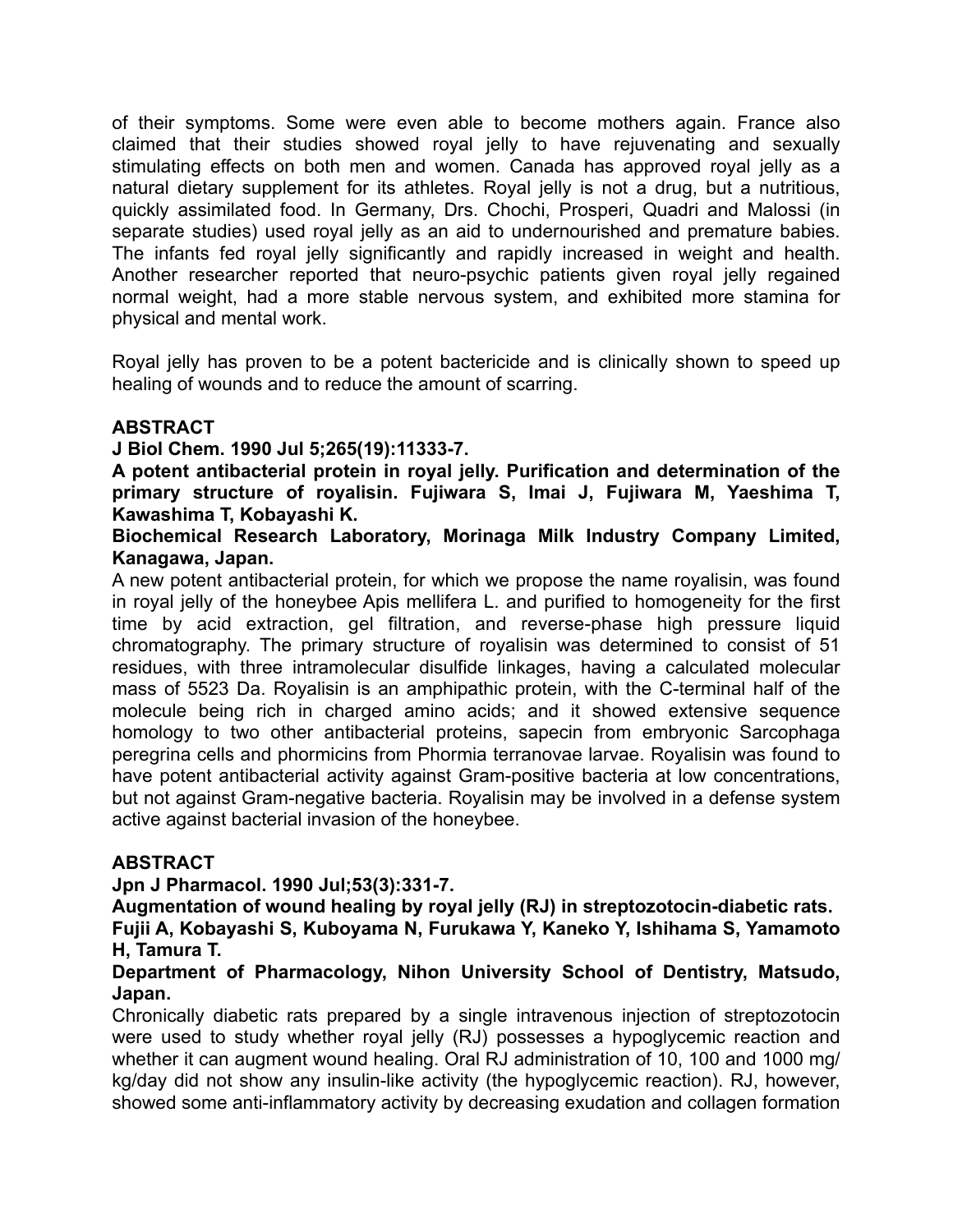of their symptoms. Some were even able to become mothers again. France also claimed that their studies showed royal jelly to have rejuvenating and sexually stimulating effects on both men and women. Canada has approved royal jelly as a natural dietary supplement for its athletes. Royal jelly is not a drug, but a nutritious, quickly assimilated food. In Germany, Drs. Chochi, Prosperi, Quadri and Malossi (in separate studies) used royal jelly as an aid to undernourished and premature babies. The infants fed royal jelly significantly and rapidly increased in weight and health. Another researcher reported that neuro-psychic patients given royal jelly regained normal weight, had a more stable nervous system, and exhibited more stamina for physical and mental work.

Royal jelly has proven to be a potent bactericide and is clinically shown to speed up healing of wounds and to reduce the amount of scarring.

## **ABSTRACT**

**J Biol Chem. 1990 Jul 5;265(19):11333-7.** 

**A potent antibacterial protein in royal jelly. Purification and determination of the primary structure of royalisin. Fujiwara S, Imai J, Fujiwara M, Yaeshima T, Kawashima T, Kobayashi K.** 

**Biochemical Research Laboratory, Morinaga Milk Industry Company Limited, Kanagawa, Japan.**

A new potent antibacterial protein, for which we propose the name royalisin, was found in royal jelly of the honeybee Apis mellifera L. and purified to homogeneity for the first time by acid extraction, gel filtration, and reverse-phase high pressure liquid chromatography. The primary structure of royalisin was determined to consist of 51 residues, with three intramolecular disulfide linkages, having a calculated molecular mass of 5523 Da. Royalisin is an amphipathic protein, with the C-terminal half of the molecule being rich in charged amino acids; and it showed extensive sequence homology to two other antibacterial proteins, sapecin from embryonic Sarcophaga peregrina cells and phormicins from Phormia terranovae larvae. Royalisin was found to have potent antibacterial activity against Gram-positive bacteria at low concentrations, but not against Gram-negative bacteria. Royalisin may be involved in a defense system active against bacterial invasion of the honeybee.

# **ABSTRACT**

**Jpn J Pharmacol. 1990 Jul;53(3):331-7.** 

**Augmentation of wound healing by royal jelly (RJ) in streptozotocin-diabetic rats. Fujii A, Kobayashi S, Kuboyama N, Furukawa Y, Kaneko Y, Ishihama S, Yamamoto H, Tamura T.** 

## **Department of Pharmacology, Nihon University School of Dentistry, Matsudo, Japan.**

Chronically diabetic rats prepared by a single intravenous injection of streptozotocin were used to study whether royal jelly (RJ) possesses a hypoglycemic reaction and whether it can augment wound healing. Oral RJ administration of 10, 100 and 1000 mg/ kg/day did not show any insulin-like activity (the hypoglycemic reaction). RJ, however, showed some anti-inflammatory activity by decreasing exudation and collagen formation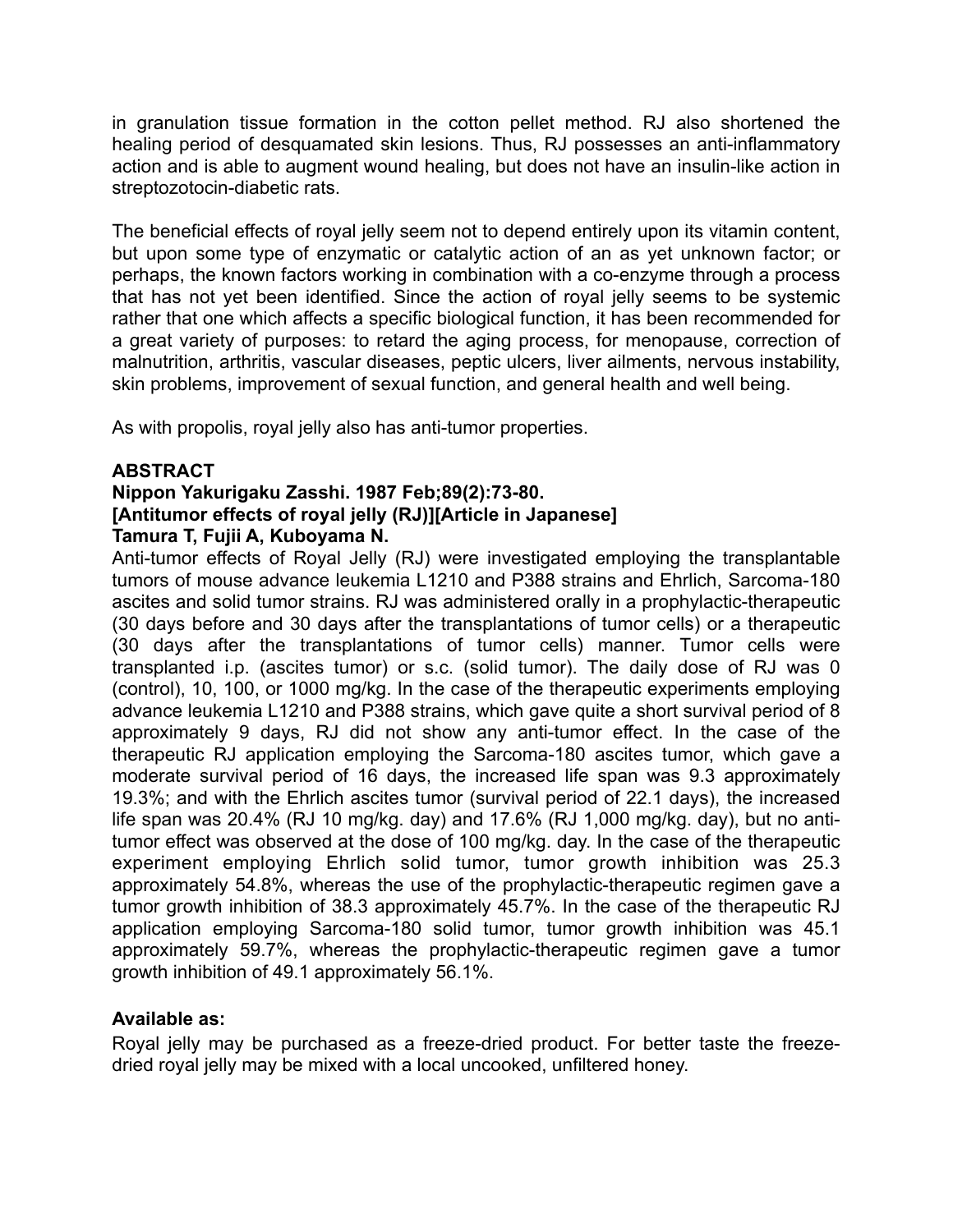in granulation tissue formation in the cotton pellet method. RJ also shortened the healing period of desquamated skin lesions. Thus, RJ possesses an anti-inflammatory action and is able to augment wound healing, but does not have an insulin-like action in streptozotocin-diabetic rats.

The beneficial effects of royal jelly seem not to depend entirely upon its vitamin content, but upon some type of enzymatic or catalytic action of an as yet unknown factor; or perhaps, the known factors working in combination with a co-enzyme through a process that has not yet been identified. Since the action of royal jelly seems to be systemic rather that one which affects a specific biological function, it has been recommended for a great variety of purposes: to retard the aging process, for menopause, correction of malnutrition, arthritis, vascular diseases, peptic ulcers, liver ailments, nervous instability, skin problems, improvement of sexual function, and general health and well being.

As with propolis, royal jelly also has anti-tumor properties.

## **ABSTRACT**

## **Nippon Yakurigaku Zasshi. 1987 Feb;89(2):73-80. [Antitumor effects of royal jelly (RJ)][Article in Japanese] Tamura T, Fujii A, Kuboyama N.**

Anti-tumor effects of Royal Jelly (RJ) were investigated employing the transplantable tumors of mouse advance leukemia L1210 and P388 strains and Ehrlich, Sarcoma-180 ascites and solid tumor strains. RJ was administered orally in a prophylactic-therapeutic (30 days before and 30 days after the transplantations of tumor cells) or a therapeutic (30 days after the transplantations of tumor cells) manner. Tumor cells were transplanted i.p. (ascites tumor) or s.c. (solid tumor). The daily dose of RJ was 0 (control), 10, 100, or 1000 mg/kg. In the case of the therapeutic experiments employing advance leukemia L1210 and P388 strains, which gave quite a short survival period of 8 approximately 9 days, RJ did not show any anti-tumor effect. In the case of the therapeutic RJ application employing the Sarcoma-180 ascites tumor, which gave a moderate survival period of 16 days, the increased life span was 9.3 approximately 19.3%; and with the Ehrlich ascites tumor (survival period of 22.1 days), the increased life span was 20.4% (RJ 10 mg/kg. day) and 17.6% (RJ 1,000 mg/kg. day), but no antitumor effect was observed at the dose of 100 mg/kg. day. In the case of the therapeutic experiment employing Ehrlich solid tumor, tumor growth inhibition was 25.3 approximately 54.8%, whereas the use of the prophylactic-therapeutic regimen gave a tumor growth inhibition of 38.3 approximately 45.7%. In the case of the therapeutic RJ application employing Sarcoma-180 solid tumor, tumor growth inhibition was 45.1 approximately 59.7%, whereas the prophylactic-therapeutic regimen gave a tumor growth inhibition of 49.1 approximately 56.1%.

# **Available as:**

Royal jelly may be purchased as a freeze-dried product. For better taste the freezedried royal jelly may be mixed with a local uncooked, unfiltered honey.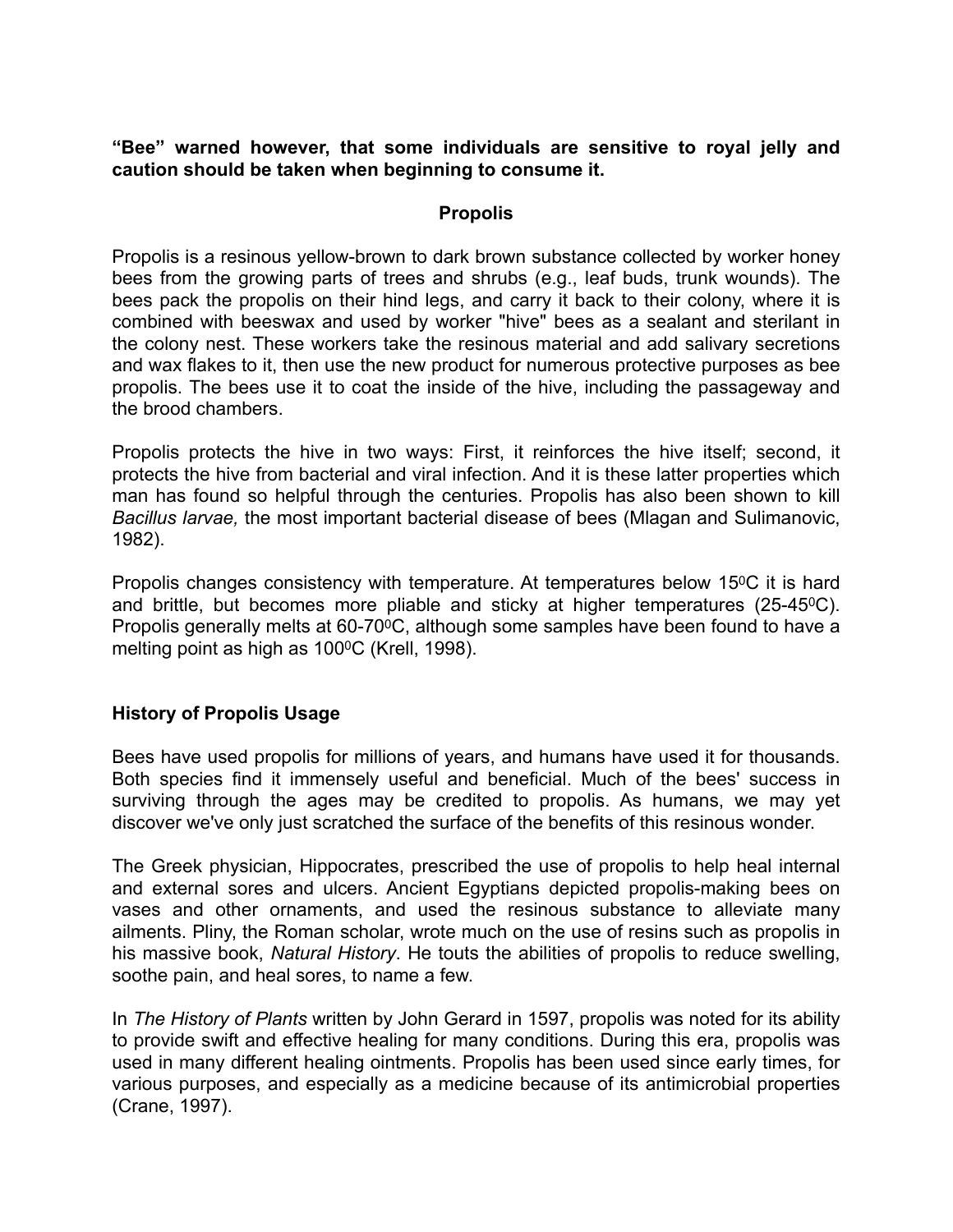**"Bee" warned however, that some individuals are sensitive to royal jelly and caution should be taken when beginning to consume it.** 

## **Propolis**

Propolis is a resinous yellow-brown to dark brown substance collected by worker honey bees from the growing parts of trees and shrubs (e.g., leaf buds, trunk wounds). The bees pack the propolis on their hind legs, and carry it back to their colony, where it is combined with beeswax and used by worker "hive" bees as a sealant and sterilant in the colony nest. These workers take the resinous material and add salivary secretions and wax flakes to it, then use the new product for numerous protective purposes as bee propolis. The bees use it to coat the inside of the hive, including the passageway and the brood chambers.

Propolis protects the hive in two ways: First, it reinforces the hive itself; second, it protects the hive from bacterial and viral infection. And it is these latter properties which man has found so helpful through the centuries. Propolis has also been shown to kill *Bacillus larvae,* the most important bacterial disease of bees (Mlagan and Sulimanovic, 1982).

Propolis changes consistency with temperature. At temperatures below 15<sup>o</sup>C it is hard and brittle, but becomes more pliable and sticky at higher temperatures (25-450C). Propolis generally melts at 60-70°C, although some samples have been found to have a melting point as high as 100°C (Krell, 1998).

# **History of Propolis Usage**

Bees have used propolis for millions of years, and humans have used it for thousands. Both species find it immensely useful and beneficial. Much of the bees' success in surviving through the ages may be credited to propolis. As humans, we may yet discover we've only just scratched the surface of the benefits of this resinous wonder.

The Greek physician, Hippocrates, prescribed the use of propolis to help heal internal and external sores and ulcers. Ancient Egyptians depicted propolis-making bees on vases and other ornaments, and used the resinous substance to alleviate many ailments. Pliny, the Roman scholar, wrote much on the use of resins such as propolis in his massive book, *Natural History*. He touts the abilities of propolis to reduce swelling, soothe pain, and heal sores, to name a few.

In *The History of Plants* written by John Gerard in 1597, propolis was noted for its ability to provide swift and effective healing for many conditions. During this era, propolis was used in many different healing ointments. Propolis has been used since early times, for various purposes, and especially as a medicine because of its antimicrobial properties (Crane, 1997).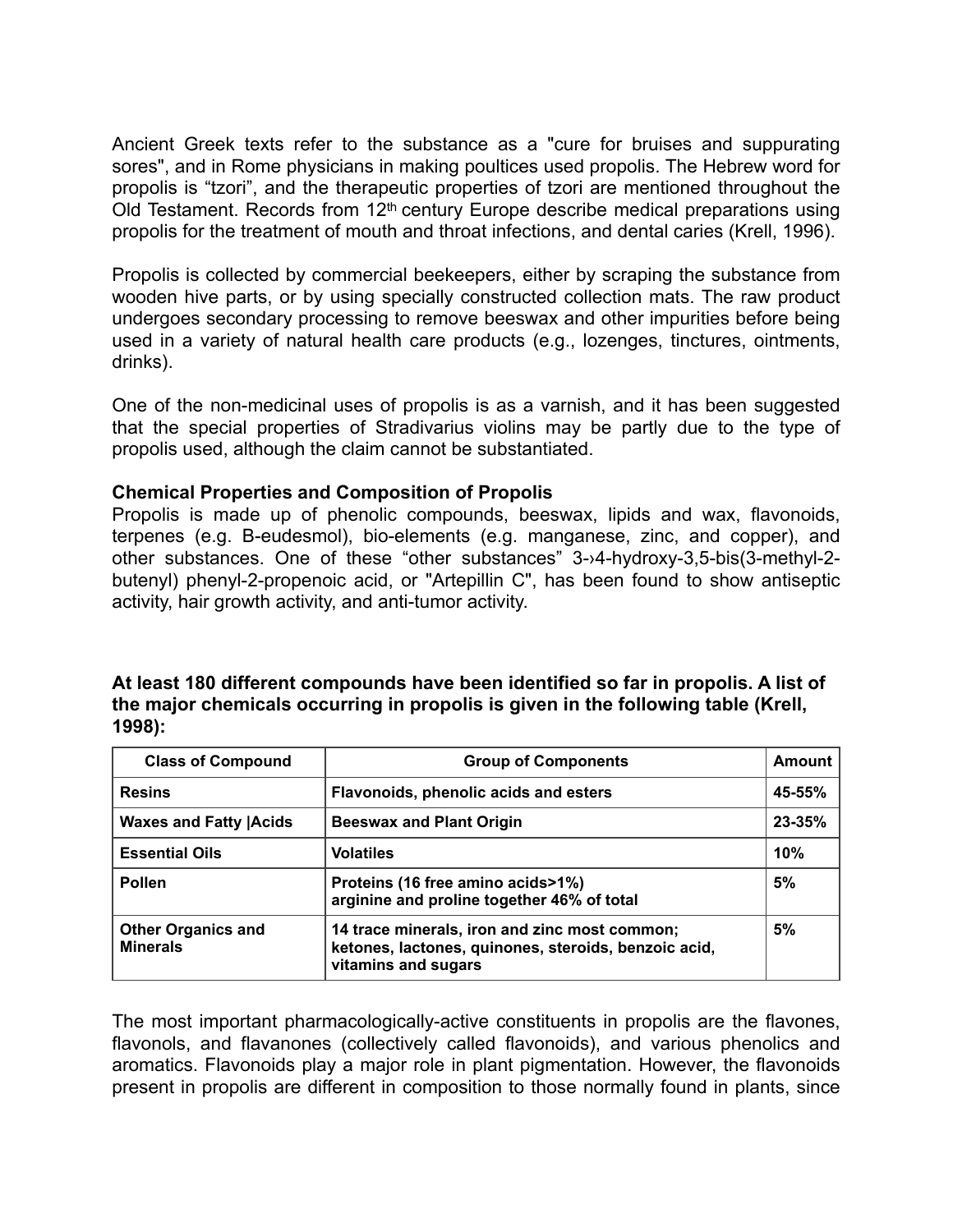Ancient Greek texts refer to the substance as a "cure for bruises and suppurating sores", and in Rome physicians in making poultices used propolis. The Hebrew word for propolis is "tzori", and the therapeutic properties of tzori are mentioned throughout the Old Testament. Records from 12<sup>th</sup> century Europe describe medical preparations using propolis for the treatment of mouth and throat infections, and dental caries (Krell, 1996).

Propolis is collected by commercial beekeepers, either by scraping the substance from wooden hive parts, or by using specially constructed collection mats. The raw product undergoes secondary processing to remove beeswax and other impurities before being used in a variety of natural health care products (e.g., lozenges, tinctures, ointments, drinks).

One of the non-medicinal uses of propolis is as a varnish, and it has been suggested that the special properties of Stradivarius violins may be partly due to the type of propolis used, although the claim cannot be substantiated.

## **Chemical Properties and Composition of Propolis**

Propolis is made up of phenolic compounds, beeswax, lipids and wax, flavonoids, terpenes (e.g. B-eudesmol), bio-elements (e.g. manganese, zinc, and copper), and other substances. One of these "other substances" 3-›4-hydroxy-3,5-bis(3-methyl-2 butenyl) phenyl-2-propenoic acid, or "Artepillin C", has been found to show antiseptic activity, hair growth activity, and anti-tumor activity.

| At least 180 different compounds have been identified so far in propolis. A list of |
|-------------------------------------------------------------------------------------|
| the major chemicals occurring in propolis is given in the following table (Krell,   |
| 1998):                                                                              |

| <b>Class of Compound</b>                     | <b>Group of Components</b>                                                                                                   |        |  |
|----------------------------------------------|------------------------------------------------------------------------------------------------------------------------------|--------|--|
| <b>Resins</b>                                | Flavonoids, phenolic acids and esters                                                                                        |        |  |
| <b>Waxes and Fatty Acids</b>                 | <b>Beeswax and Plant Origin</b>                                                                                              | 23-35% |  |
| <b>Essential Oils</b>                        | <b>Volatiles</b>                                                                                                             | 10%    |  |
| <b>Pollen</b>                                | Proteins (16 free amino acids>1%)<br>arginine and proline together 46% of total                                              | 5%     |  |
| <b>Other Organics and</b><br><b>Minerals</b> | 14 trace minerals, iron and zinc most common;<br>ketones, lactones, quinones, steroids, benzoic acid,<br>vitamins and sugars | 5%     |  |

The most important pharmacologically-active constituents in propolis are the flavones, flavonols, and flavanones (collectively called flavonoids), and various phenolics and aromatics. Flavonoids play a major role in plant pigmentation. However, the flavonoids present in propolis are different in composition to those normally found in plants, since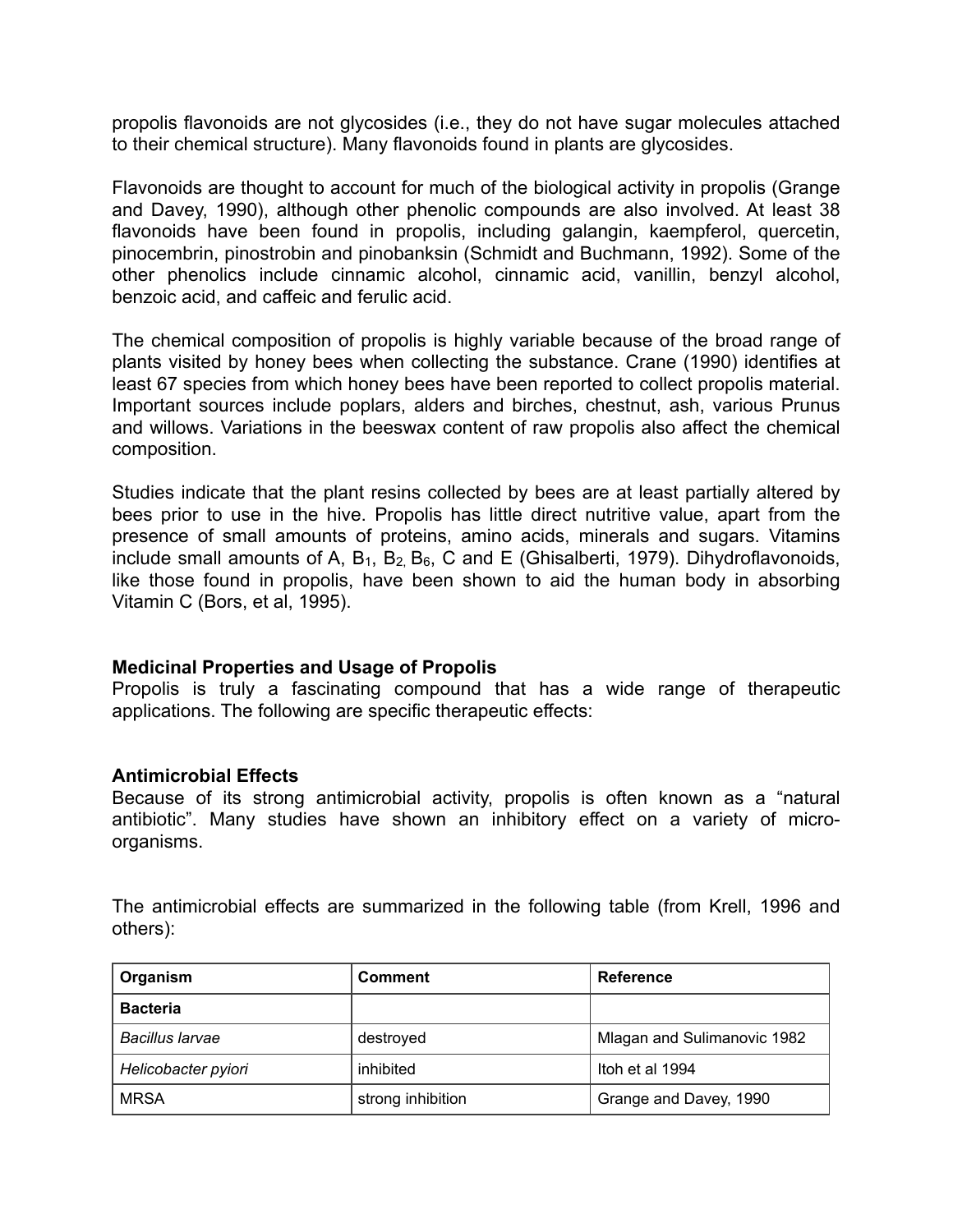propolis flavonoids are not glycosides (i.e., they do not have sugar molecules attached to their chemical structure). Many flavonoids found in plants are glycosides.

Flavonoids are thought to account for much of the biological activity in propolis (Grange and Davey, 1990), although other phenolic compounds are also involved. At least 38 flavonoids have been found in propolis, including galangin, kaempferol, quercetin, pinocembrin, pinostrobin and pinobanksin (Schmidt and Buchmann, 1992). Some of the other phenolics include cinnamic alcohol, cinnamic acid, vanillin, benzyl alcohol, benzoic acid, and caffeic and ferulic acid.

The chemical composition of propolis is highly variable because of the broad range of plants visited by honey bees when collecting the substance. Crane (1990) identifies at least 67 species from which honey bees have been reported to collect propolis material. Important sources include poplars, alders and birches, chestnut, ash, various Prunus and willows. Variations in the beeswax content of raw propolis also affect the chemical composition.

Studies indicate that the plant resins collected by bees are at least partially altered by bees prior to use in the hive. Propolis has little direct nutritive value, apart from the presence of small amounts of proteins, amino acids, minerals and sugars. Vitamins include small amounts of A,  $B_1$ ,  $B_2$ ,  $B_6$ , C and E (Ghisalberti, 1979). Dihydroflavonoids, like those found in propolis, have been shown to aid the human body in absorbing Vitamin C (Bors, et al, 1995).

#### **Medicinal Properties and Usage of Propolis**

Propolis is truly a fascinating compound that has a wide range of therapeutic applications. The following are specific therapeutic effects:

#### **Antimicrobial Effects**

Because of its strong antimicrobial activity, propolis is often known as a "natural antibiotic". Many studies have shown an inhibitory effect on a variety of microorganisms.

The antimicrobial effects are summarized in the following table (from Krell, 1996 and others):

| Organism            | <b>Comment</b>    | Reference                   |
|---------------------|-------------------|-----------------------------|
| <b>Bacteria</b>     |                   |                             |
| Bacillus larvae     | destroyed         | Mlagan and Sulimanovic 1982 |
| Helicobacter pyiori | inhibited         | Itoh et al 1994             |
| <b>MRSA</b>         | strong inhibition | Grange and Davey, 1990      |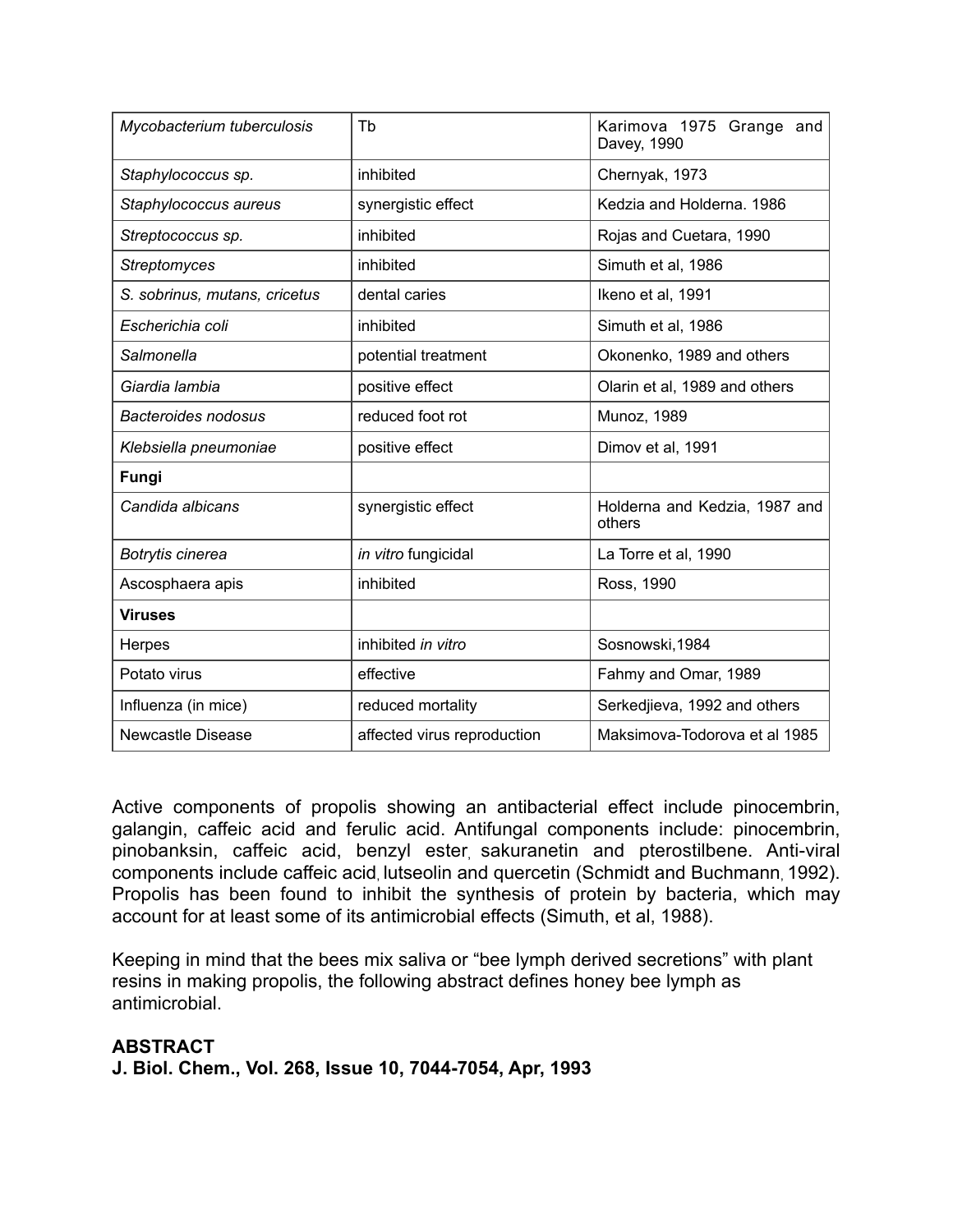| Mycobacterium tuberculosis    | Tb                          | Karimova 1975 Grange and<br>Davey, 1990 |  |
|-------------------------------|-----------------------------|-----------------------------------------|--|
| Staphylococcus sp.            | inhibited                   | Chernyak, 1973                          |  |
| Staphylococcus aureus         | synergistic effect          | Kedzia and Holderna. 1986               |  |
| Streptococcus sp.             | inhibited                   | Rojas and Cuetara, 1990                 |  |
| <b>Streptomyces</b>           | inhibited                   | Simuth et al, 1986                      |  |
| S. sobrinus, mutans, cricetus | dental caries               | Ikeno et al, 1991                       |  |
| Escherichia coli              | inhibited                   | Simuth et al, 1986                      |  |
| Salmonella                    | potential treatment         | Okonenko, 1989 and others               |  |
| Giardia lambia                | positive effect             | Olarin et al, 1989 and others           |  |
| <b>Bacteroides nodosus</b>    | reduced foot rot            | Munoz, 1989                             |  |
| Klebsiella pneumoniae         | positive effect             | Dimov et al, 1991                       |  |
| Fungi                         |                             |                                         |  |
| Candida albicans              | synergistic effect          | Holderna and Kedzia, 1987 and<br>others |  |
| Botrytis cinerea              | in vitro fungicidal         | La Torre et al, 1990                    |  |
| Ascosphaera apis              | inhibited                   | Ross, 1990                              |  |
| <b>Viruses</b>                |                             |                                         |  |
| Herpes                        | inhibited in vitro          | Sosnowski, 1984                         |  |
| Potato virus                  | effective                   | Fahmy and Omar, 1989                    |  |
| Influenza (in mice)           | reduced mortality           | Serkedjieva, 1992 and others            |  |
| <b>Newcastle Disease</b>      | affected virus reproduction | Maksimova-Todorova et al 1985           |  |

Active components of propolis showing an antibacterial effect include pinocembrin, galangin, caffeic acid and ferulic acid. Antifungal components include: pinocembrin, pinobanksin, caffeic acid, benzyl ester, sakuranetin and pterostilbene. Anti-viral components include caffeic acid, lutseolin and quercetin (Schmidt and Buchmann, 1992). Propolis has been found to inhibit the synthesis of protein by bacteria, which may account for at least some of its antimicrobial effects (Simuth, et al, 1988).

Keeping in mind that the bees mix saliva or "bee lymph derived secretions" with plant resins in making propolis, the following abstract defines honey bee lymph as antimicrobial.

## **ABSTRACT J. Biol. Chem., Vol. 268, Issue 10, 7044-7054, Apr, 1993**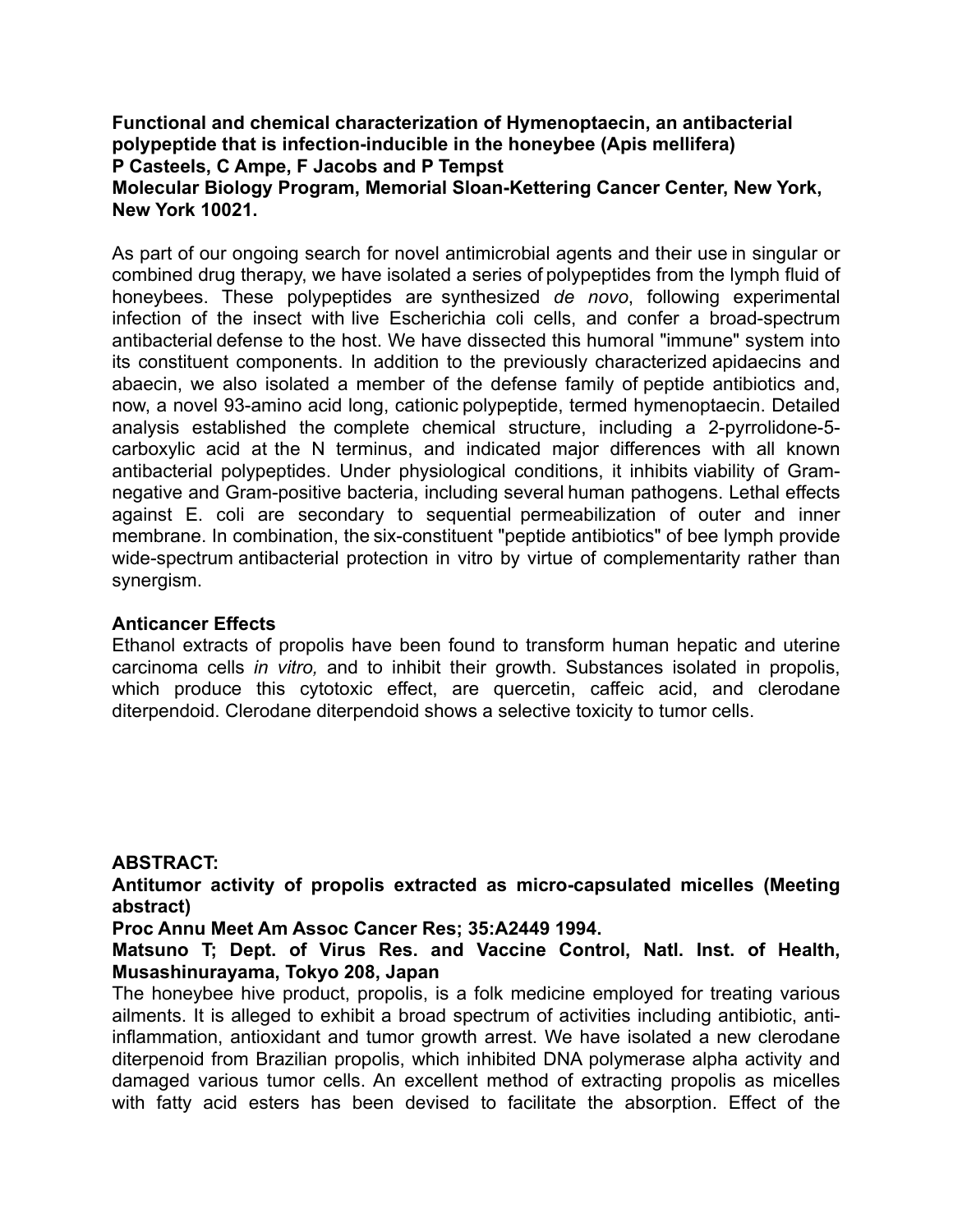## **Functional and chemical characterization of Hymenoptaecin, an antibacterial polypeptide that is infection-inducible in the honeybee (Apis mellifera) P Casteels, C Ampe, F Jacobs and P Tempst Molecular Biology Program, Memorial Sloan-Kettering Cancer Center, New York, New York 10021.**

As part of our ongoing search for novel antimicrobial agents and their use in singular or combined drug therapy, we have isolated a series of polypeptides from the lymph fluid of honeybees. These polypeptides are synthesized *de novo*, following experimental infection of the insect with live Escherichia coli cells, and confer a broad-spectrum antibacterial defense to the host. We have dissected this humoral "immune" system into its constituent components. In addition to the previously characterized apidaecins and abaecin, we also isolated a member of the defense family of peptide antibiotics and, now, a novel 93-amino acid long, cationic polypeptide, termed hymenoptaecin. Detailed analysis established the complete chemical structure, including a 2-pyrrolidone-5 carboxylic acid at the N terminus, and indicated major differences with all known antibacterial polypeptides. Under physiological conditions, it inhibits viability of Gramnegative and Gram-positive bacteria, including several human pathogens. Lethal effects against E. coli are secondary to sequential permeabilization of outer and inner membrane. In combination, the six-constituent "peptide antibiotics" of bee lymph provide wide-spectrum antibacterial protection in vitro by virtue of complementarity rather than synergism.

## **Anticancer Effects**

Ethanol extracts of propolis have been found to transform human hepatic and uterine carcinoma cells *in vitro,* and to inhibit their growth. Substances isolated in propolis, which produce this cytotoxic effect, are quercetin, caffeic acid, and clerodane diterpendoid. Clerodane diterpendoid shows a selective toxicity to tumor cells.

## **ABSTRACT:**

**Antitumor activity of propolis extracted as micro-capsulated micelles (Meeting abstract)** 

**Proc Annu Meet Am Assoc Cancer Res; 35:A2449 1994.**

**Matsuno T; Dept. of Virus Res. and Vaccine Control, Natl. Inst. of Health, Musashinurayama, Tokyo 208, Japan** 

The honeybee hive product, propolis, is a folk medicine employed for treating various ailments. It is alleged to exhibit a broad spectrum of activities including antibiotic, antiinflammation, antioxidant and tumor growth arrest. We have isolated a new clerodane diterpenoid from Brazilian propolis, which inhibited DNA polymerase alpha activity and damaged various tumor cells. An excellent method of extracting propolis as micelles with fatty acid esters has been devised to facilitate the absorption. Effect of the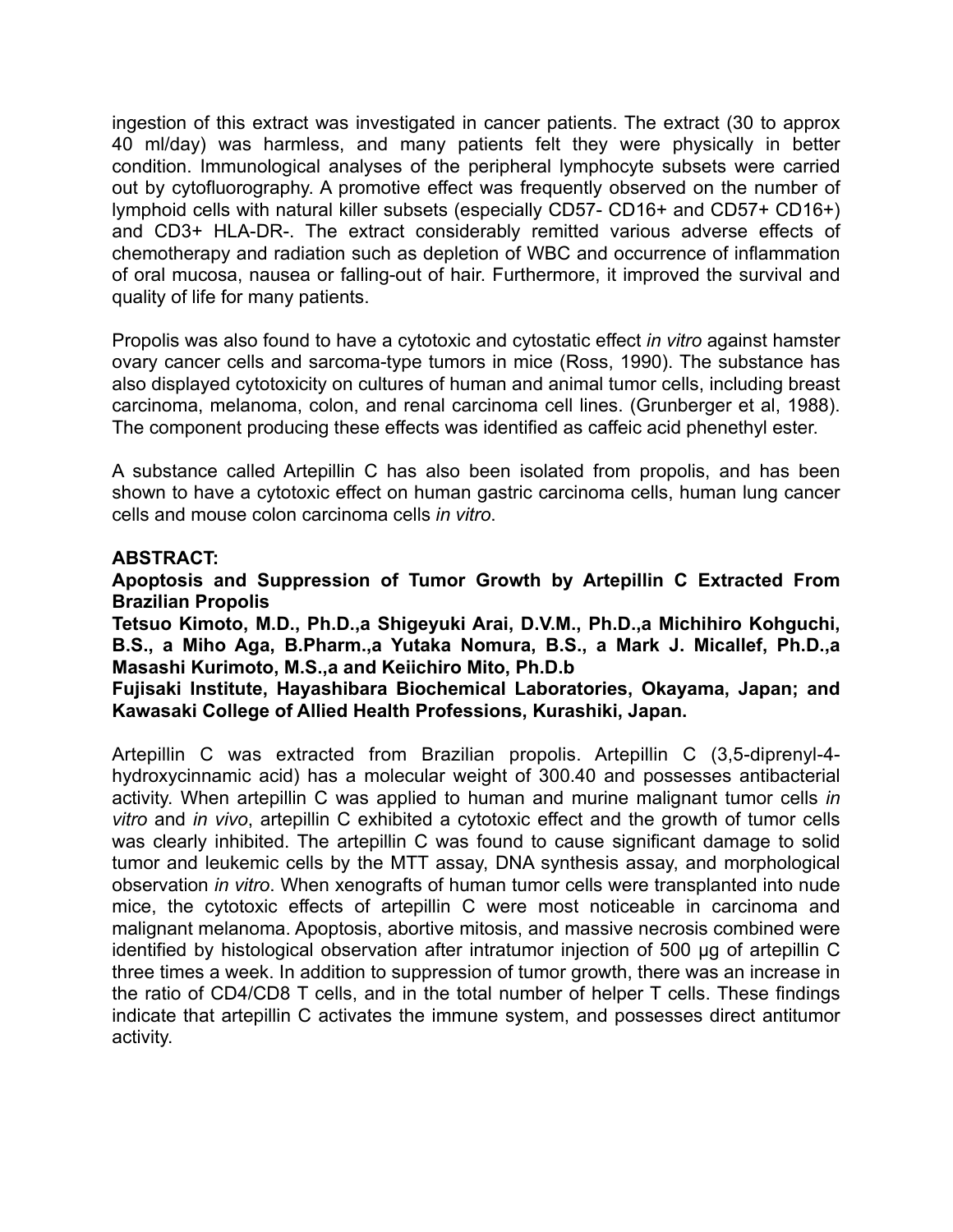ingestion of this extract was investigated in cancer patients. The extract (30 to approx 40 ml/day) was harmless, and many patients felt they were physically in better condition. Immunological analyses of the peripheral lymphocyte subsets were carried out by cytofluorography. A promotive effect was frequently observed on the number of lymphoid cells with natural killer subsets (especially CD57- CD16+ and CD57+ CD16+) and CD3+ HLA-DR-. The extract considerably remitted various adverse effects of chemotherapy and radiation such as depletion of WBC and occurrence of inflammation of oral mucosa, nausea or falling-out of hair. Furthermore, it improved the survival and quality of life for many patients.

Propolis was also found to have a cytotoxic and cytostatic effect *in vitro* against hamster ovary cancer cells and sarcoma-type tumors in mice (Ross, 1990). The substance has also displayed cytotoxicity on cultures of human and animal tumor cells, including breast carcinoma, melanoma, colon, and renal carcinoma cell lines. (Grunberger et al, 1988). The component producing these effects was identified as caffeic acid phenethyl ester.

A substance called Artepillin C has also been isolated from propolis, and has been shown to have a cytotoxic effect on human gastric carcinoma cells, human lung cancer cells and mouse colon carcinoma cells *in vitro*.

## **ABSTRACT:**

**Apoptosis and Suppression of Tumor Growth by Artepillin C Extracted From Brazilian Propolis** 

**Tetsuo Kimoto, M.D., Ph.D.,a Shigeyuki Arai, D.V.M., Ph.D.,a Michihiro Kohguchi, B.S., a Miho Aga, B.Pharm.,a Yutaka Nomura, B.S., a Mark J. Micallef, Ph.D.,a Masashi Kurimoto, M.S.,a and Keiichiro Mito, Ph.D.b** 

**Fujisaki Institute, Hayashibara Biochemical Laboratories, Okayama, Japan; and Kawasaki College of Allied Health Professions, Kurashiki, Japan.** 

Artepillin C was extracted from Brazilian propolis. Artepillin C (3,5-diprenyl-4 hydroxycinnamic acid) has a molecular weight of 300.40 and possesses antibacterial activity. When artepillin C was applied to human and murine malignant tumor cells *in vitro* and *in vivo*, artepillin C exhibited a cytotoxic effect and the growth of tumor cells was clearly inhibited. The artepillin C was found to cause significant damage to solid tumor and leukemic cells by the MTT assay, DNA synthesis assay, and morphological observation *in vitro*. When xenografts of human tumor cells were transplanted into nude mice, the cytotoxic effects of artepillin C were most noticeable in carcinoma and malignant melanoma. Apoptosis, abortive mitosis, and massive necrosis combined were identified by histological observation after intratumor injection of 500 µg of artepillin C three times a week. In addition to suppression of tumor growth, there was an increase in the ratio of CD4/CD8 T cells, and in the total number of helper T cells. These findings indicate that artepillin C activates the immune system, and possesses direct antitumor activity.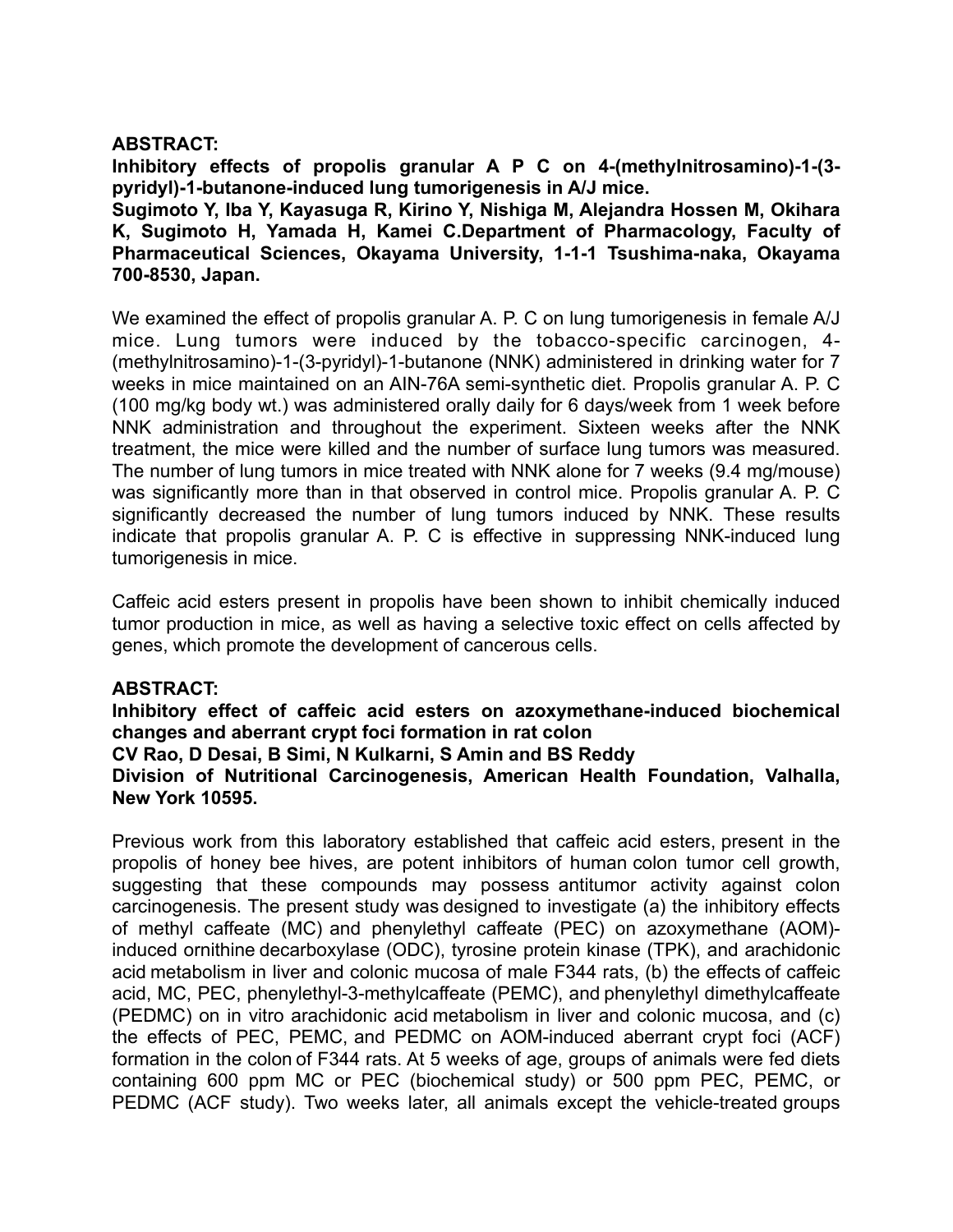## **ABSTRACT:**

**Inhibitory effects of propolis granular A P C on 4-(methylnitrosamino)-1-(3 pyridyl)-1-butanone-induced lung tumorigenesis in A/J mice. Sugimoto Y, Iba Y, Kayasuga R, Kirino Y, Nishiga M, Alejandra Hossen M, Okihara K, Sugimoto H, Yamada H, Kamei C.Department of Pharmacology, Faculty of Pharmaceutical Sciences, Okayama University, 1-1-1 Tsushima-naka, Okayama** 

**700-8530, Japan.** 

We examined the effect of propolis granular A. P. C on lung tumorigenesis in female A/J mice. Lung tumors were induced by the tobacco-specific carcinogen, 4- (methylnitrosamino)-1-(3-pyridyl)-1-butanone (NNK) administered in drinking water for 7 weeks in mice maintained on an AIN-76A semi-synthetic diet. Propolis granular A. P. C (100 mg/kg body wt.) was administered orally daily for 6 days/week from 1 week before NNK administration and throughout the experiment. Sixteen weeks after the NNK treatment, the mice were killed and the number of surface lung tumors was measured. The number of lung tumors in mice treated with NNK alone for 7 weeks (9.4 mg/mouse) was significantly more than in that observed in control mice. Propolis granular A. P. C significantly decreased the number of lung tumors induced by NNK. These results indicate that propolis granular A. P. C is effective in suppressing NNK-induced lung tumorigenesis in mice.

Caffeic acid esters present in propolis have been shown to inhibit chemically induced tumor production in mice, as well as having a selective toxic effect on cells affected by genes, which promote the development of cancerous cells.

## **ABSTRACT:**

**Inhibitory effect of caffeic acid esters on azoxymethane-induced biochemical changes and aberrant crypt foci formation in rat colon CV Rao, D Desai, B Simi, N Kulkarni, S Amin and BS Reddy Division of Nutritional Carcinogenesis, American Health Foundation, Valhalla, New York 10595.** 

Previous work from this laboratory established that caffeic acid esters, present in the propolis of honey bee hives, are potent inhibitors of human colon tumor cell growth, suggesting that these compounds may possess antitumor activity against colon carcinogenesis. The present study was designed to investigate (a) the inhibitory effects of methyl caffeate (MC) and phenylethyl caffeate (PEC) on azoxymethane (AOM) induced ornithine decarboxylase (ODC), tyrosine protein kinase (TPK), and arachidonic acid metabolism in liver and colonic mucosa of male F344 rats, (b) the effects of caffeic acid, MC, PEC, phenylethyl-3-methylcaffeate (PEMC), and phenylethyl dimethylcaffeate (PEDMC) on in vitro arachidonic acid metabolism in liver and colonic mucosa, and (c) the effects of PEC, PEMC, and PEDMC on AOM-induced aberrant crypt foci (ACF) formation in the colon of F344 rats. At 5 weeks of age, groups of animals were fed diets containing 600 ppm MC or PEC (biochemical study) or 500 ppm PEC, PEMC, or PEDMC (ACF study). Two weeks later, all animals except the vehicle-treated groups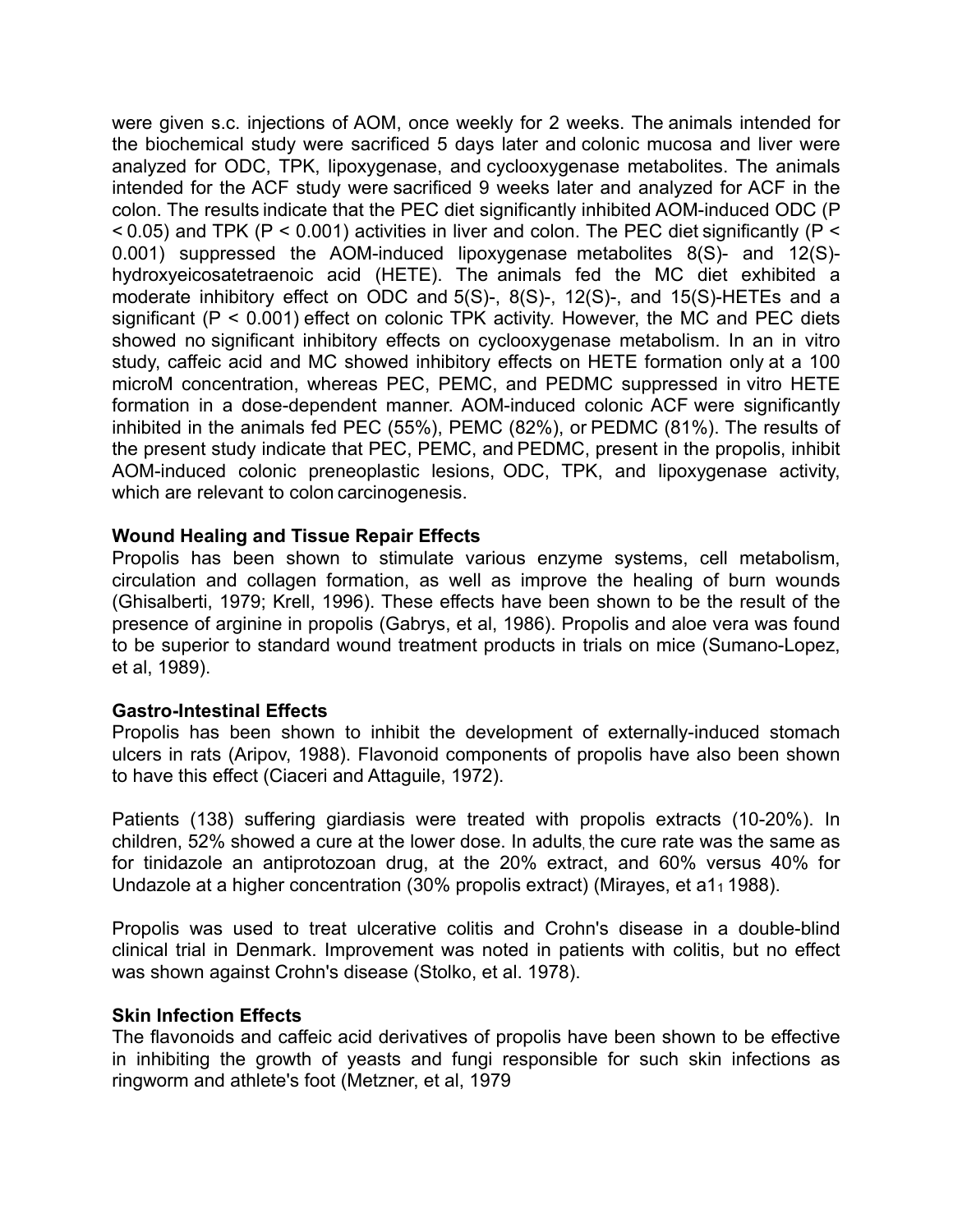were given s.c. injections of AOM, once weekly for 2 weeks. The animals intended for the biochemical study were sacrificed 5 days later and colonic mucosa and liver were analyzed for ODC, TPK, lipoxygenase, and cyclooxygenase metabolites. The animals intended for the ACF study were sacrificed 9 weeks later and analyzed for ACF in the colon. The results indicate that the PEC diet significantly inhibited AOM-induced ODC (P  $<$  0.05) and TPK (P  $<$  0.001) activities in liver and colon. The PEC diet significantly (P  $<$ 0.001) suppressed the AOM-induced lipoxygenase metabolites 8(S)- and 12(S) hydroxyeicosatetraenoic acid (HETE). The animals fed the MC diet exhibited a moderate inhibitory effect on ODC and 5(S)-, 8(S)-, 12(S)-, and 15(S)-HETEs and a significant (P < 0.001) effect on colonic TPK activity. However, the MC and PEC diets showed no significant inhibitory effects on cyclooxygenase metabolism. In an in vitro study, caffeic acid and MC showed inhibitory effects on HETE formation only at a 100 microM concentration, whereas PEC, PEMC, and PEDMC suppressed in vitro HETE formation in a dose-dependent manner. AOM-induced colonic ACF were significantly inhibited in the animals fed PEC (55%), PEMC (82%), or PEDMC (81%). The results of the present study indicate that PEC, PEMC, and PEDMC, present in the propolis, inhibit AOM-induced colonic preneoplastic lesions, ODC, TPK, and lipoxygenase activity, which are relevant to colon carcinogenesis.

## **Wound Healing and Tissue Repair Effects**

Propolis has been shown to stimulate various enzyme systems, cell metabolism, circulation and collagen formation, as well as improve the healing of burn wounds (Ghisalberti, 1979; Krell, 1996). These effects have been shown to be the result of the presence of arginine in propolis (Gabrys, et al, 1986). Propolis and aloe vera was found to be superior to standard wound treatment products in trials on mice (Sumano-Lopez, et al, 1989).

#### **Gastro-Intestinal Effects**

Propolis has been shown to inhibit the development of externally-induced stomach ulcers in rats (Aripov, 1988). Flavonoid components of propolis have also been shown to have this effect (Ciaceri and Attaguile, 1972).

Patients (138) suffering giardiasis were treated with propolis extracts (10-20%). In children, 52% showed a cure at the lower dose. In adults the cure rate was the same as for tinidazole an antiprotozoan drug, at the 20% extract, and 60% versus 40% for Undazole at a higher concentration (30% propolis extract) (Mirayes, et a1 $_1$  1988).

Propolis was used to treat ulcerative colitis and Crohn's disease in a double-blind clinical trial in Denmark. Improvement was noted in patients with colitis, but no effect was shown against Crohn's disease (Stolko, et al. 1978).

#### **Skin Infection Effects**

The flavonoids and caffeic acid derivatives of propolis have been shown to be effective in inhibiting the growth of yeasts and fungi responsible for such skin infections as ringworm and athlete's foot (Metzner, et al, 1979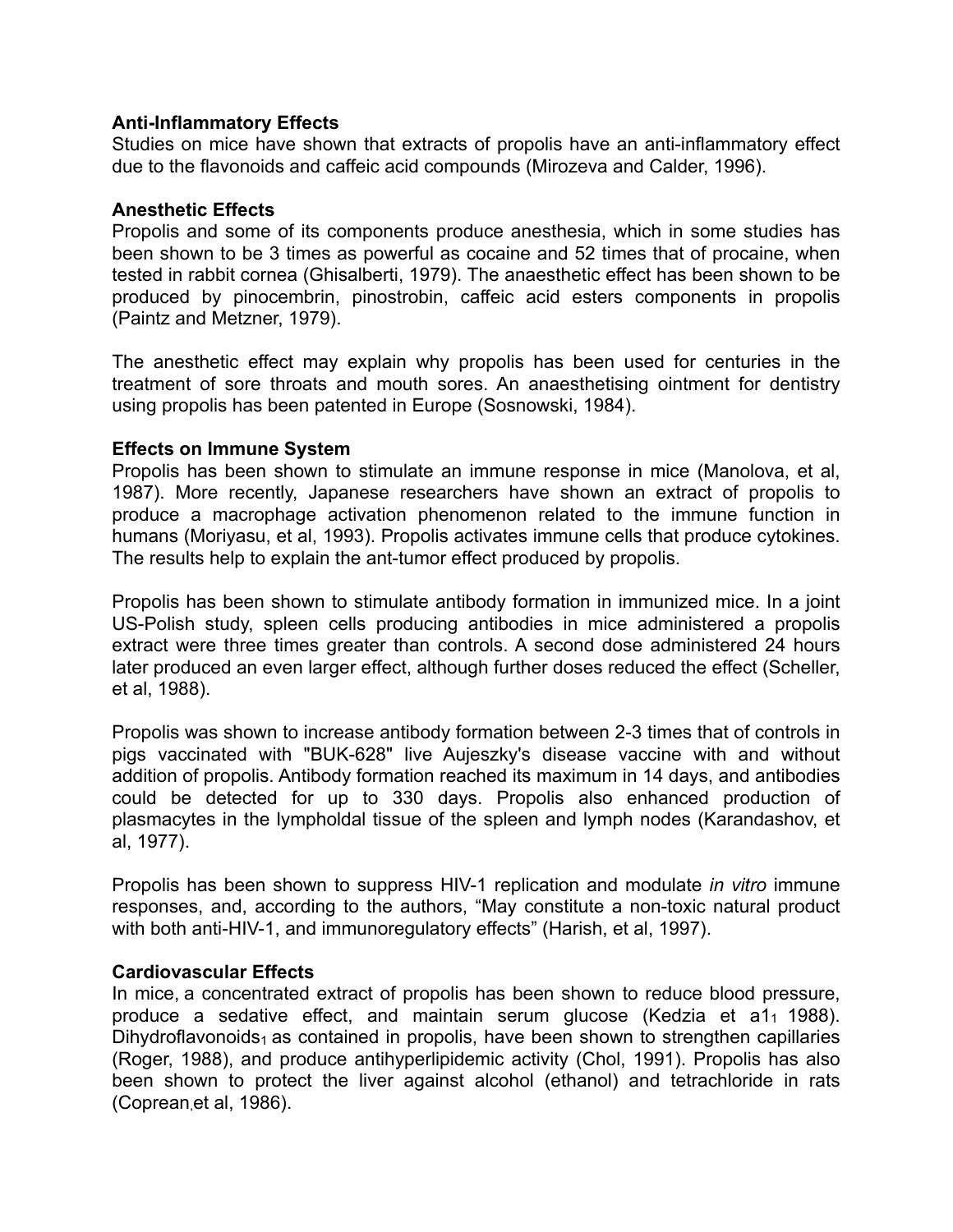## **Anti-Inflammatory Effects**

Studies on mice have shown that extracts of propolis have an anti-inflammatory effect due to the flavonoids and caffeic acid compounds (Mirozeva and Calder, 1996).

#### **Anesthetic Effects**

Propolis and some of its components produce anesthesia, which in some studies has been shown to be 3 times as powerful as cocaine and 52 times that of procaine, when tested in rabbit cornea (Ghisalberti, 1979). The anaesthetic effect has been shown to be produced by pinocembrin, pinostrobin, caffeic acid esters components in propolis (Paintz and Metzner, 1979).

The anesthetic effect may explain why propolis has been used for centuries in the treatment of sore throats and mouth sores. An anaesthetising ointment for dentistry using propolis has been patented in Europe (Sosnowski, 1984).

## **Effects on Immune System**

Propolis has been shown to stimulate an immune response in mice (Manolova, et al, 1987). More recently, Japanese researchers have shown an extract of propolis to produce a macrophage activation phenomenon related to the immune function in humans (Moriyasu, et al, 1993). Propolis activates immune cells that produce cytokines. The results help to explain the ant-tumor effect produced by propolis.

Propolis has been shown to stimulate antibody formation in immunized mice. In a joint US-Polish study, spleen cells producing antibodies in mice administered a propolis extract were three times greater than controls. A second dose administered 24 hours later produced an even larger effect, although further doses reduced the effect (Scheller, et al, 1988).

Propolis was shown to increase antibody formation between 2-3 times that of controls in pigs vaccinated with "BUK-628" live Aujeszky's disease vaccine with and without addition of propolis. Antibody formation reached its maximum in 14 days, and antibodies could be detected for up to 330 days. Propolis also enhanced production of plasmacytes in the lympholdal tissue of the spleen and lymph nodes (Karandashov, et al, 1977).

Propolis has been shown to suppress HIV-1 replication and modulate *in vitro* immune responses, and, according to the authors, "May constitute a non-toxic natural product with both anti-HIV-1, and immunoregulatory effects" (Harish, et al, 1997).

#### **Cardiovascular Effects**

In mice, a concentrated extract of propolis has been shown to reduce blood pressure, produce a sedative effect, and maintain serum glucose (Kedzia et a1 $_1$  1988). Dihydroflavonoids<sub>1</sub> as contained in propolis, have been shown to strengthen capillaries (Roger, 1988), and produce antihyperlipidemic activity (Chol, 1991). Propolis has also been shown to protect the liver against alcohol (ethanol) and tetrachloride in rats (Coprean,et al, 1986).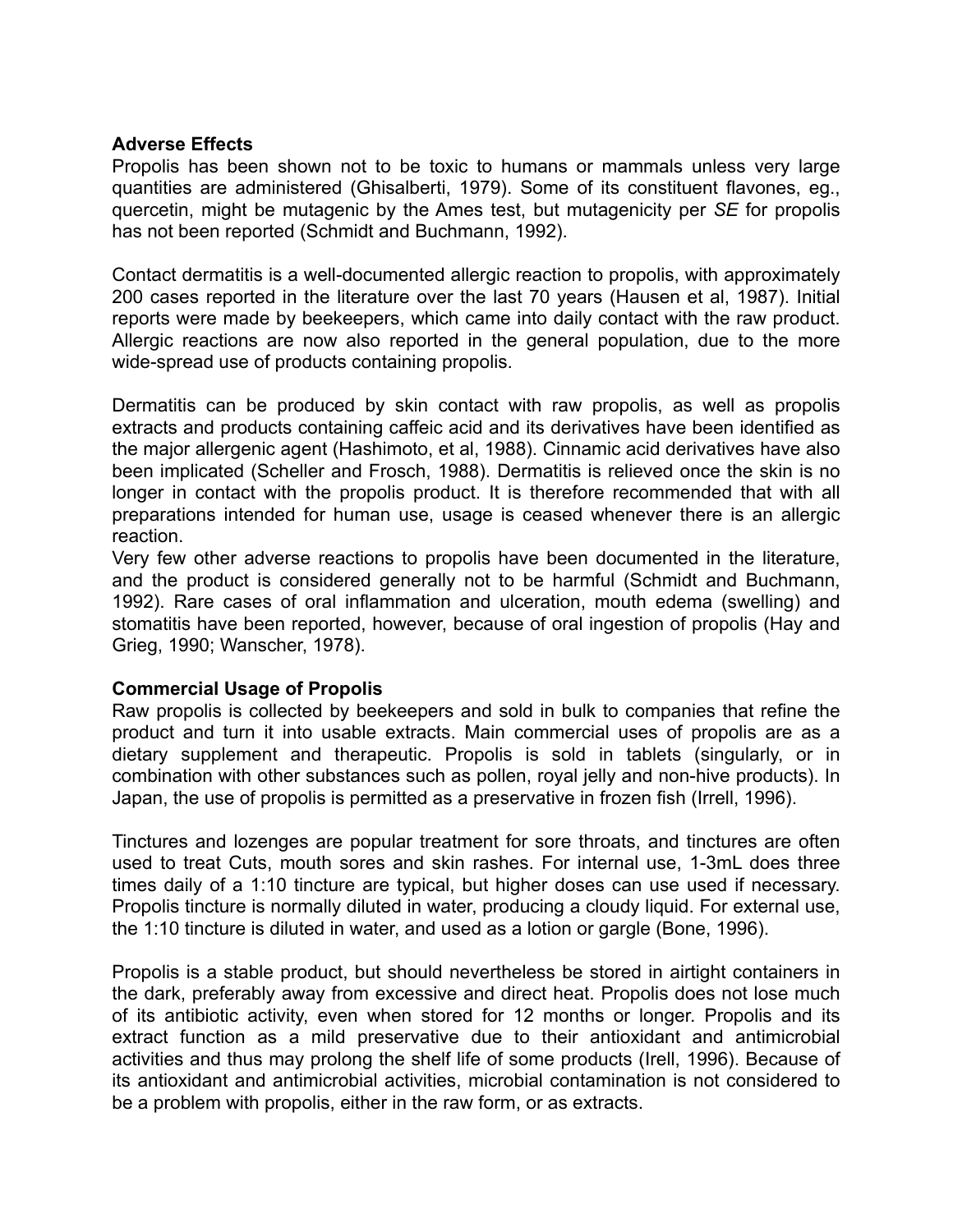## **Adverse Effects**

Propolis has been shown not to be toxic to humans or mammals unless very large quantities are administered (Ghisalberti, 1979). Some of its constituent flavones, eg., quercetin, might be mutagenic by the Ames test, but mutagenicity per *SE* for propolis has not been reported (Schmidt and Buchmann, 1992).

Contact dermatitis is a well-documented allergic reaction to propolis, with approximately 200 cases reported in the literature over the last 70 years (Hausen et al, 1987). Initial reports were made by beekeepers, which came into daily contact with the raw product. Allergic reactions are now also reported in the general population, due to the more wide-spread use of products containing propolis.

Dermatitis can be produced by skin contact with raw propolis, as well as propolis extracts and products containing caffeic acid and its derivatives have been identified as the major allergenic agent (Hashimoto, et al, 1988). Cinnamic acid derivatives have also been implicated (Scheller and Frosch, 1988). Dermatitis is relieved once the skin is no longer in contact with the propolis product. It is therefore recommended that with all preparations intended for human use, usage is ceased whenever there is an allergic reaction.

Very few other adverse reactions to propolis have been documented in the literature, and the product is considered generally not to be harmful (Schmidt and Buchmann, 1992). Rare cases of oral inflammation and ulceration, mouth edema (swelling) and stomatitis have been reported, however, because of oral ingestion of propolis (Hay and Grieg, 1990; Wanscher, 1978).

## **Commercial Usage of Propolis**

Raw propolis is collected by beekeepers and sold in bulk to companies that refine the product and turn it into usable extracts. Main commercial uses of propolis are as a dietary supplement and therapeutic. Propolis is sold in tablets (singularly, or in combination with other substances such as pollen, royal jelly and non-hive products). In Japan, the use of propolis is permitted as a preservative in frozen fish (Irrell, 1996).

Tinctures and lozenges are popular treatment for sore throats, and tinctures are often used to treat Cuts, mouth sores and skin rashes. For internal use, 1-3mL does three times daily of a 1:10 tincture are typical, but higher doses can use used if necessary. Propolis tincture is normally diluted in water, producing a cloudy liquid. For external use, the 1:10 tincture is diluted in water, and used as a lotion or gargle (Bone, 1996).

Propolis is a stable product, but should nevertheless be stored in airtight containers in the dark, preferably away from excessive and direct heat. Propolis does not lose much of its antibiotic activity, even when stored for 12 months or longer. Propolis and its extract function as a mild preservative due to their antioxidant and antimicrobial activities and thus may prolong the shelf life of some products (Irell, 1996). Because of its antioxidant and antimicrobial activities, microbial contamination is not considered to be a problem with propolis, either in the raw form, or as extracts.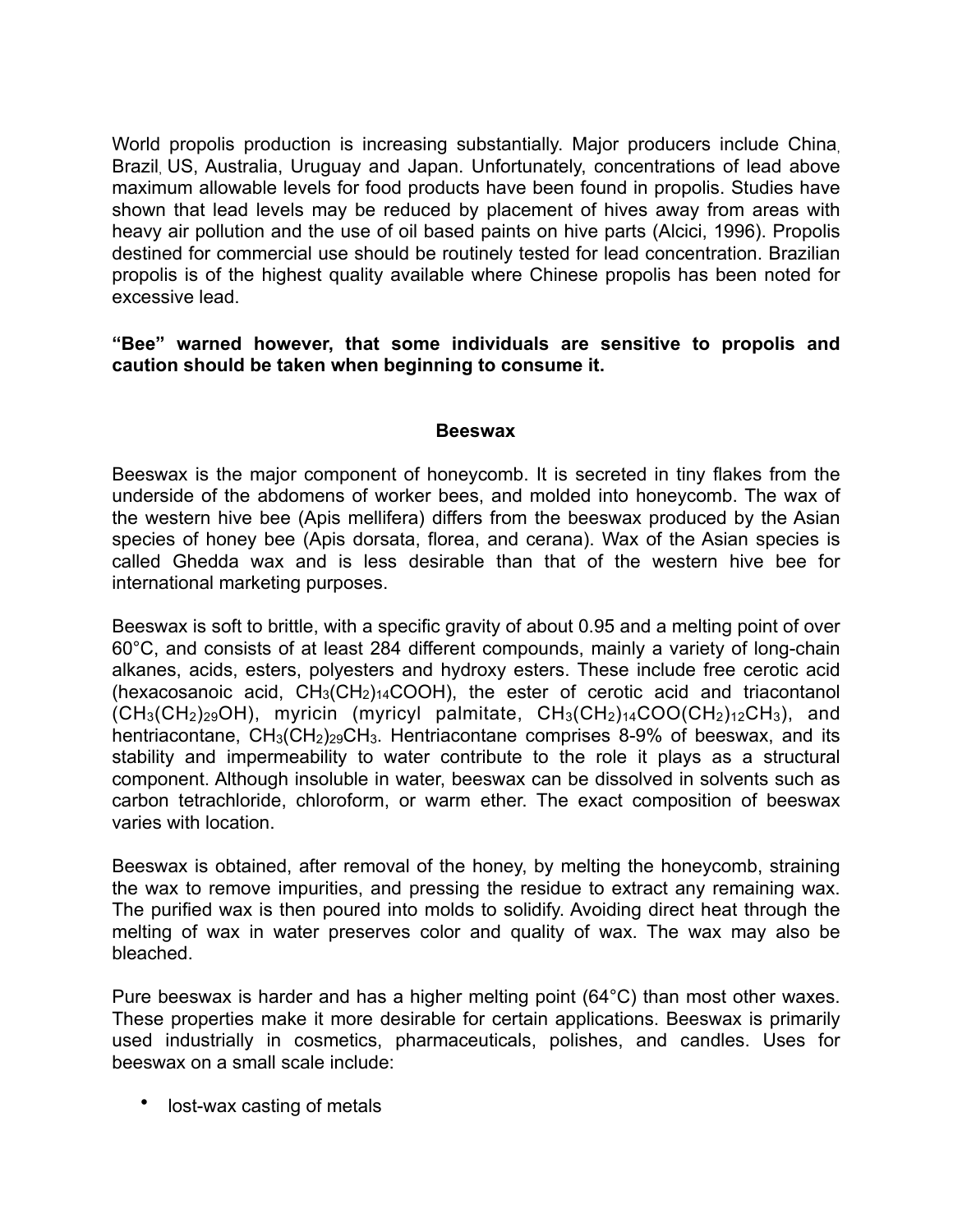World propolis production is increasing substantially. Major producers include China, Brazil, US, Australia, Uruguay and Japan. Unfortunately, concentrations of lead above maximum allowable levels for food products have been found in propolis. Studies have shown that lead levels may be reduced by placement of hives away from areas with heavy air pollution and the use of oil based paints on hive parts (Alcici, 1996). Propolis destined for commercial use should be routinely tested for lead concentration. Brazilian propolis is of the highest quality available where Chinese propolis has been noted for excessive lead.

**"Bee" warned however, that some individuals are sensitive to propolis and caution should be taken when beginning to consume it.** 

## **Beeswax**

Beeswax is the major component of honeycomb. It is secreted in tiny flakes from the underside of the abdomens of worker bees, and molded into honeycomb. The wax of the western hive bee (Apis mellifera) differs from the beeswax produced by the Asian species of honey bee (Apis dorsata, florea, and cerana). Wax of the Asian species is called Ghedda wax and is less desirable than that of the western hive bee for international marketing purposes.

Beeswax is soft to brittle, with a specific gravity of about 0.95 and a melting point of over 60°C, and consists of at least 284 different compounds, mainly a variety of long-chain alkanes, acids, esters, polyesters and hydroxy esters. These include free cerotic acid (hexacosanoic acid,  $CH_3(CH_2)_{14}COOH$ ), the ester of cerotic acid and triacontanol  $(CH<sub>3</sub>(CH<sub>2</sub>)<sub>29</sub>OH)$ , myricin (myricyl palmitate,  $CH<sub>3</sub>(CH<sub>2</sub>)<sub>14</sub>COO(CH<sub>2</sub>)<sub>12</sub>CH<sub>3</sub>)$ , and hentriacontane,  $CH_3(CH_2)_{29}CH_3$ . Hentriacontane comprises 8-9% of beeswax, and its stability and impermeability to water contribute to the role it plays as a structural component. Although insoluble in water, beeswax can be dissolved in solvents such as carbon tetrachloride, chloroform, or warm ether. The exact composition of beeswax varies with location.

Beeswax is obtained, after removal of the honey, by melting the honeycomb, straining the wax to remove impurities, and pressing the residue to extract any remaining wax. The purified wax is then poured into molds to solidify. Avoiding direct heat through the melting of wax in water preserves color and quality of wax. The wax may also be bleached.

Pure beeswax is harder and has a higher melting point (64°C) than most other waxes. These properties make it more desirable for certain applications. Beeswax is primarily used industrially in cosmetics, pharmaceuticals, polishes, and candles. Uses for beeswax on a small scale include:

• lost-wax casting of metals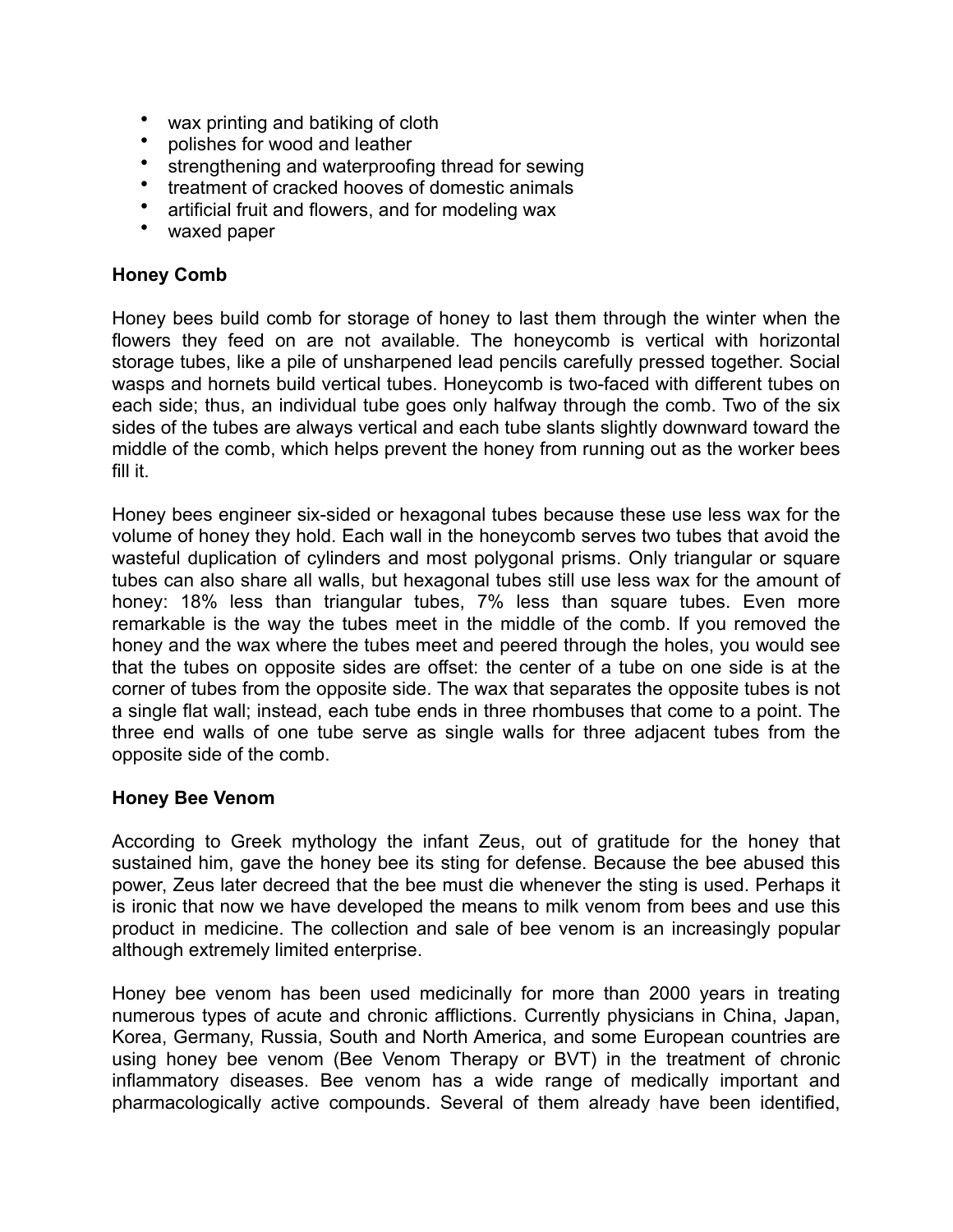- wax printing and batiking of cloth
- polishes for wood and leather
- strengthening and waterproofing thread for sewing
- treatment of cracked hooves of domestic animals
- artificial fruit and flowers, and for modeling wax
- waxed paper

## **Honey Comb**

Honey bees build comb for storage of honey to last them through the winter when the flowers they feed on are not available. The honeycomb is vertical with horizontal storage tubes, like a pile of unsharpened lead pencils carefully pressed together. Social wasps and hornets build vertical tubes. Honeycomb is two-faced with different tubes on each side; thus, an individual tube goes only halfway through the comb. Two of the six sides of the tubes are always vertical and each tube slants slightly downward toward the middle of the comb, which helps prevent the honey from running out as the worker bees fill it.

Honey bees engineer six-sided or hexagonal tubes because these use less wax for the volume of honey they hold. Each wall in the honeycomb serves two tubes that avoid the wasteful duplication of cylinders and most polygonal prisms. Only triangular or square tubes can also share all walls, but hexagonal tubes still use less wax for the amount of honey: 18% less than triangular tubes, 7% less than square tubes. Even more remarkable is the way the tubes meet in the middle of the comb. If you removed the honey and the wax where the tubes meet and peered through the holes, you would see that the tubes on opposite sides are offset: the center of a tube on one side is at the corner of tubes from the opposite side. The wax that separates the opposite tubes is not a single flat wall; instead, each tube ends in three rhombuses that come to a point. The three end walls of one tube serve as single walls for three adjacent tubes from the opposite side of the comb.

## **Honey Bee Venom**

According to Greek mythology the infant Zeus, out of gratitude for the honey that sustained him, gave the honey bee its sting for defense. Because the bee abused this power, Zeus later decreed that the bee must die whenever the sting is used. Perhaps it is ironic that now we have developed the means to milk venom from bees and use this product in medicine. The collection and sale of bee venom is an increasingly popular although extremely limited enterprise.

Honey bee venom has been used medicinally for more than 2000 years in treating numerous types of acute and chronic afflictions. Currently physicians in China, Japan, Korea, Germany, Russia, South and North America, and some European countries are using honey bee venom (Bee Venom Therapy or BVT) in the treatment of chronic inflammatory diseases. Bee venom has a wide range of medically important and pharmacologically active compounds. Several of them already have been identified,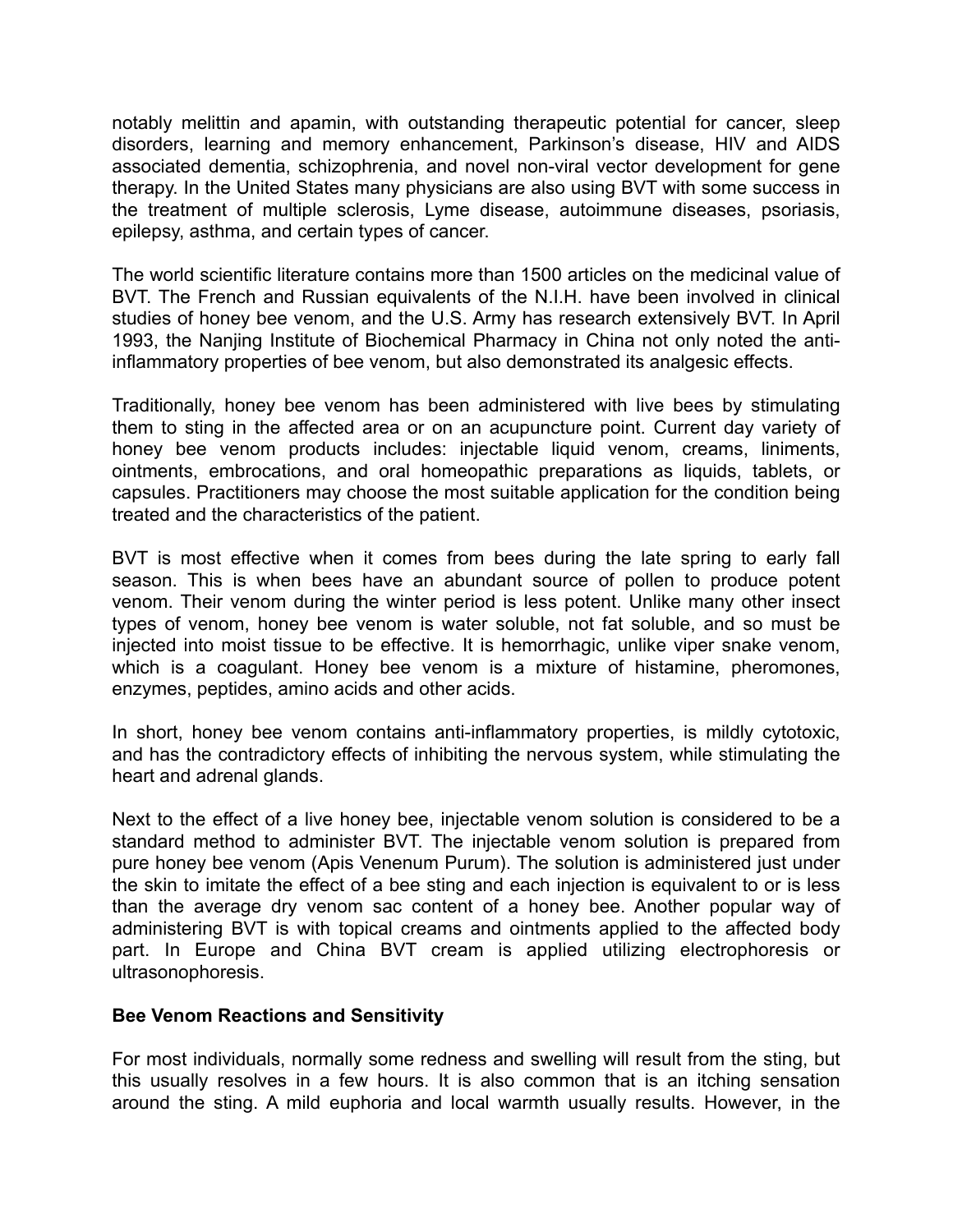notably melittin and apamin, with outstanding therapeutic potential for cancer, sleep disorders, learning and memory enhancement, Parkinson's disease, HIV and AIDS associated dementia, schizophrenia, and novel non-viral vector development for gene therapy. In the United States many physicians are also using BVT with some success in the treatment of multiple sclerosis, Lyme disease, autoimmune diseases, psoriasis, epilepsy, asthma, and certain types of cancer.

The world scientific literature contains more than 1500 articles on the medicinal value of BVT. The French and Russian equivalents of the N.I.H. have been involved in clinical studies of honey bee venom, and the U.S. Army has research extensively BVT. In April 1993, the Nanjing Institute of Biochemical Pharmacy in China not only noted the antiinflammatory properties of bee venom, but also demonstrated its analgesic effects.

Traditionally, honey bee venom has been administered with live bees by stimulating them to sting in the affected area or on an acupuncture point. Current day variety of honey bee venom products includes: injectable liquid venom, creams, liniments, ointments, embrocations, and oral homeopathic preparations as liquids, tablets, or capsules. Practitioners may choose the most suitable application for the condition being treated and the characteristics of the patient.

BVT is most effective when it comes from bees during the late spring to early fall season. This is when bees have an abundant source of pollen to produce potent venom. Their venom during the winter period is less potent. Unlike many other insect types of venom, honey bee venom is water soluble, not fat soluble, and so must be injected into moist tissue to be effective. It is hemorrhagic, unlike viper snake venom, which is a coagulant. Honey bee venom is a mixture of histamine, pheromones, enzymes, peptides, amino acids and other acids.

In short, honey bee venom contains anti-inflammatory properties, is mildly cytotoxic, and has the contradictory effects of inhibiting the nervous system, while stimulating the heart and adrenal glands.

Next to the effect of a live honey bee, injectable venom solution is considered to be a standard method to administer BVT. The injectable venom solution is prepared from pure honey bee venom (Apis Venenum Purum). The solution is administered just under the skin to imitate the effect of a bee sting and each injection is equivalent to or is less than the average dry venom sac content of a honey bee. Another popular way of administering BVT is with topical creams and ointments applied to the affected body part. In Europe and China BVT cream is applied utilizing electrophoresis or ultrasonophoresis.

## **Bee Venom Reactions and Sensitivity**

For most individuals, normally some redness and swelling will result from the sting, but this usually resolves in a few hours. It is also common that is an itching sensation around the sting. A mild euphoria and local warmth usually results. However, in the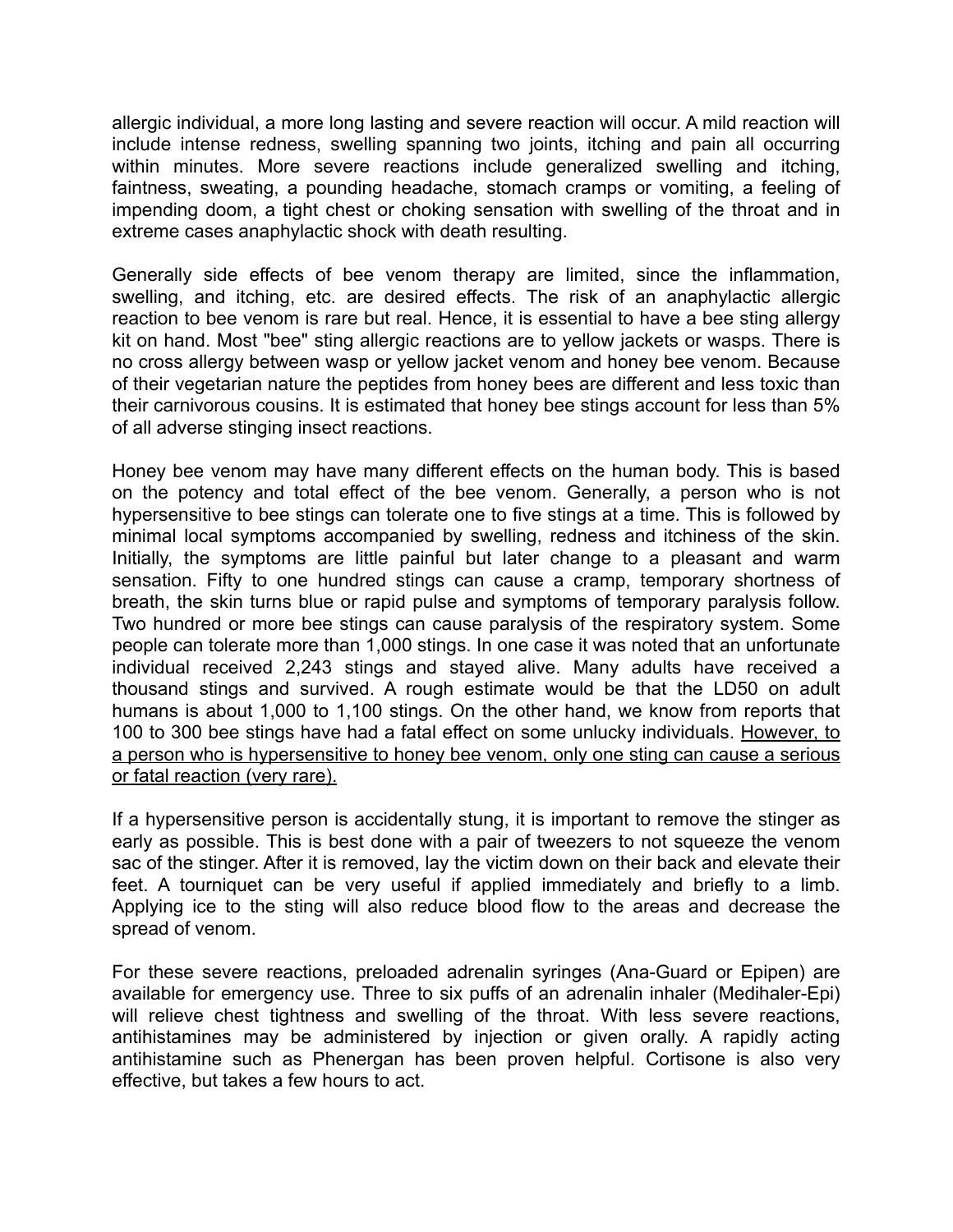allergic individual, a more long lasting and severe reaction will occur. A mild reaction will include intense redness, swelling spanning two joints, itching and pain all occurring within minutes. More severe reactions include generalized swelling and itching, faintness, sweating, a pounding headache, stomach cramps or vomiting, a feeling of impending doom, a tight chest or choking sensation with swelling of the throat and in extreme cases anaphylactic shock with death resulting.

Generally side effects of bee venom therapy are limited, since the inflammation, swelling, and itching, etc. are desired effects. The risk of an anaphylactic allergic reaction to bee venom is rare but real. Hence, it is essential to have a bee sting allergy kit on hand. Most "bee" sting allergic reactions are to yellow jackets or wasps. There is no cross allergy between wasp or yellow jacket venom and honey bee venom. Because of their vegetarian nature the peptides from honey bees are different and less toxic than their carnivorous cousins. It is estimated that honey bee stings account for less than 5% of all adverse stinging insect reactions.

Honey bee venom may have many different effects on the human body. This is based on the potency and total effect of the bee venom. Generally, a person who is not hypersensitive to bee stings can tolerate one to five stings at a time. This is followed by minimal local symptoms accompanied by swelling, redness and itchiness of the skin. Initially, the symptoms are little painful but later change to a pleasant and warm sensation. Fifty to one hundred stings can cause a cramp, temporary shortness of breath, the skin turns blue or rapid pulse and symptoms of temporary paralysis follow. Two hundred or more bee stings can cause paralysis of the respiratory system. Some people can tolerate more than 1,000 stings. In one case it was noted that an unfortunate individual received 2,243 stings and stayed alive. Many adults have received a thousand stings and survived. A rough estimate would be that the LD50 on adult humans is about 1,000 to 1,100 stings. On the other hand, we know from reports that 100 to 300 bee stings have had a fatal effect on some unlucky individuals. However, to a person who is hypersensitive to honey bee venom, only one sting can cause a serious or fatal reaction (very rare).

If a hypersensitive person is accidentally stung, it is important to remove the stinger as early as possible. This is best done with a pair of tweezers to not squeeze the venom sac of the stinger. After it is removed, lay the victim down on their back and elevate their feet. A tourniquet can be very useful if applied immediately and briefly to a limb. Applying ice to the sting will also reduce blood flow to the areas and decrease the spread of venom.

For these severe reactions, preloaded adrenalin syringes (Ana-Guard or Epipen) are available for emergency use. Three to six puffs of an adrenalin inhaler (Medihaler-Epi) will relieve chest tightness and swelling of the throat. With less severe reactions, antihistamines may be administered by injection or given orally. A rapidly acting antihistamine such as Phenergan has been proven helpful. Cortisone is also very effective, but takes a few hours to act.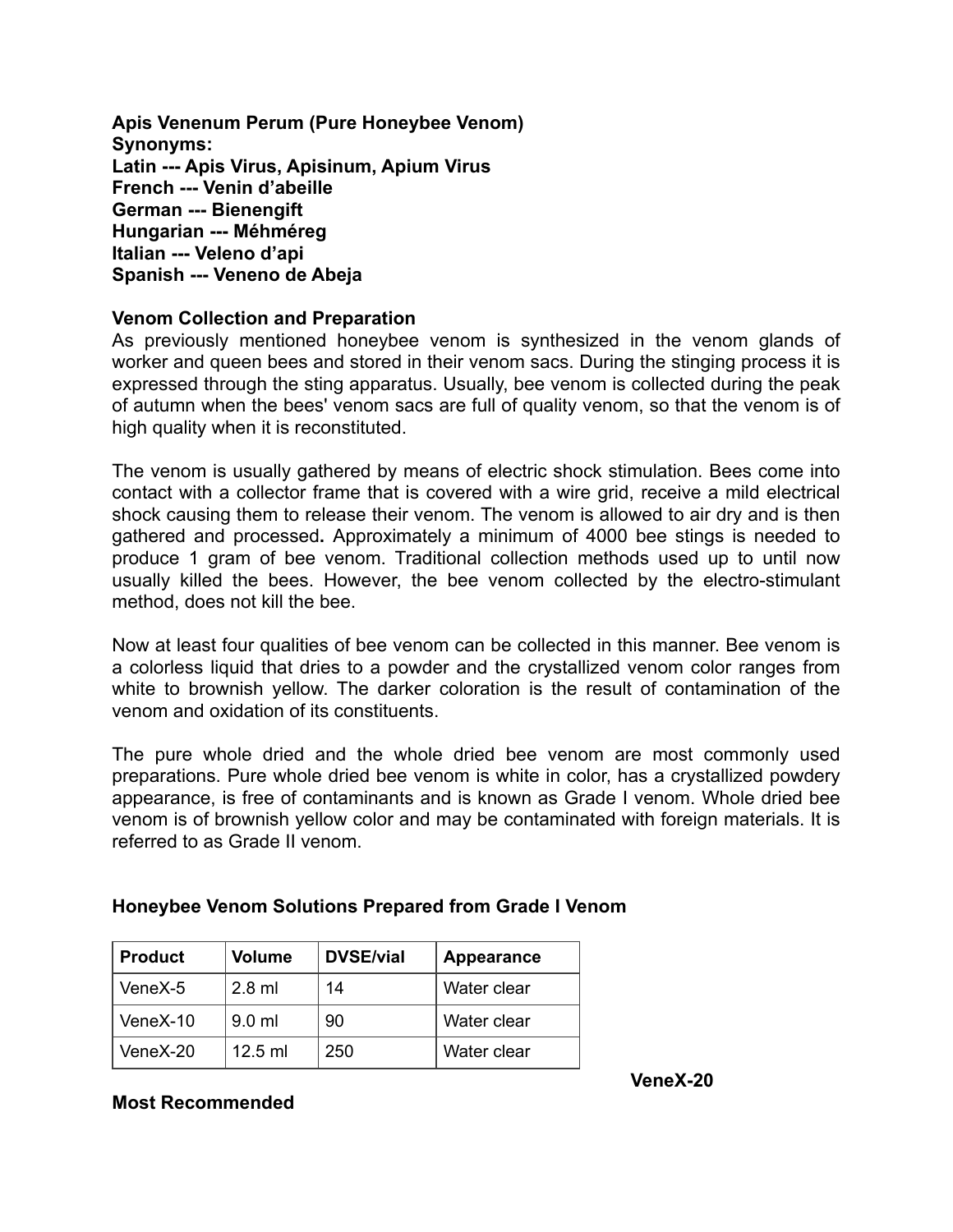**Apis Venenum Perum (Pure Honeybee Venom) Synonyms: Latin --- Apis Virus, Apisinum, Apium Virus French --- Venin d'abeille German --- Bienengift Hungarian --- Méhméreg Italian --- Veleno d'api Spanish --- Veneno de Abeja** 

## **Venom Collection and Preparation**

As previously mentioned honeybee venom is synthesized in the venom glands of worker and queen bees and stored in their venom sacs. During the stinging process it is expressed through the sting apparatus. Usually, bee venom is collected during the peak of autumn when the bees' venom sacs are full of quality venom, so that the venom is of high quality when it is reconstituted.

The venom is usually gathered by means of electric shock stimulation. Bees come into contact with a collector frame that is covered with a wire grid, receive a mild electrical shock causing them to release their venom. The venom is allowed to air dry and is then gathered and processed**.** Approximately a minimum of 4000 bee stings is needed to produce 1 gram of bee venom. Traditional collection methods used up to until now usually killed the bees. However, the bee venom collected by the electro-stimulant method, does not kill the bee.

Now at least four qualities of bee venom can be collected in this manner. Bee venom is a colorless liquid that dries to a powder and the crystallized venom color ranges from white to brownish yellow. The darker coloration is the result of contamination of the venom and oxidation of its constituents.

The pure whole dried and the whole dried bee venom are most commonly used preparations. Pure whole dried bee venom is white in color, has a crystallized powdery appearance, is free of contaminants and is known as Grade I venom. Whole dried bee venom is of brownish yellow color and may be contaminated with foreign materials. It is referred to as Grade II venom.

| <b>Product</b> | Volume    | <b>DVSE/vial</b> | Appearance  |
|----------------|-----------|------------------|-------------|
| VeneX-5        | $2.8$ ml  | 14               | Water clear |
| VeneX-10       | $9.0$ ml  | 90               | Water clear |
| VeneX-20       | $12.5$ ml | 250              | Water clear |

## **Honeybee Venom Solutions Prepared from Grade I Venom**

## **Most Recommended**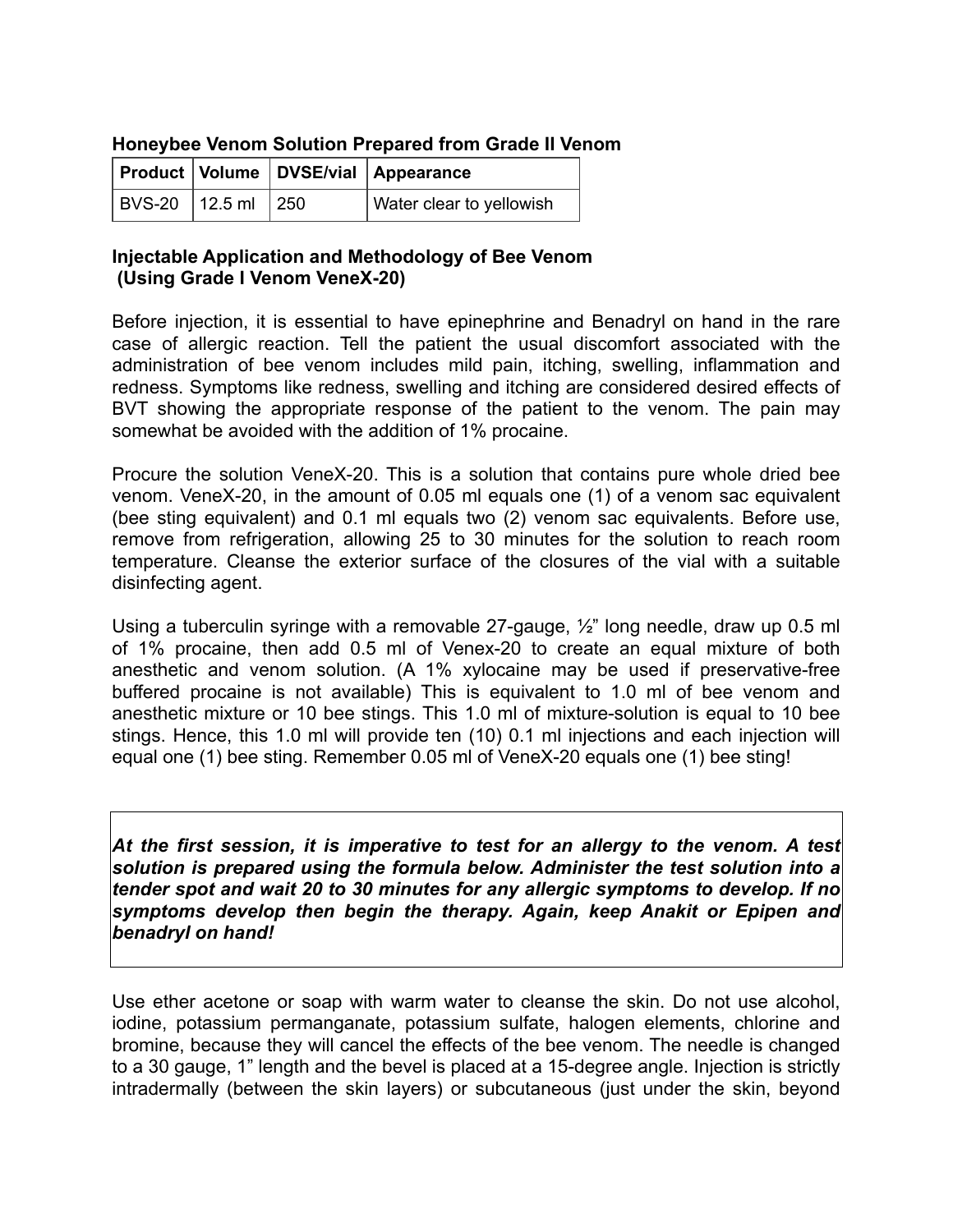## **Honeybee Venom Solution Prepared from Grade II Venom**

|                        |  | Product   Volume   DVSE/vial   Appearance |
|------------------------|--|-------------------------------------------|
| BVS-20   12.5 ml   250 |  | Water clear to yellowish                  |

## **Injectable Application and Methodology of Bee Venom (Using Grade I Venom VeneX-20)**

Before injection, it is essential to have epinephrine and Benadryl on hand in the rare case of allergic reaction. Tell the patient the usual discomfort associated with the administration of bee venom includes mild pain, itching, swelling, inflammation and redness. Symptoms like redness, swelling and itching are considered desired effects of BVT showing the appropriate response of the patient to the venom. The pain may somewhat be avoided with the addition of 1% procaine.

Procure the solution VeneX-20. This is a solution that contains pure whole dried bee venom. VeneX-20, in the amount of 0.05 ml equals one (1) of a venom sac equivalent (bee sting equivalent) and 0.1 ml equals two (2) venom sac equivalents. Before use, remove from refrigeration, allowing 25 to 30 minutes for the solution to reach room temperature. Cleanse the exterior surface of the closures of the vial with a suitable disinfecting agent.

Using a tuberculin syringe with a removable 27-gauge, ½" long needle, draw up 0.5 ml of 1% procaine, then add 0.5 ml of Venex-20 to create an equal mixture of both anesthetic and venom solution. (A 1% xylocaine may be used if preservative-free buffered procaine is not available) This is equivalent to 1.0 ml of bee venom and anesthetic mixture or 10 bee stings. This 1.0 ml of mixture-solution is equal to 10 bee stings. Hence, this 1.0 ml will provide ten (10) 0.1 ml injections and each injection will equal one (1) bee sting. Remember 0.05 ml of VeneX-20 equals one (1) bee sting!

At the first session, it is imperative to test for an allergy to the venom. A test *solution is prepared using the formula below. Administer the test solution into a tender spot and wait 20 to 30 minutes for any allergic symptoms to develop. If no symptoms develop then begin the therapy. Again, keep Anakit or Epipen and benadryl on hand!* 

Use ether acetone or soap with warm water to cleanse the skin. Do not use alcohol, iodine, potassium permanganate, potassium sulfate, halogen elements, chlorine and bromine, because they will cancel the effects of the bee venom. The needle is changed to a 30 gauge, 1" length and the bevel is placed at a 15-degree angle. Injection is strictly intradermally (between the skin layers) or subcutaneous (just under the skin, beyond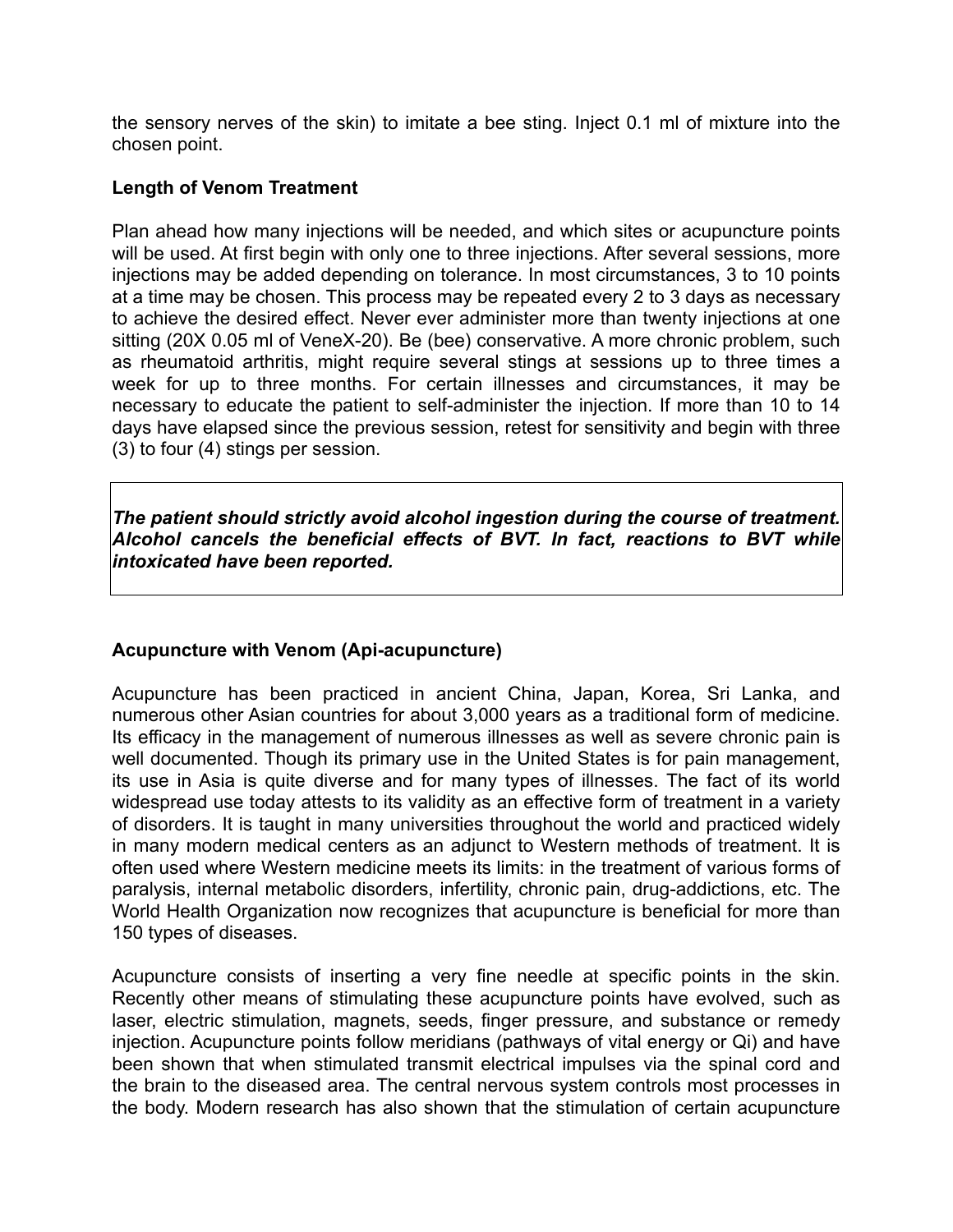the sensory nerves of the skin) to imitate a bee sting. Inject 0.1 ml of mixture into the chosen point.

## **Length of Venom Treatment**

Plan ahead how many injections will be needed, and which sites or acupuncture points will be used. At first begin with only one to three injections. After several sessions, more injections may be added depending on tolerance. In most circumstances, 3 to 10 points at a time may be chosen. This process may be repeated every 2 to 3 days as necessary to achieve the desired effect. Never ever administer more than twenty injections at one sitting (20X 0.05 ml of VeneX-20). Be (bee) conservative. A more chronic problem, such as rheumatoid arthritis, might require several stings at sessions up to three times a week for up to three months. For certain illnesses and circumstances, it may be necessary to educate the patient to self-administer the injection. If more than 10 to 14 days have elapsed since the previous session, retest for sensitivity and begin with three (3) to four (4) stings per session.

*The patient should strictly avoid alcohol ingestion during the course of treatment. Alcohol cancels the beneficial effects of BVT. In fact, reactions to BVT while intoxicated have been reported.* 

## **Acupuncture with Venom (Api-acupuncture)**

Acupuncture has been practiced in ancient China, Japan, Korea, Sri Lanka, and numerous other Asian countries for about 3,000 years as a traditional form of medicine. Its efficacy in the management of numerous illnesses as well as severe chronic pain is well documented. Though its primary use in the United States is for pain management, its use in Asia is quite diverse and for many types of illnesses. The fact of its world widespread use today attests to its validity as an effective form of treatment in a variety of disorders. It is taught in many universities throughout the world and practiced widely in many modern medical centers as an adjunct to Western methods of treatment. It is often used where Western medicine meets its limits: in the treatment of various forms of paralysis, internal metabolic disorders, infertility, chronic pain, drug-addictions, etc. The World Health Organization now recognizes that acupuncture is beneficial for more than 150 types of diseases.

Acupuncture consists of inserting a very fine needle at specific points in the skin. Recently other means of stimulating these acupuncture points have evolved, such as laser, electric stimulation, magnets, seeds, finger pressure, and substance or remedy injection. Acupuncture points follow meridians (pathways of vital energy or Qi) and have been shown that when stimulated transmit electrical impulses via the spinal cord and the brain to the diseased area. The central nervous system controls most processes in the body. Modern research has also shown that the stimulation of certain acupuncture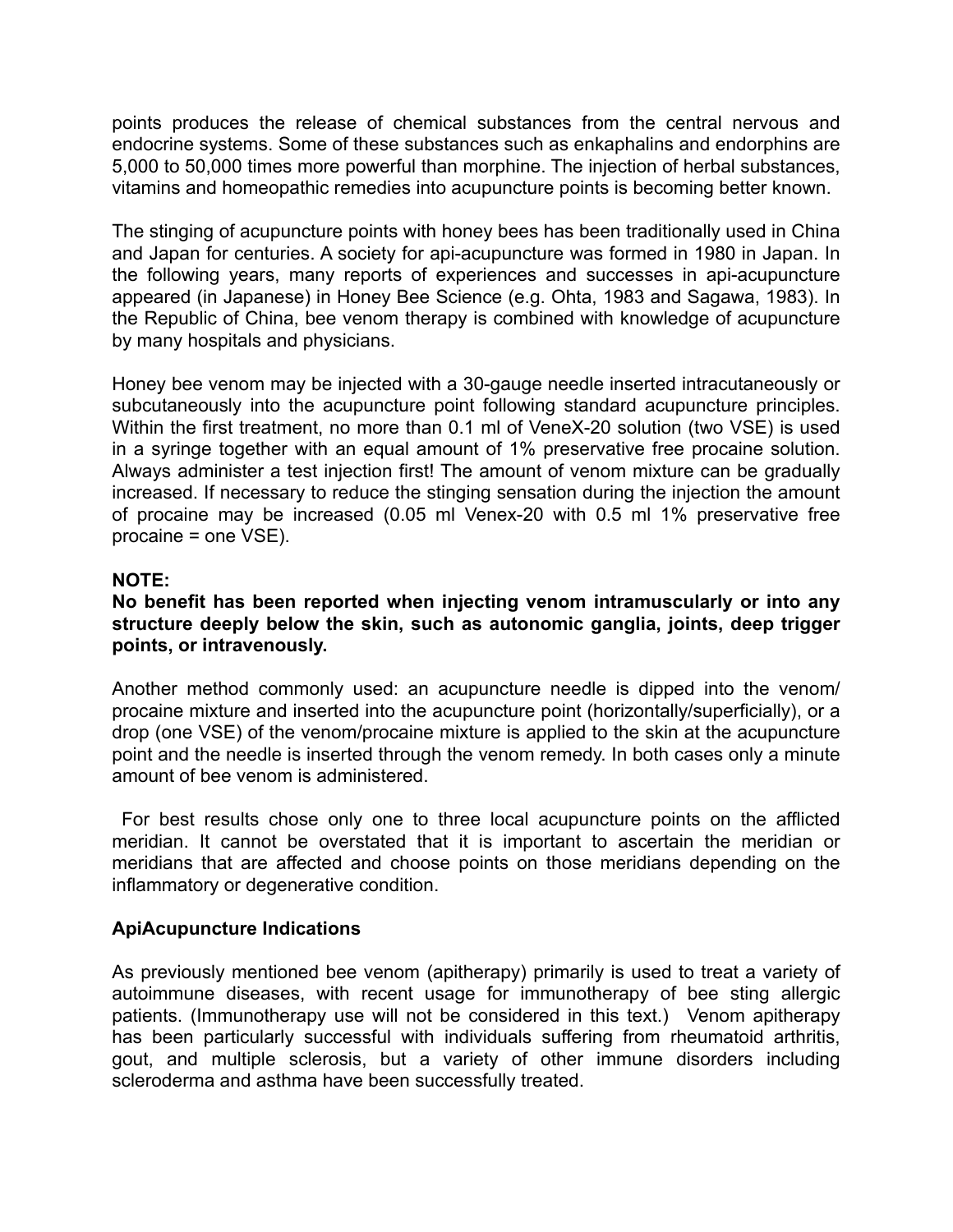points produces the release of chemical substances from the central nervous and endocrine systems. Some of these substances such as enkaphalins and endorphins are 5,000 to 50,000 times more powerful than morphine. The injection of herbal substances, vitamins and homeopathic remedies into acupuncture points is becoming better known.

The stinging of acupuncture points with honey bees has been traditionally used in China and Japan for centuries. A society for api-acupuncture was formed in 1980 in Japan. In the following years, many reports of experiences and successes in api-acupuncture appeared (in Japanese) in Honey Bee Science (e.g. Ohta, 1983 and Sagawa, 1983). In the Republic of China, bee venom therapy is combined with knowledge of acupuncture by many hospitals and physicians.

Honey bee venom may be injected with a 30-gauge needle inserted intracutaneously or subcutaneously into the acupuncture point following standard acupuncture principles. Within the first treatment, no more than 0.1 ml of VeneX-20 solution (two VSE) is used in a syringe together with an equal amount of 1% preservative free procaine solution. Always administer a test injection first! The amount of venom mixture can be gradually increased. If necessary to reduce the stinging sensation during the injection the amount of procaine may be increased (0.05 ml Venex-20 with 0.5 ml 1% preservative free procaine = one VSE).

## **NOTE:**

## **No benefit has been reported when injecting venom intramuscularly or into any structure deeply below the skin, such as autonomic ganglia, joints, deep trigger points, or intravenously.**

Another method commonly used: an acupuncture needle is dipped into the venom/ procaine mixture and inserted into the acupuncture point (horizontally/superficially), or a drop (one VSE) of the venom/procaine mixture is applied to the skin at the acupuncture point and the needle is inserted through the venom remedy. In both cases only a minute amount of bee venom is administered.

 For best results chose only one to three local acupuncture points on the afflicted meridian. It cannot be overstated that it is important to ascertain the meridian or meridians that are affected and choose points on those meridians depending on the inflammatory or degenerative condition.

## **ApiAcupuncture Indications**

As previously mentioned bee venom (apitherapy) primarily is used to treat a variety of autoimmune diseases, with recent usage for immunotherapy of bee sting allergic patients. (Immunotherapy use will not be considered in this text.) Venom apitherapy has been particularly successful with individuals suffering from rheumatoid arthritis, gout, and multiple sclerosis, but a variety of other immune disorders including scleroderma and asthma have been successfully treated.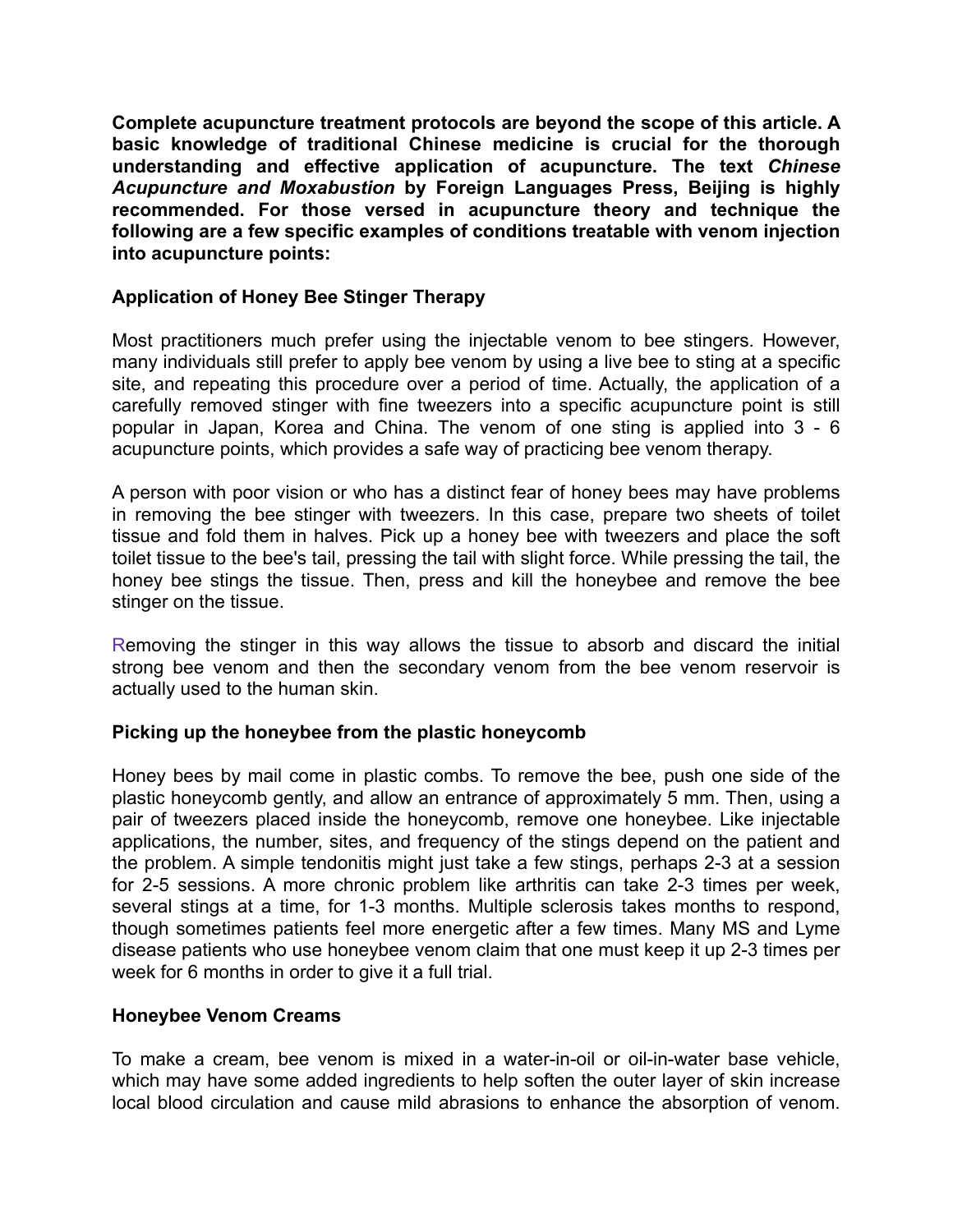**Complete acupuncture treatment protocols are beyond the scope of this article. A basic knowledge of traditional Chinese medicine is crucial for the thorough understanding and effective application of acupuncture. The text** *Chinese Acupuncture and Moxabustion* **by Foreign Languages Press, Beijing is highly recommended. For those versed in acupuncture theory and technique the following are a few specific examples of conditions treatable with venom injection into acupuncture points:** 

## **Application of Honey Bee Stinger Therapy**

Most practitioners much prefer using the injectable venom to bee stingers. However, many individuals still prefer to apply bee venom by using a live bee to sting at a specific site, and repeating this procedure over a period of time. Actually, the application of a carefully removed stinger with fine tweezers into a specific acupuncture point is still popular in Japan, Korea and China. The venom of one sting is applied into 3 - 6 acupuncture points, which provides a safe way of practicing bee venom therapy.

A person with poor vision or who has a distinct fear of honey bees may have problems in removing the bee stinger with tweezers. In this case, prepare two sheets of toilet tissue and fold them in halves. Pick up a honey bee with tweezers and place the soft toilet tissue to the bee's tail, pressing the tail with slight force. While pressing the tail, the honey bee stings the tissue. Then, press and kill the honeybee and remove the bee stinger on the tissue.

Removing the stinger in this way allows the tissue to absorb and discard the initial strong bee venom and then the secondary venom from the bee venom reservoir is actually used to the human skin.

## **Picking up the honeybee from the plastic honeycomb**

Honey bees by mail come in plastic combs. To remove the bee, push one side of the plastic honeycomb gently, and allow an entrance of approximately 5 mm. Then, using a pair of tweezers placed inside the honeycomb, remove one honeybee. Like injectable applications, the number, sites, and frequency of the stings depend on the patient and the problem. A simple tendonitis might just take a few stings, perhaps 2-3 at a session for 2-5 sessions. A more chronic problem like arthritis can take 2-3 times per week, several stings at a time, for 1-3 months. Multiple sclerosis takes months to respond, though sometimes patients feel more energetic after a few times. Many MS and Lyme disease patients who use honeybee venom claim that one must keep it up 2-3 times per week for 6 months in order to give it a full trial.

## **Honeybee Venom Creams**

To make a cream, bee venom is mixed in a water-in-oil or oil-in-water base vehicle, which may have some added ingredients to help soften the outer layer of skin increase local blood circulation and cause mild abrasions to enhance the absorption of venom.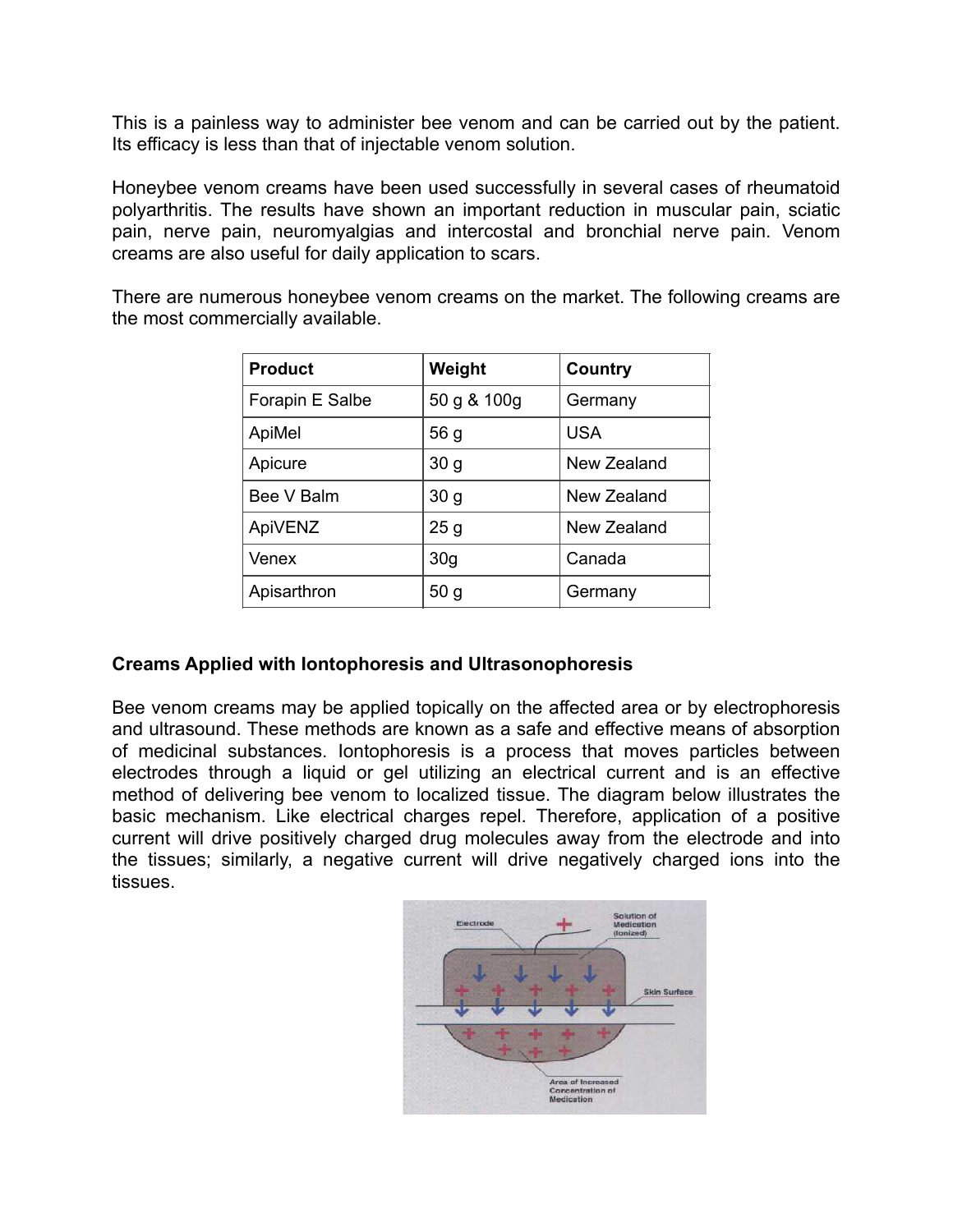This is a painless way to administer bee venom and can be carried out by the patient. Its efficacy is less than that of injectable venom solution.

Honeybee venom creams have been used successfully in several cases of rheumatoid polyarthritis. The results have shown an important reduction in muscular pain, sciatic pain, nerve pain, neuromyalgias and intercostal and bronchial nerve pain. Venom creams are also useful for daily application to scars.

There are numerous honeybee venom creams on the market. The following creams are the most commercially available.

| <b>Product</b>  | Weight          | Country     |
|-----------------|-----------------|-------------|
| Forapin E Salbe | 50 g & 100g     | Germany     |
| ApiMel          | 56 g            | <b>USA</b>  |
| Apicure         | 30 <sub>g</sub> | New Zealand |
| Bee V Balm      | 30 <sub>g</sub> | New Zealand |
| ApiVENZ         | 25 <sub>g</sub> | New Zealand |
| Venex           | 30 <sub>q</sub> | Canada      |
| Apisarthron     | 50 <sub>g</sub> | Germany     |

## **Creams Applied with Iontophoresis and Ultrasonophoresis**

Bee venom creams may be applied topically on the affected area or by electrophoresis and ultrasound. These methods are known as a safe and effective means of absorption of medicinal substances. Iontophoresis is a process that moves particles between electrodes through a liquid or gel utilizing an electrical current and is an effective method of delivering bee venom to localized tissue. The diagram below illustrates the basic mechanism. Like electrical charges repel. Therefore, application of a positive current will drive positively charged drug molecules away from the electrode and into the tissues; similarly, a negative current will drive negatively charged ions into the tissues.

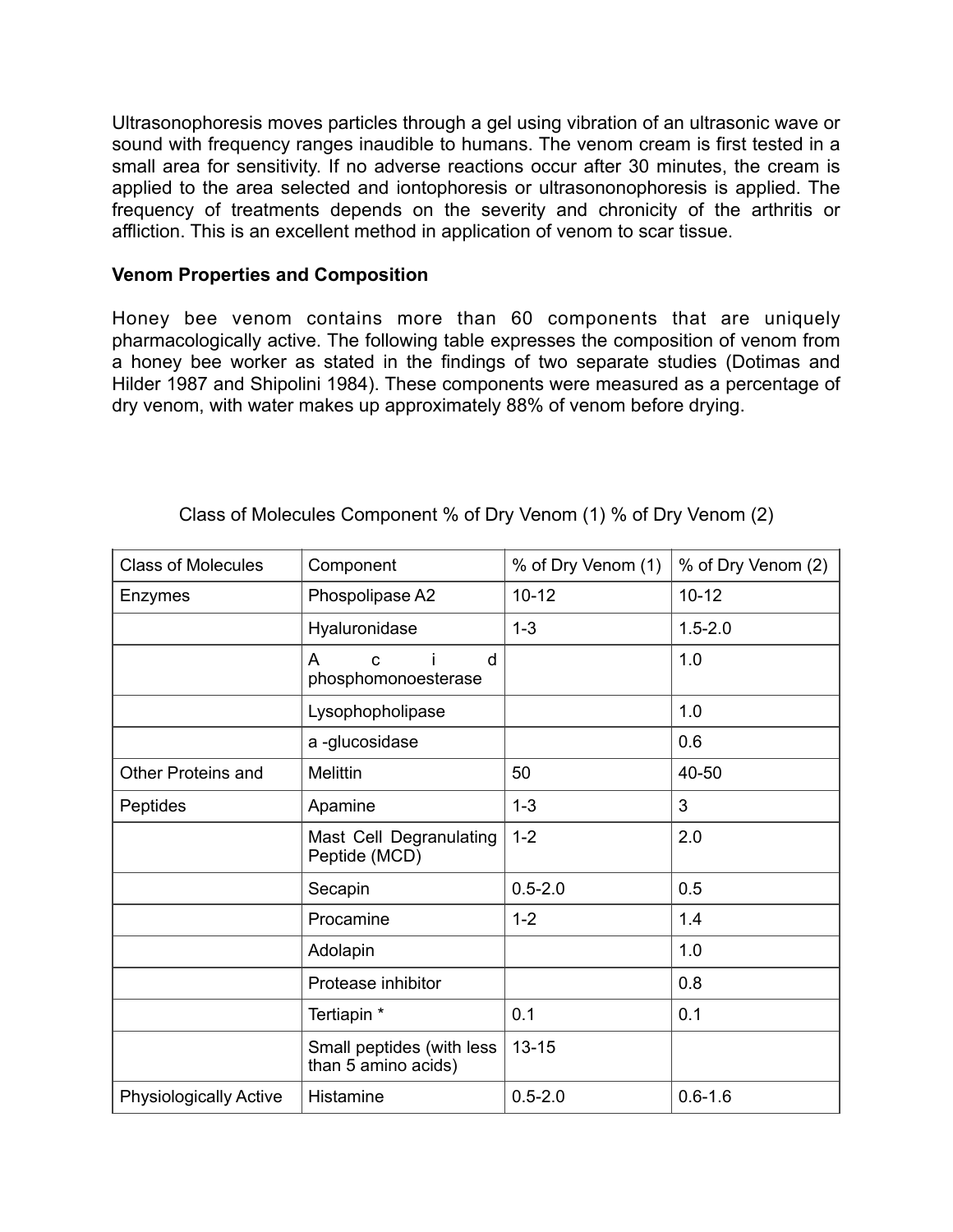Ultrasonophoresis moves particles through a gel using vibration of an ultrasonic wave or sound with frequency ranges inaudible to humans. The venom cream is first tested in a small area for sensitivity. If no adverse reactions occur after 30 minutes, the cream is applied to the area selected and iontophoresis or ultrasononophoresis is applied. The frequency of treatments depends on the severity and chronicity of the arthritis or affliction. This is an excellent method in application of venom to scar tissue.

## **Venom Properties and Composition**

Honey bee venom contains more than 60 components that are uniquely pharmacologically active. The following table expresses the composition of venom from a honey bee worker as stated in the findings of two separate studies (Dotimas and Hilder 1987 and Shipolini 1984). These components were measured as a percentage of dry venom, with water makes up approximately 88% of venom before drying.

| <b>Class of Molecules</b>     | Component                                        | % of Dry Venom (1) | % of Dry Venom (2) |
|-------------------------------|--------------------------------------------------|--------------------|--------------------|
| Enzymes                       | Phospolipase A2                                  | $10 - 12$          | $10 - 12$          |
|                               | Hyaluronidase                                    | $1 - 3$            | $1.5 - 2.0$        |
|                               | d<br>A<br>$\mathbf C$<br>phosphomonoesterase     |                    | 1.0                |
|                               | Lysophopholipase                                 |                    | 1.0                |
|                               | a-glucosidase                                    |                    | 0.6                |
| <b>Other Proteins and</b>     | <b>Melittin</b>                                  | 50                 | 40-50              |
| Peptides                      | Apamine                                          | $1 - 3$            | 3                  |
|                               | Mast Cell Degranulating<br>Peptide (MCD)         | $1 - 2$            | 2.0                |
|                               | Secapin                                          | $0.5 - 2.0$        | 0.5                |
|                               | Procamine                                        | $1 - 2$            | 1.4                |
|                               | Adolapin                                         |                    | 1.0                |
|                               | Protease inhibitor                               |                    | 0.8                |
|                               | Tertiapin *                                      | 0.1                | 0.1                |
|                               | Small peptides (with less<br>than 5 amino acids) | $13 - 15$          |                    |
| <b>Physiologically Active</b> | Histamine                                        | $0.5 - 2.0$        | $0.6 - 1.6$        |

## Class of Molecules Component % of Dry Venom (1) % of Dry Venom (2)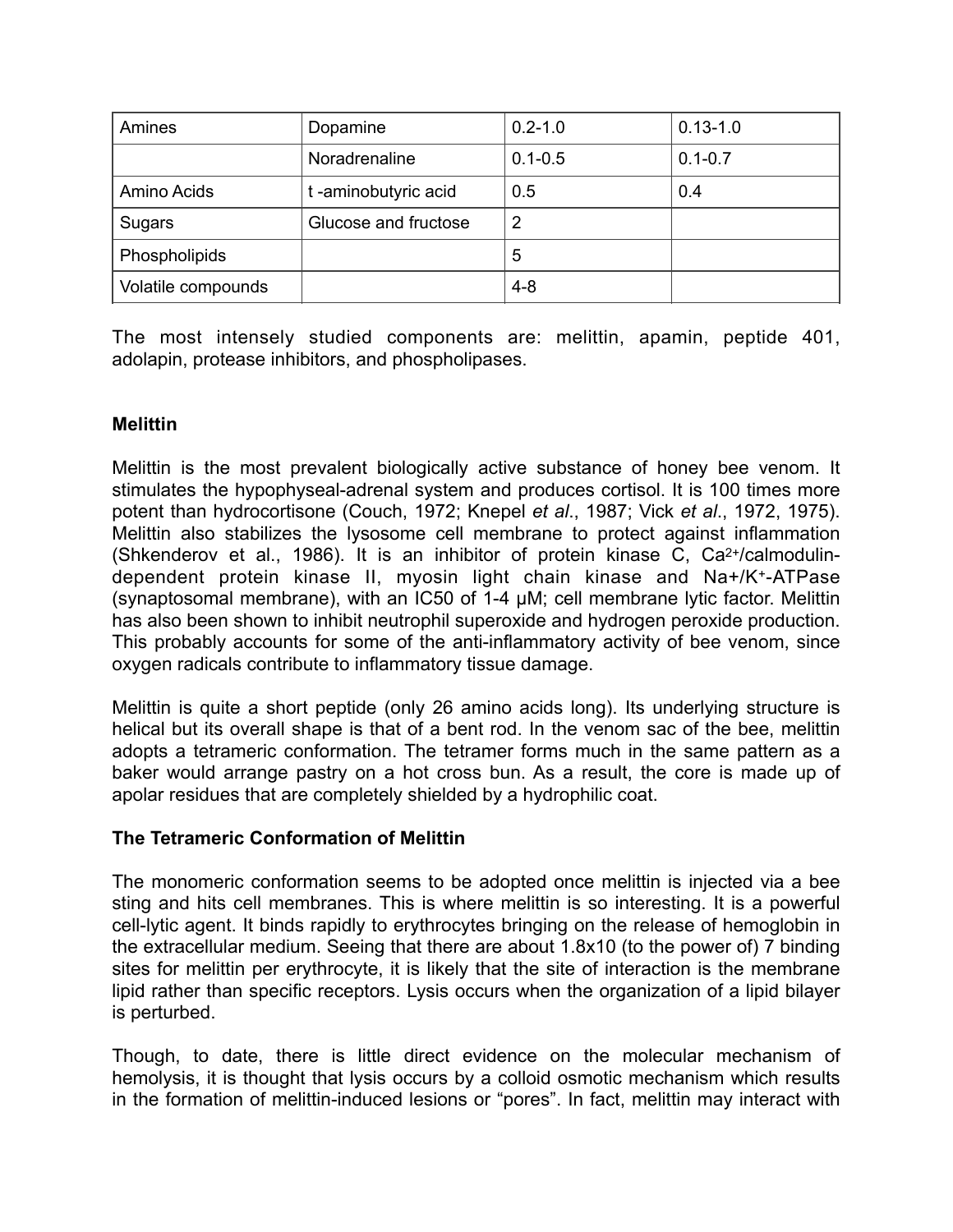| Amines             | Dopamine             | $0.2 - 1.0$ | $0.13 - 1.0$ |
|--------------------|----------------------|-------------|--------------|
|                    | Noradrenaline        | $0.1 - 0.5$ | $0.1 - 0.7$  |
| Amino Acids        | t-aminobutyric acid  | 0.5         | 0.4          |
| Sugars             | Glucose and fructose | 2           |              |
| Phospholipids      |                      | 5           |              |
| Volatile compounds |                      | $4 - 8$     |              |

The most intensely studied components are: melittin, apamin, peptide 401, adolapin, protease inhibitors, and phospholipases.

## **Melittin**

Melittin is the most prevalent biologically active substance of honey bee venom. It stimulates the hypophyseal-adrenal system and produces cortisol. It is 100 times more potent than hydrocortisone (Couch, 1972; Knepel *et al*., 1987; Vick *et al*., 1972, 1975). Melittin also stabilizes the lysosome cell membrane to protect against inflammation (Shkenderov et al., 1986). It is an inhibitor of protein kinase C, Ca2+/calmodulindependent protein kinase II, myosin light chain kinase and Na+/K+-ATPase (synaptosomal membrane), with an IC50 of 1-4 µM; cell membrane lytic factor. Melittin has also been shown to inhibit neutrophil superoxide and hydrogen peroxide production. This probably accounts for some of the anti-inflammatory activity of bee venom, since oxygen radicals contribute to inflammatory tissue damage.

Melittin is quite a short peptide (only 26 amino acids long). Its underlying structure is helical but its overall shape is that of a bent rod. In the venom sac of the bee, melittin adopts a tetrameric conformation. The tetramer forms much in the same pattern as a baker would arrange pastry on a hot cross bun. As a result, the core is made up of apolar residues that are completely shielded by a hydrophilic coat.

## **The Tetrameric Conformation of Melittin**

The monomeric conformation seems to be adopted once melittin is injected via a bee sting and hits cell membranes. This is where melittin is so interesting. It is a powerful cell-lytic agent. It binds rapidly to erythrocytes bringing on the release of hemoglobin in the extracellular medium. Seeing that there are about 1.8x10 (to the power of) 7 binding sites for melittin per erythrocyte, it is likely that the site of interaction is the membrane lipid rather than specific receptors. Lysis occurs when the organization of a lipid bilayer is perturbed.

Though, to date, there is little direct evidence on the molecular mechanism of hemolysis, it is thought that lysis occurs by a colloid osmotic mechanism which results in the formation of melittin-induced lesions or "pores". In fact, melittin may interact with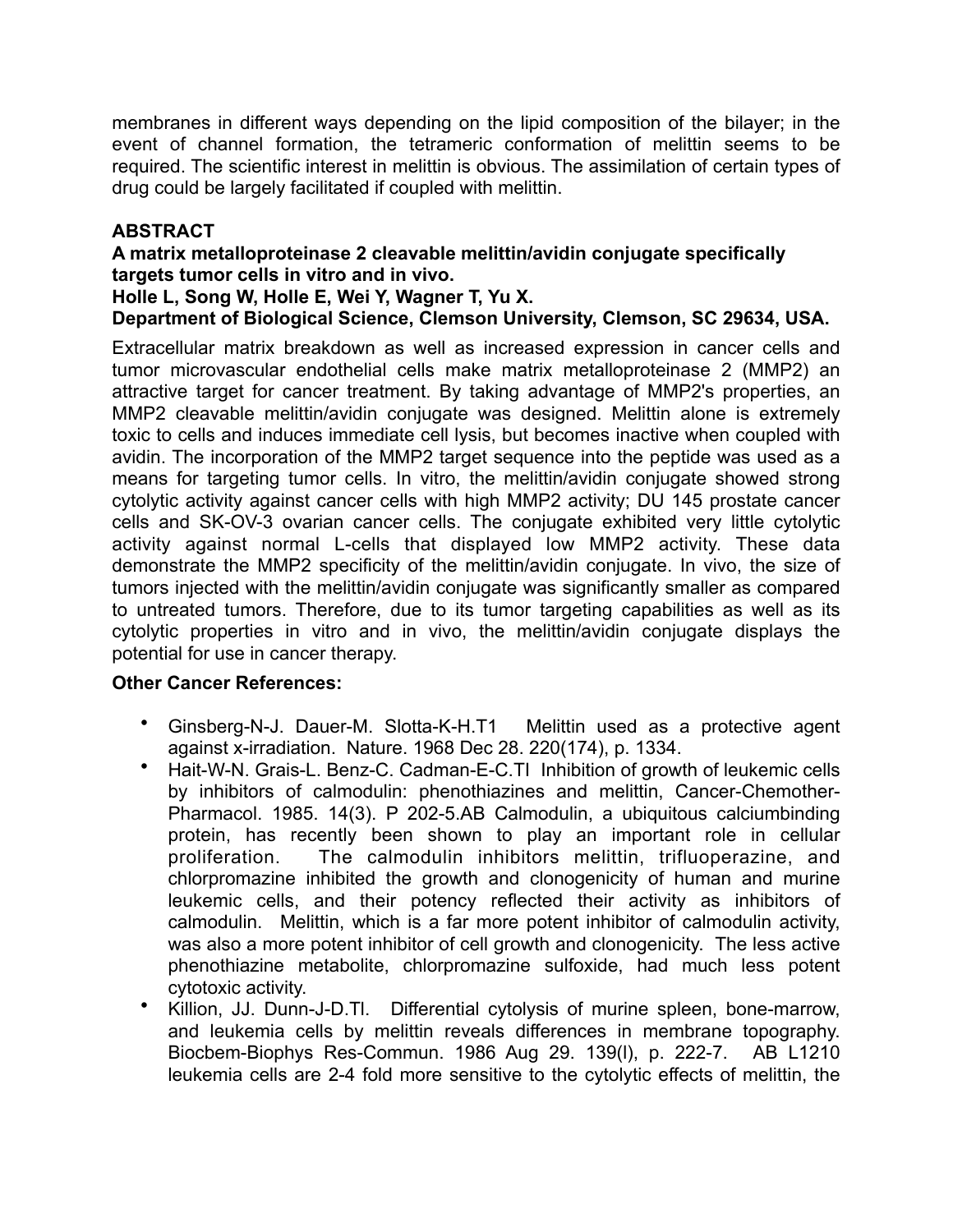membranes in different ways depending on the lipid composition of the bilayer; in the event of channel formation, the tetrameric conformation of melittin seems to be required. The scientific interest in melittin is obvious. The assimilation of certain types of drug could be largely facilitated if coupled with melittin.

# **ABSTRACT**

## **A matrix metalloproteinase 2 cleavable melittin/avidin conjugate specifically targets tumor cells in vitro and in vivo.**

## **Holle L, Song W, Holle E, Wei Y, Wagner T, Yu X.**

**Department of Biological Science, Clemson University, Clemson, SC 29634, USA.** 

Extracellular matrix breakdown as well as increased expression in cancer cells and tumor microvascular endothelial cells make matrix metalloproteinase 2 (MMP2) an attractive target for cancer treatment. By taking advantage of MMP2's properties, an MMP2 cleavable melittin/avidin conjugate was designed. Melittin alone is extremely toxic to cells and induces immediate cell lysis, but becomes inactive when coupled with avidin. The incorporation of the MMP2 target sequence into the peptide was used as a means for targeting tumor cells. In vitro, the melittin/avidin conjugate showed strong cytolytic activity against cancer cells with high MMP2 activity; DU 145 prostate cancer cells and SK-OV-3 ovarian cancer cells. The conjugate exhibited very little cytolytic activity against normal L-cells that displayed low MMP2 activity. These data demonstrate the MMP2 specificity of the melittin/avidin conjugate. In vivo, the size of tumors injected with the melittin/avidin conjugate was significantly smaller as compared to untreated tumors. Therefore, due to its tumor targeting capabilities as well as its cytolytic properties in vitro and in vivo, the melittin/avidin conjugate displays the potential for use in cancer therapy.

## **Other Cancer References:**

- Ginsberg-N-J. Dauer-M. Slotta-K-H.T1 Melittin used as a protective agent against x-irradiation. Nature. 1968 Dec 28. 220(174), p. 1334.
- Hait-W-N. Grais-L. Benz-C. Cadman-E-C.TI Inhibition of growth of leukemic cells by inhibitors of calmodulin: phenothiazines and melittin, Cancer-Chemother-Pharmacol. 1985. 14(3). P 202-5.AB Calmodulin, a ubiquitous calciumbinding protein, has recently been shown to play an important role in cellular proliferation. The calmodulin inhibitors melittin, trifluoperazine, and chlorpromazine inhibited the growth and clonogenicity of human and murine leukemic cells, and their potency reflected their activity as inhibitors of calmodulin. Melittin, which is a far more potent inhibitor of calmodulin activity, was also a more potent inhibitor of cell growth and clonogenicity. The less active phenothiazine metabolite, chlorpromazine sulfoxide, had much less potent cytotoxic activity.
- Killion, JJ. Dunn-J-D.Tl. Differential cytolysis of murine spleen, bone-marrow, and leukemia cells by melittin reveals differences in membrane topography. Biocbem-Biophys Res-Commun. 1986 Aug 29. 139(l), p. 222-7. AB L1210 leukemia cells are 2-4 fold more sensitive to the cytolytic effects of melittin, the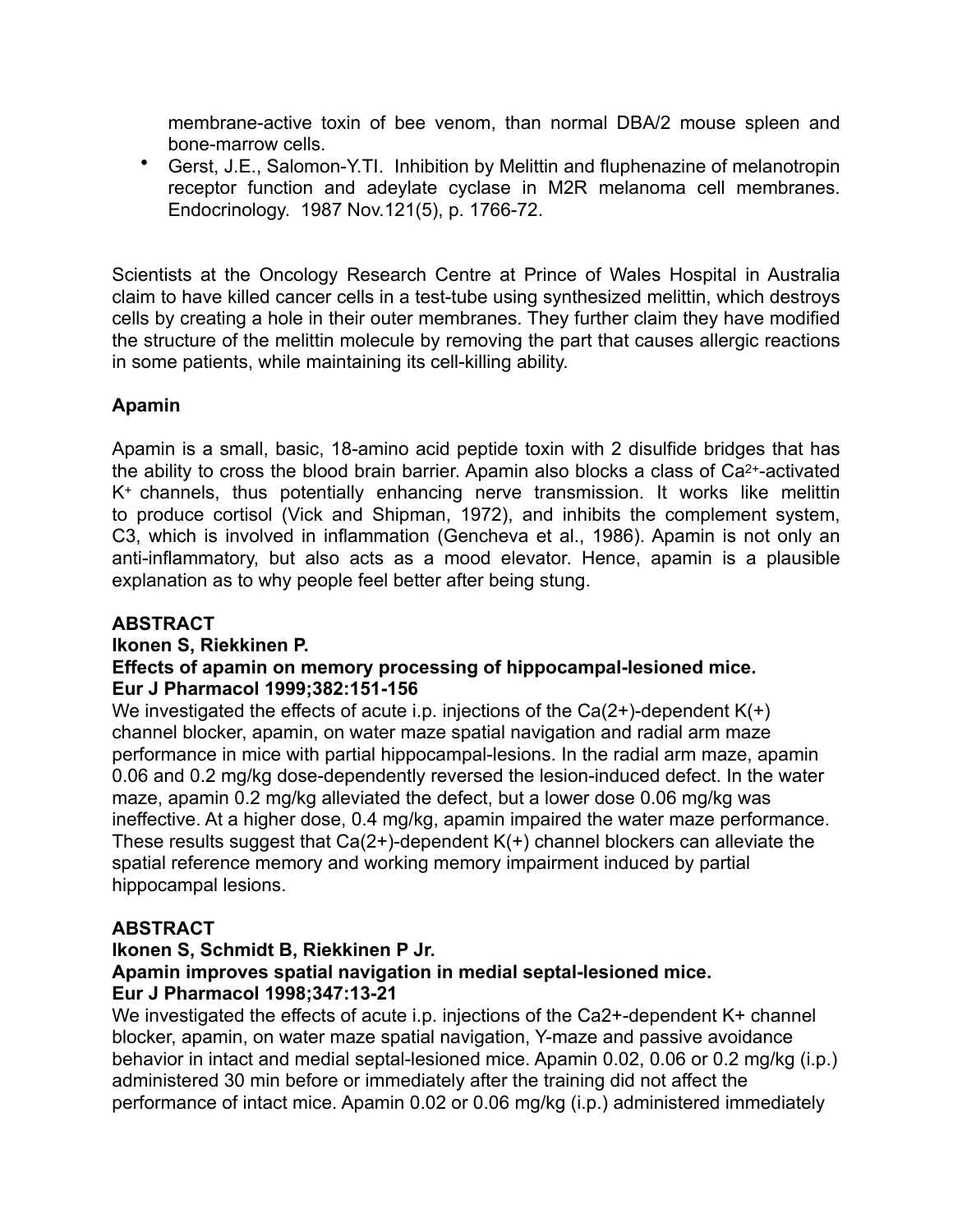membrane-active toxin of bee venom, than normal DBA/2 mouse spleen and bone-marrow cells.

• Gerst, J.E., Salomon-Y.TI. Inhibition by Melittin and fluphenazine of melanotropin receptor function and adeylate cyclase in M2R melanoma cell membranes. Endocrinology. 1987 Nov.121(5), p. 1766-72.

Scientists at the Oncology Research Centre at Prince of Wales Hospital in Australia claim to have killed cancer cells in a test-tube using synthesized melittin, which destroys cells by creating a hole in their outer membranes. They further claim they have modified the structure of the melittin molecule by removing the part that causes allergic reactions in some patients, while maintaining its cell-killing ability.

# **Apamin**

Apamin is a small, basic, 18-amino acid peptide toxin with 2 disulfide bridges that has the ability to cross the blood brain barrier. Apamin also blocks a class of Ca2+-activated K+ channels, thus potentially enhancing nerve transmission. It works like melittin to produce cortisol (Vick and Shipman, 1972), and inhibits the complement system, C3, which is involved in inflammation (Gencheva et al., 1986). Apamin is not only an anti-inflammatory, but also acts as a mood elevator. Hence, apamin is a plausible explanation as to why people feel better after being stung.

# **ABSTRACT**

# **Ikonen S, Riekkinen P.**

# **Effects of apamin on memory processing of hippocampal-lesioned mice. Eur J Pharmacol 1999;382:151-156**

We investigated the effects of acute i.p. injections of the  $Ca(2+)$ -dependent  $K(+)$ channel blocker, apamin, on water maze spatial navigation and radial arm maze performance in mice with partial hippocampal-lesions. In the radial arm maze, apamin 0.06 and 0.2 mg/kg dose-dependently reversed the lesion-induced defect. In the water maze, apamin 0.2 mg/kg alleviated the defect, but a lower dose 0.06 mg/kg was ineffective. At a higher dose, 0.4 mg/kg, apamin impaired the water maze performance. These results suggest that  $Ca(2+)$ -dependent  $K(+)$  channel blockers can alleviate the spatial reference memory and working memory impairment induced by partial hippocampal lesions.

# **ABSTRACT**

# **Ikonen S, Schmidt B, Riekkinen P Jr. Apamin improves spatial navigation in medial septal-lesioned mice. Eur J Pharmacol 1998;347:13-21**

We investigated the effects of acute i.p. injections of the Ca2+-dependent K+ channel blocker, apamin, on water maze spatial navigation, Y-maze and passive avoidance behavior in intact and medial septal-lesioned mice. Apamin 0.02, 0.06 or 0.2 mg/kg (i.p.) administered 30 min before or immediately after the training did not affect the performance of intact mice. Apamin 0.02 or 0.06 mg/kg (i.p.) administered immediately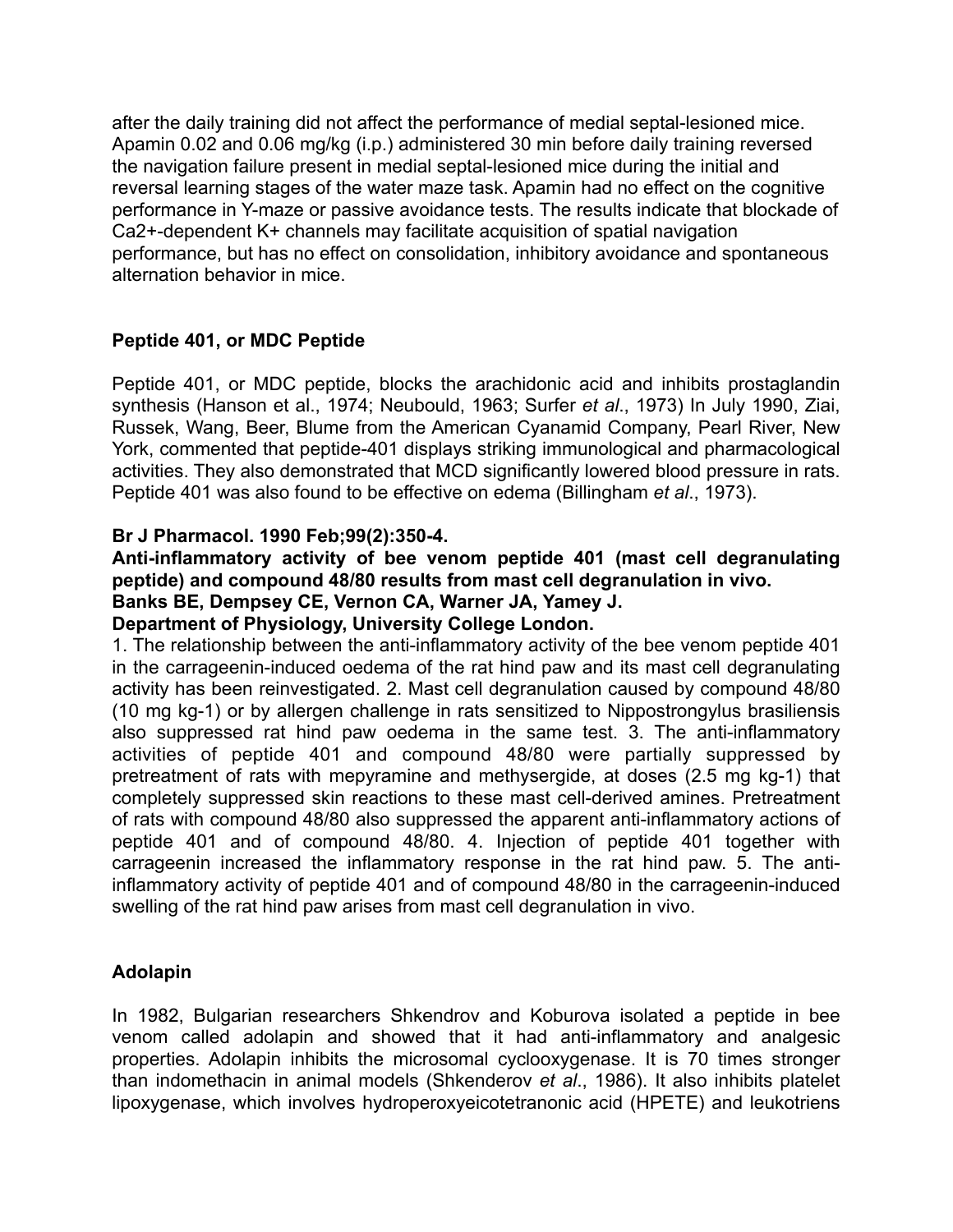after the daily training did not affect the performance of medial septal-lesioned mice. Apamin 0.02 and 0.06 mg/kg (i.p.) administered 30 min before daily training reversed the navigation failure present in medial septal-lesioned mice during the initial and reversal learning stages of the water maze task. Apamin had no effect on the cognitive performance in Y-maze or passive avoidance tests. The results indicate that blockade of Ca2+-dependent K+ channels may facilitate acquisition of spatial navigation performance, but has no effect on consolidation, inhibitory avoidance and spontaneous alternation behavior in mice.

# **Peptide 401, or MDC Peptide**

Peptide 401, or MDC peptide, blocks the arachidonic acid and inhibits prostaglandin synthesis (Hanson et al., 1974; Neubould, 1963; Surfer *et al*., 1973) In July 1990, Ziai, Russek, Wang, Beer, Blume from the American Cyanamid Company, Pearl River, New York, commented that peptide-401 displays striking immunological and pharmacological activities. They also demonstrated that MCD significantly lowered blood pressure in rats. Peptide 401 was also found to be effective on edema (Billingham *et al*., 1973).

# **Br J Pharmacol. 1990 Feb;99(2):350-4.**

## **Anti-inflammatory activity of bee venom peptide 401 (mast cell degranulating peptide) and compound 48/80 results from mast cell degranulation in vivo. Banks BE, Dempsey CE, Vernon CA, Warner JA, Yamey J.**

# **Department of Physiology, University College London.**

1. The relationship between the anti-inflammatory activity of the bee venom peptide 401 in the carrageenin-induced oedema of the rat hind paw and its mast cell degranulating activity has been reinvestigated. 2. Mast cell degranulation caused by compound 48/80 (10 mg kg-1) or by allergen challenge in rats sensitized to Nippostrongylus brasiliensis also suppressed rat hind paw oedema in the same test. 3. The anti-inflammatory activities of peptide 401 and compound 48/80 were partially suppressed by pretreatment of rats with mepyramine and methysergide, at doses (2.5 mg kg-1) that completely suppressed skin reactions to these mast cell-derived amines. Pretreatment of rats with compound 48/80 also suppressed the apparent anti-inflammatory actions of peptide 401 and of compound 48/80. 4. Injection of peptide 401 together with carrageenin increased the inflammatory response in the rat hind paw. 5. The antiinflammatory activity of peptide 401 and of compound 48/80 in the carrageenin-induced swelling of the rat hind paw arises from mast cell degranulation in vivo.

# **Adolapin**

In 1982, Bulgarian researchers Shkendrov and Koburova isolated a peptide in bee venom called adolapin and showed that it had anti-inflammatory and analgesic properties. Adolapin inhibits the microsomal cyclooxygenase. It is 70 times stronger than indomethacin in animal models (Shkenderov *et al*., 1986). It also inhibits platelet lipoxygenase, which involves hydroperoxyeicotetranonic acid (HPETE) and leukotriens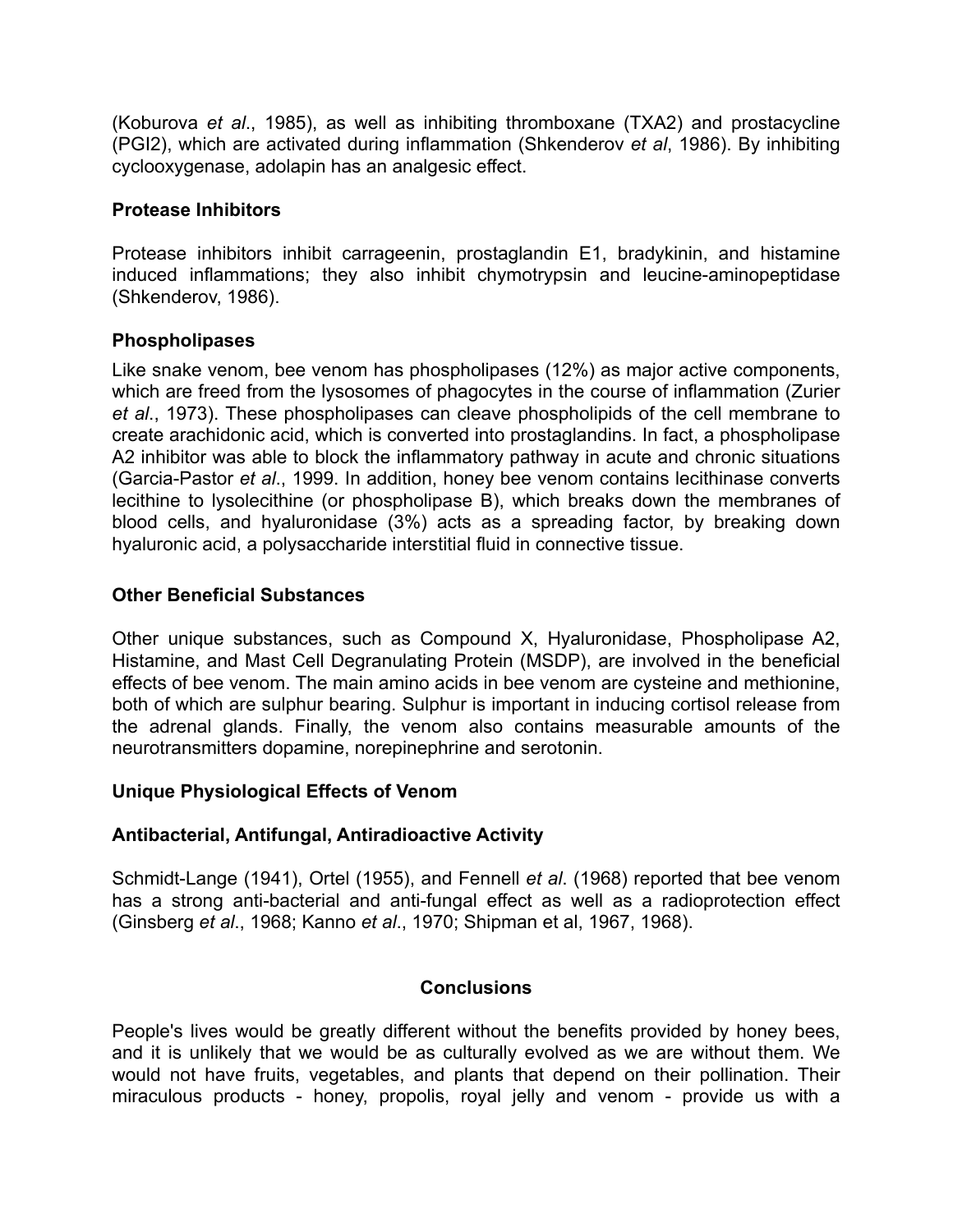(Koburova *et al*., 1985), as well as inhibiting thromboxane (TXA2) and prostacycline (PGI2), which are activated during inflammation (Shkenderov *et al*, 1986). By inhibiting cyclooxygenase, adolapin has an analgesic effect.

## **Protease Inhibitors**

Protease inhibitors inhibit carrageenin, prostaglandin E1, bradykinin, and histamine induced inflammations; they also inhibit chymotrypsin and leucine-aminopeptidase (Shkenderov, 1986).

## **Phospholipases**

Like snake venom, bee venom has phospholipases (12%) as major active components, which are freed from the lysosomes of phagocytes in the course of inflammation (Zurier *et al*., 1973). These phospholipases can cleave phospholipids of the cell membrane to create arachidonic acid, which is converted into prostaglandins. In fact, a phospholipase A2 inhibitor was able to block the inflammatory pathway in acute and chronic situations (Garcia-Pastor *et al*., 1999. In addition, honey bee venom contains lecithinase converts lecithine to lysolecithine (or phospholipase B), which breaks down the membranes of blood cells, and hyaluronidase (3%) acts as a spreading factor, by breaking down hyaluronic acid, a polysaccharide interstitial fluid in connective tissue.

## **Other Beneficial Substances**

Other unique substances, such as Compound X, Hyaluronidase, Phospholipase A2, Histamine, and Mast Cell Degranulating Protein (MSDP), are involved in the beneficial effects of bee venom. The main amino acids in bee venom are cysteine and methionine, both of which are sulphur bearing. Sulphur is important in inducing cortisol release from the adrenal glands. Finally, the venom also contains measurable amounts of the neurotransmitters dopamine, norepinephrine and serotonin.

## **Unique Physiological Effects of Venom**

# **Antibacterial, Antifungal, Antiradioactive Activity**

Schmidt-Lange (1941), Ortel (1955), and Fennell *et al*. (1968) reported that bee venom has a strong anti-bacterial and anti-fungal effect as well as a radioprotection effect (Ginsberg *et al*., 1968; Kanno *et al*., 1970; Shipman et al, 1967, 1968).

## **Conclusions**

People's lives would be greatly different without the benefits provided by honey bees, and it is unlikely that we would be as culturally evolved as we are without them. We would not have fruits, vegetables, and plants that depend on their pollination. Their miraculous products - honey, propolis, royal jelly and venom - provide us with a